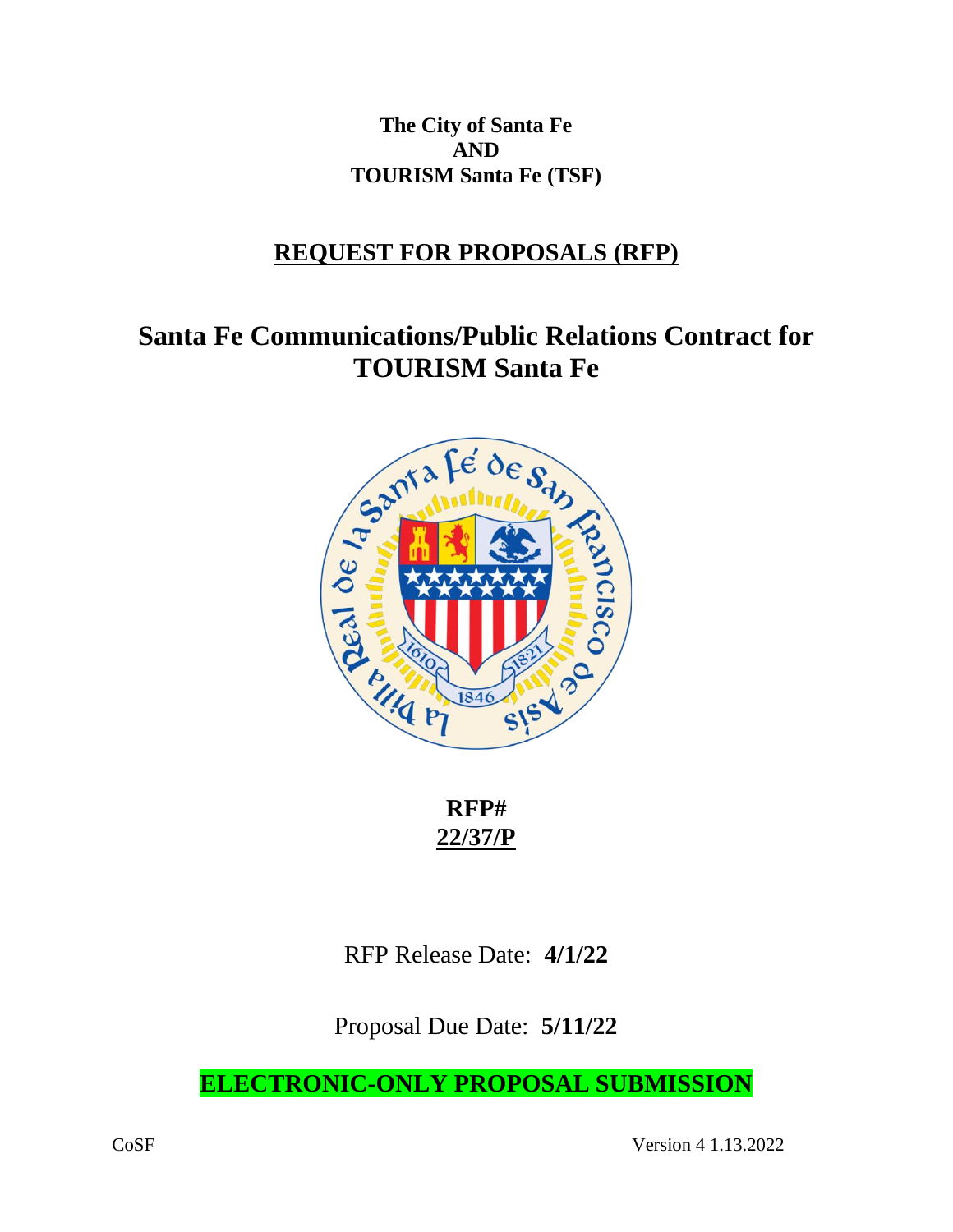**The City of Santa Fe AND TOURISM Santa Fe (TSF)**

# **REQUEST FOR PROPOSALS (RFP)**

# **Santa Fe Communications/Public Relations Contract for TOURISM Santa Fe**



**RFP# 22/37/P**

RFP Release Date: **4/1/22**

Proposal Due Date: **5/11/22**

**ELECTRONIC-ONLY PROPOSAL SUBMISSION**

CoSF Version 4 1.13.2022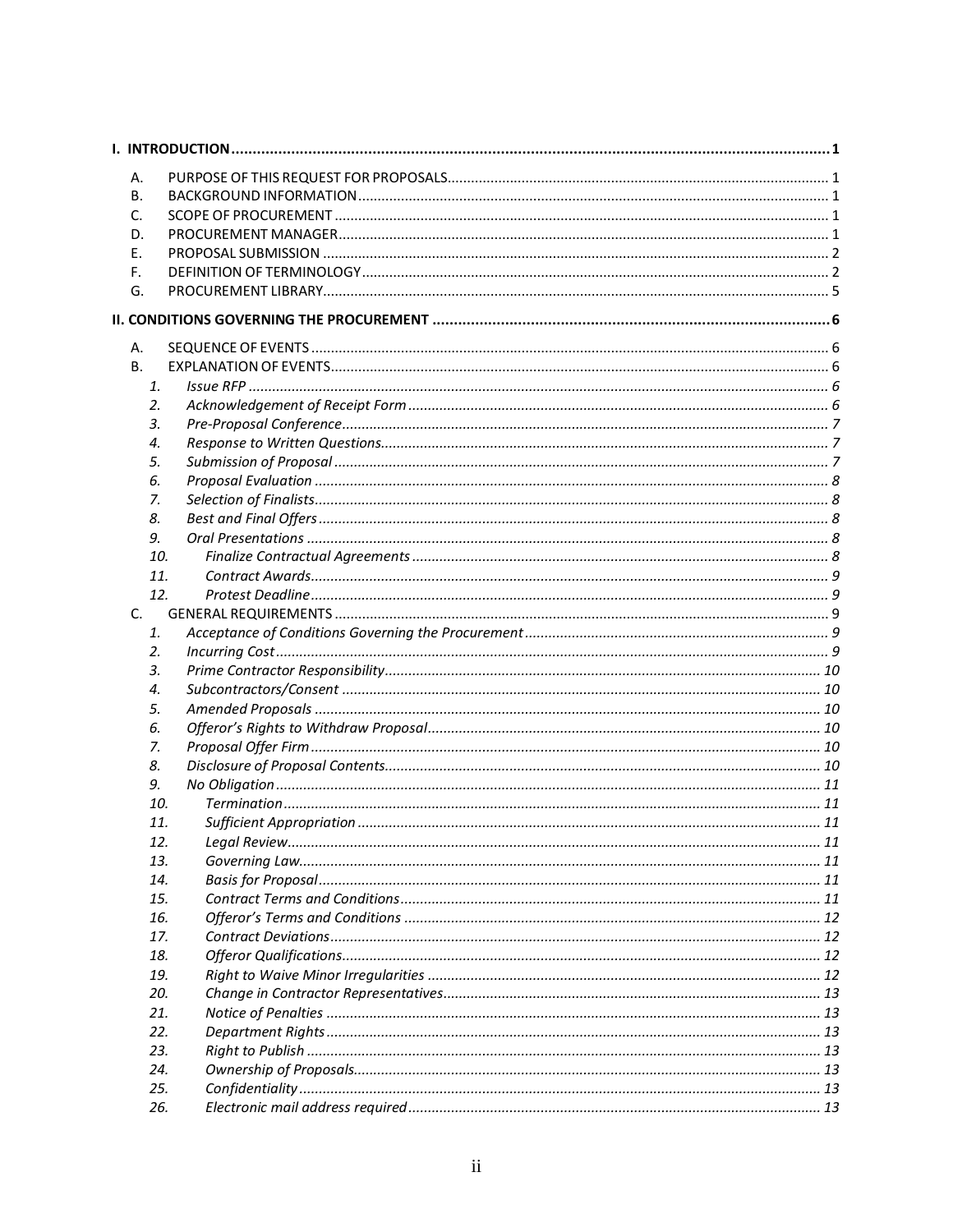| Α. |     |  |
|----|-----|--|
| В. |     |  |
| C. |     |  |
| D. |     |  |
| Е. |     |  |
| F. |     |  |
| G. |     |  |
|    |     |  |
|    |     |  |
| А. |     |  |
| В. |     |  |
|    | 1.  |  |
|    | 2.  |  |
|    | 3.  |  |
|    | 4.  |  |
|    | 5.  |  |
|    | 6.  |  |
|    | 7.  |  |
|    | 8.  |  |
|    | 9.  |  |
|    | 10. |  |
|    | 11. |  |
|    | 12. |  |
| C. |     |  |
|    | 1.  |  |
|    | 2.  |  |
|    | 3.  |  |
|    | 4.  |  |
|    | 5.  |  |
|    | 6.  |  |
|    | 7.  |  |
|    | 8.  |  |
|    | 9.  |  |
|    | 10. |  |
|    | 11. |  |
|    | 12. |  |
|    | 13. |  |
|    | 14. |  |
|    | 15. |  |
|    | 16. |  |
|    | 17. |  |
|    | 18. |  |
|    | 19. |  |
|    | 20. |  |
|    | 21. |  |
|    | 22. |  |
|    | 23. |  |
|    | 24. |  |
|    | 25. |  |
|    | 26. |  |
|    |     |  |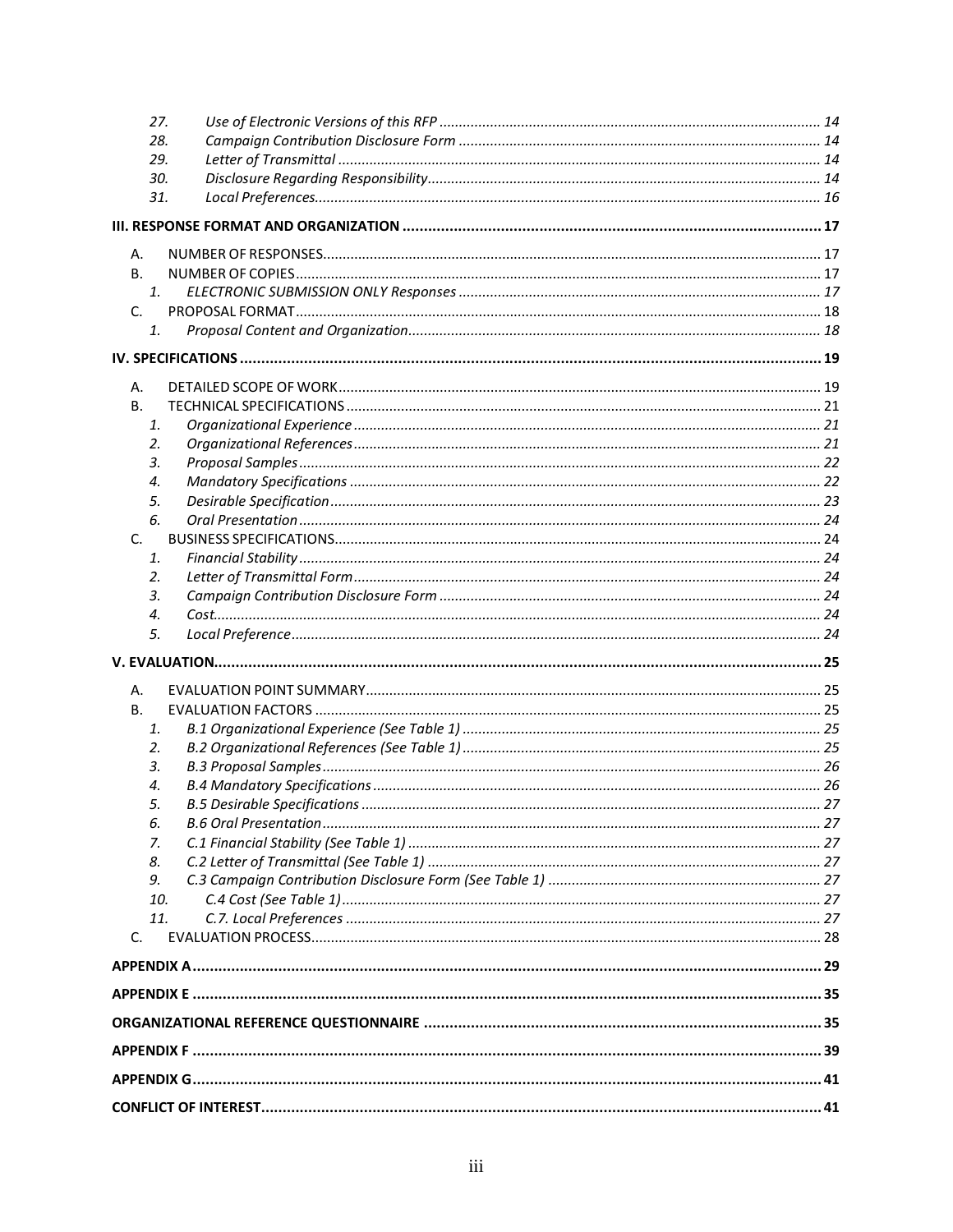| 27.            |  |
|----------------|--|
| 28.            |  |
| 29.            |  |
| 30.            |  |
| 31.            |  |
|                |  |
| А.             |  |
| В.             |  |
| $\mathbf{1}$ . |  |
| C.             |  |
| 1.             |  |
|                |  |
| А.             |  |
| В.             |  |
| 1.             |  |
| 2.             |  |
| 3.             |  |
| 4.             |  |
| 5.             |  |
| 6.             |  |
| C.             |  |
| 1.             |  |
| 2.             |  |
| 3.             |  |
| 4.             |  |
| 5.             |  |
|                |  |
| А.             |  |
| В.             |  |
| 1.             |  |
| 2.             |  |
| 3.             |  |
| 4.             |  |
| 5.             |  |
| 6.             |  |
| 7.             |  |
| 8.<br>9.       |  |
| 10.            |  |
| 11.            |  |
| C.             |  |
|                |  |
|                |  |
|                |  |
|                |  |
|                |  |
|                |  |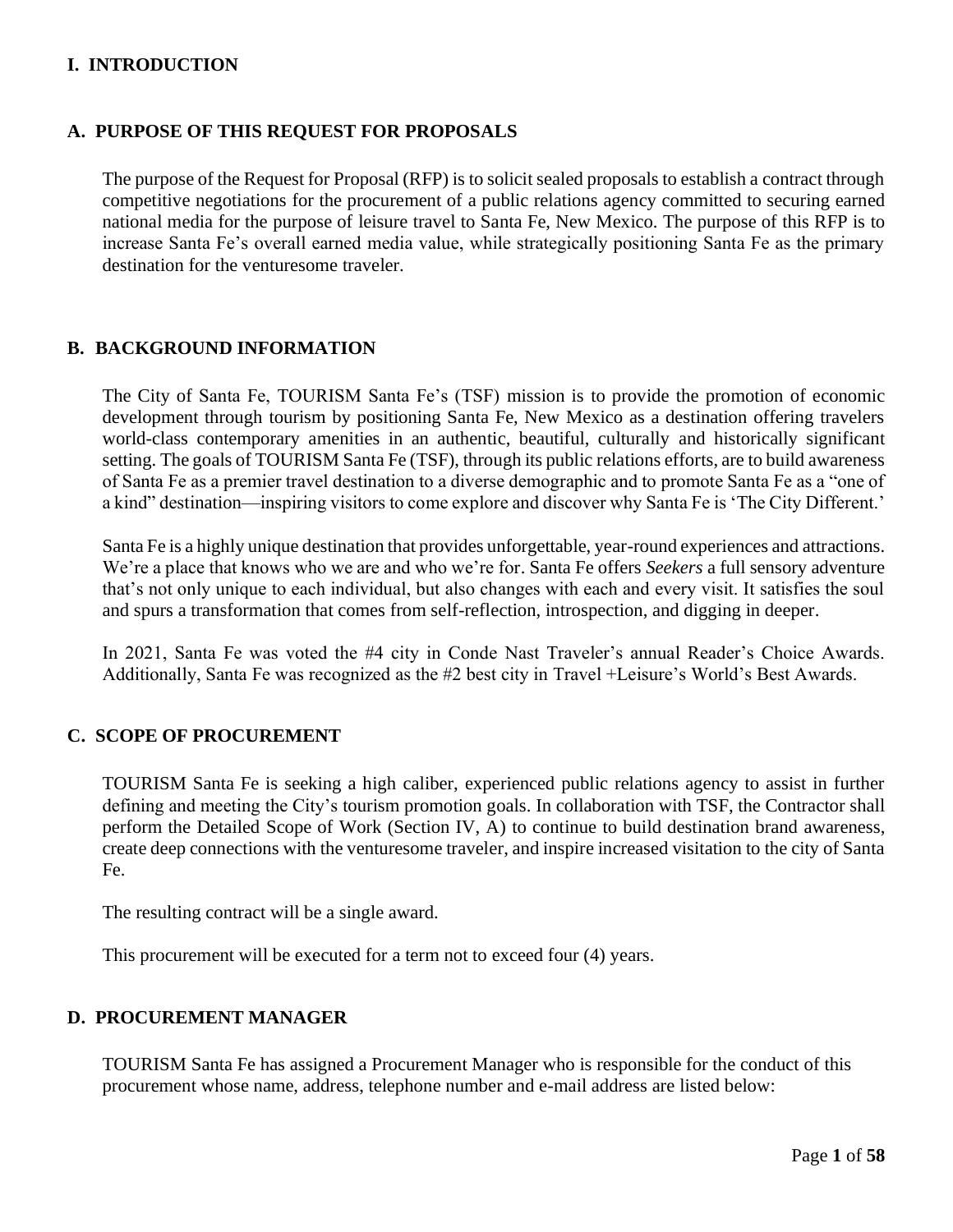# <span id="page-4-0"></span>**I. INTRODUCTION**

#### <span id="page-4-1"></span>**A. PURPOSE OF THIS REQUEST FOR PROPOSALS**

The purpose of the Request for Proposal (RFP) is to solicit sealed proposals to establish a contract through competitive negotiations for the procurement of a public relations agency committed to securing earned national media for the purpose of leisure travel to Santa Fe, New Mexico. The purpose of this RFP is to increase Santa Fe's overall earned media value, while strategically positioning Santa Fe as the primary destination for the venturesome traveler.

## <span id="page-4-2"></span>**B. BACKGROUND INFORMATION**

The City of Santa Fe, TOURISM Santa Fe's (TSF) mission is to provide the promotion of economic development through tourism by positioning Santa Fe, New Mexico as a destination offering travelers world-class contemporary amenities in an authentic, beautiful, culturally and historically significant setting. The goals of TOURISM Santa Fe (TSF), through its public relations efforts, are to build awareness of Santa Fe as a premier travel destination to a diverse demographic and to promote Santa Fe as a "one of a kind" destination—inspiring visitors to come explore and discover why Santa Fe is 'The City Different.'

Santa Fe is a highly unique destination that provides unforgettable, year-round experiences and attractions. We're a place that knows who we are and who we're for. Santa Fe offers *Seekers* a full sensory adventure that's not only unique to each individual, but also changes with each and every visit. It satisfies the soul and spurs a transformation that comes from self-reflection, introspection, and digging in deeper.

In 2021, Santa Fe was voted the #4 city in Conde Nast Traveler's annual Reader's Choice Awards. Additionally, Santa Fe was recognized as the #2 best city in Travel +Leisure's World's Best Awards.

# <span id="page-4-3"></span>**C. SCOPE OF PROCUREMENT**

TOURISM Santa Fe is seeking a high caliber, experienced public relations agency to assist in further defining and meeting the City's tourism promotion goals. In collaboration with TSF, the Contractor shall perform the Detailed Scope of Work (Section IV, A) to continue to build destination brand awareness, create deep connections with the venturesome traveler, and inspire increased visitation to the city of Santa Fe.

The resulting contract will be a single award.

This procurement will be executed for a term not to exceed four (4) years.

#### <span id="page-4-4"></span>**D. PROCUREMENT MANAGER**

TOURISM Santa Fe has assigned a Procurement Manager who is responsible for the conduct of this procurement whose name, address, telephone number and e-mail address are listed below: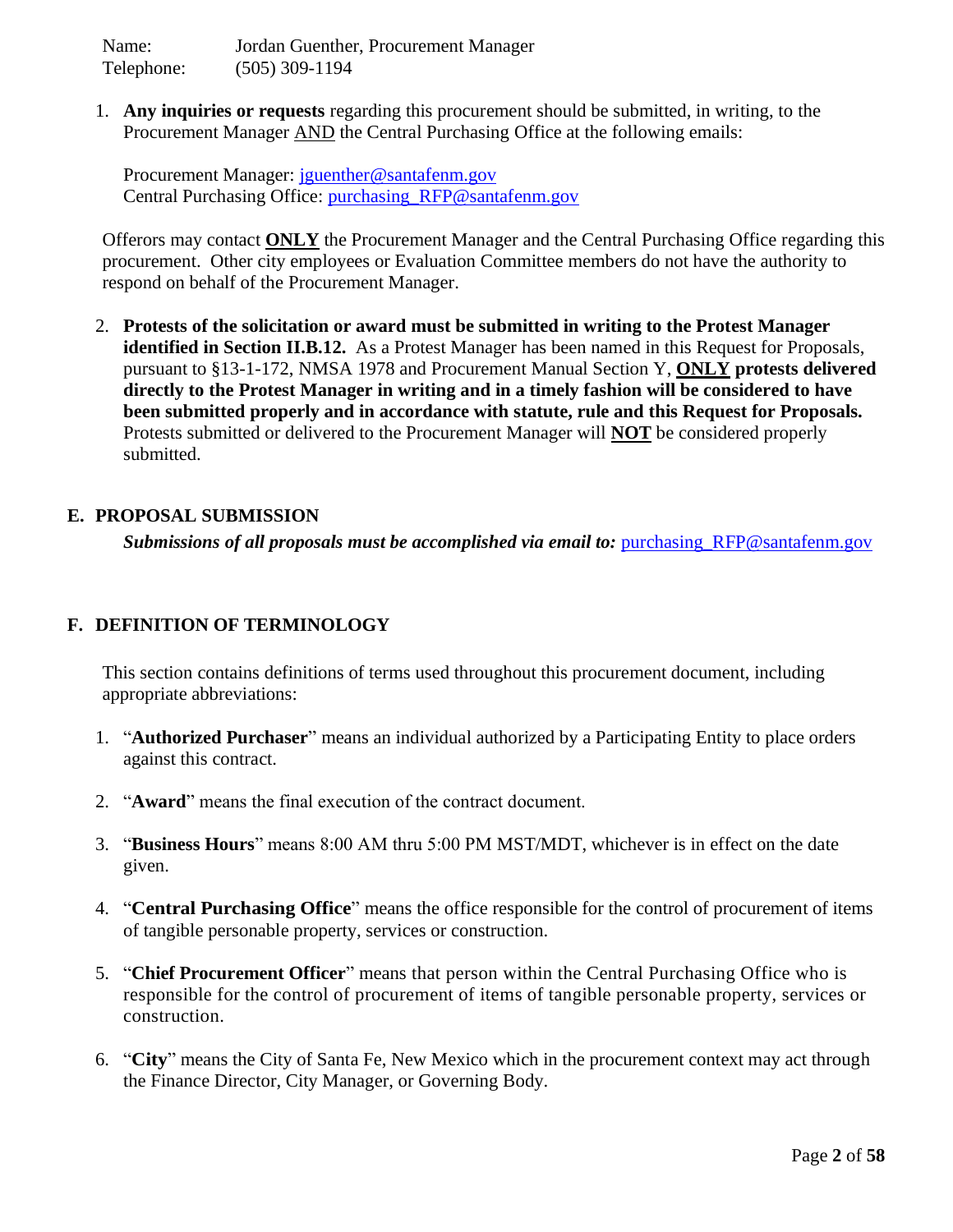Name: Jordan Guenther, Procurement Manager Telephone: (505) 309-1194

1. **Any inquiries or requests** regarding this procurement should be submitted, in writing, to the Procurement Manager AND the Central Purchasing Office at the following emails:

Procurement Manager: [jguenther@santafenm.gov](mailto:jguenther@santafenm.gov) Central Purchasing Office: [purchasing\\_RFP@santafenm.gov](mailto:purchasing_RFP@santafenm.gov)

Offerors may contact **ONLY** the Procurement Manager and the Central Purchasing Office regarding this procurement. Other city employees or Evaluation Committee members do not have the authority to respond on behalf of the Procurement Manager.

2. **Protests of the solicitation or award must be submitted in writing to the Protest Manager identified in Section II.B.12.** As a Protest Manager has been named in this Request for Proposals, pursuant to §13-1-172, NMSA 1978 and Procurement Manual Section Y, **ONLY protests delivered directly to the Protest Manager in writing and in a timely fashion will be considered to have been submitted properly and in accordance with statute, rule and this Request for Proposals.** Protests submitted or delivered to the Procurement Manager will **NOT** be considered properly submitted.

## <span id="page-5-0"></span>**E. PROPOSAL SUBMISSION**

**Submissions of all proposals must be accomplished via email to: purchasing RFP@santafenm.gov** 

# <span id="page-5-1"></span>**F. DEFINITION OF TERMINOLOGY**

This section contains definitions of terms used throughout this procurement document, including appropriate abbreviations:

- 1. "**Authorized Purchaser**" means an individual authorized by a Participating Entity to place orders against this contract.
- 2. "**Award**" means the final execution of the contract document.
- 3. "**Business Hours**" means 8:00 AM thru 5:00 PM MST/MDT, whichever is in effect on the date given.
- 4. "**Central Purchasing Office**" means the office responsible for the control of procurement of items of tangible personable property, services or construction.
- 5. "**Chief Procurement Officer**" means that person within the Central Purchasing Office who is responsible for the control of procurement of items of tangible personable property, services or construction.
- 6. "**City**" means the City of Santa Fe, New Mexico which in the procurement context may act through the Finance Director, City Manager, or Governing Body.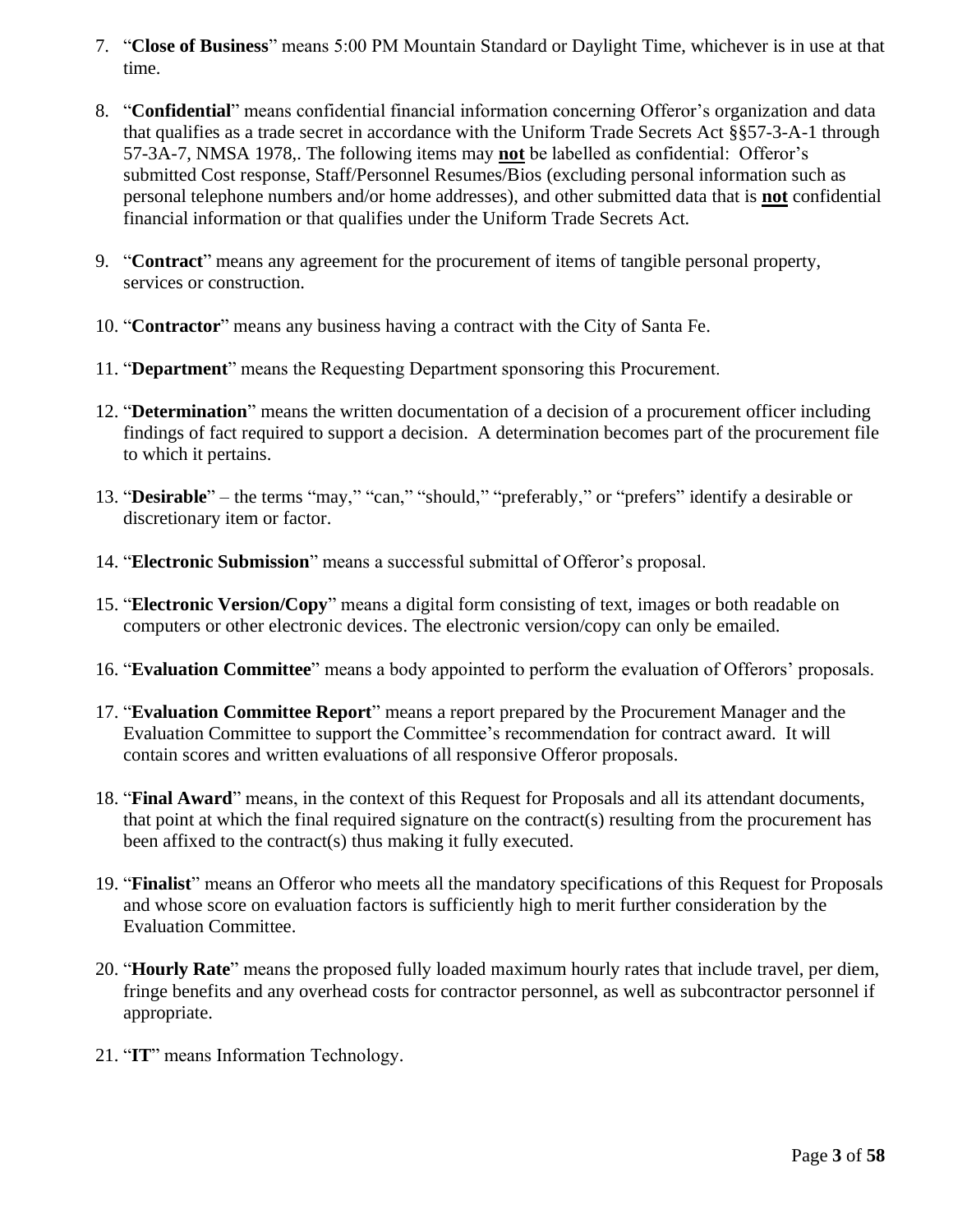- 7. "**Close of Business**" means 5:00 PM Mountain Standard or Daylight Time, whichever is in use at that time.
- 8. "**Confidential**" means confidential financial information concerning Offeror's organization and data that qualifies as a trade secret in accordance with the Uniform Trade Secrets Act §§57-3-A-1 through 57-3A-7, NMSA 1978,. The following items may **not** be labelled as confidential: Offeror's submitted Cost response, Staff/Personnel Resumes/Bios (excluding personal information such as personal telephone numbers and/or home addresses), and other submitted data that is **not** confidential financial information or that qualifies under the Uniform Trade Secrets Act.
- 9. "**Contract**" means any agreement for the procurement of items of tangible personal property, services or construction.
- 10. "**Contractor**" means any business having a contract with the City of Santa Fe.
- 11. "**Department**" means the Requesting Department sponsoring this Procurement.
- 12. "**Determination**" means the written documentation of a decision of a procurement officer including findings of fact required to support a decision. A determination becomes part of the procurement file to which it pertains.
- 13. "**Desirable**" the terms "may," "can," "should," "preferably," or "prefers" identify a desirable or discretionary item or factor.
- 14. "**Electronic Submission**" means a successful submittal of Offeror's proposal.
- 15. "**Electronic Version/Copy**" means a digital form consisting of text, images or both readable on computers or other electronic devices. The electronic version/copy can only be emailed.
- 16. "**Evaluation Committee**" means a body appointed to perform the evaluation of Offerors' proposals.
- 17. "**Evaluation Committee Report**" means a report prepared by the Procurement Manager and the Evaluation Committee to support the Committee's recommendation for contract award. It will contain scores and written evaluations of all responsive Offeror proposals.
- 18. "**Final Award**" means, in the context of this Request for Proposals and all its attendant documents, that point at which the final required signature on the contract(s) resulting from the procurement has been affixed to the contract(s) thus making it fully executed.
- 19. "**Finalist**" means an Offeror who meets all the mandatory specifications of this Request for Proposals and whose score on evaluation factors is sufficiently high to merit further consideration by the Evaluation Committee.
- 20. "**Hourly Rate**" means the proposed fully loaded maximum hourly rates that include travel, per diem, fringe benefits and any overhead costs for contractor personnel, as well as subcontractor personnel if appropriate.
- 21. "**IT**" means Information Technology.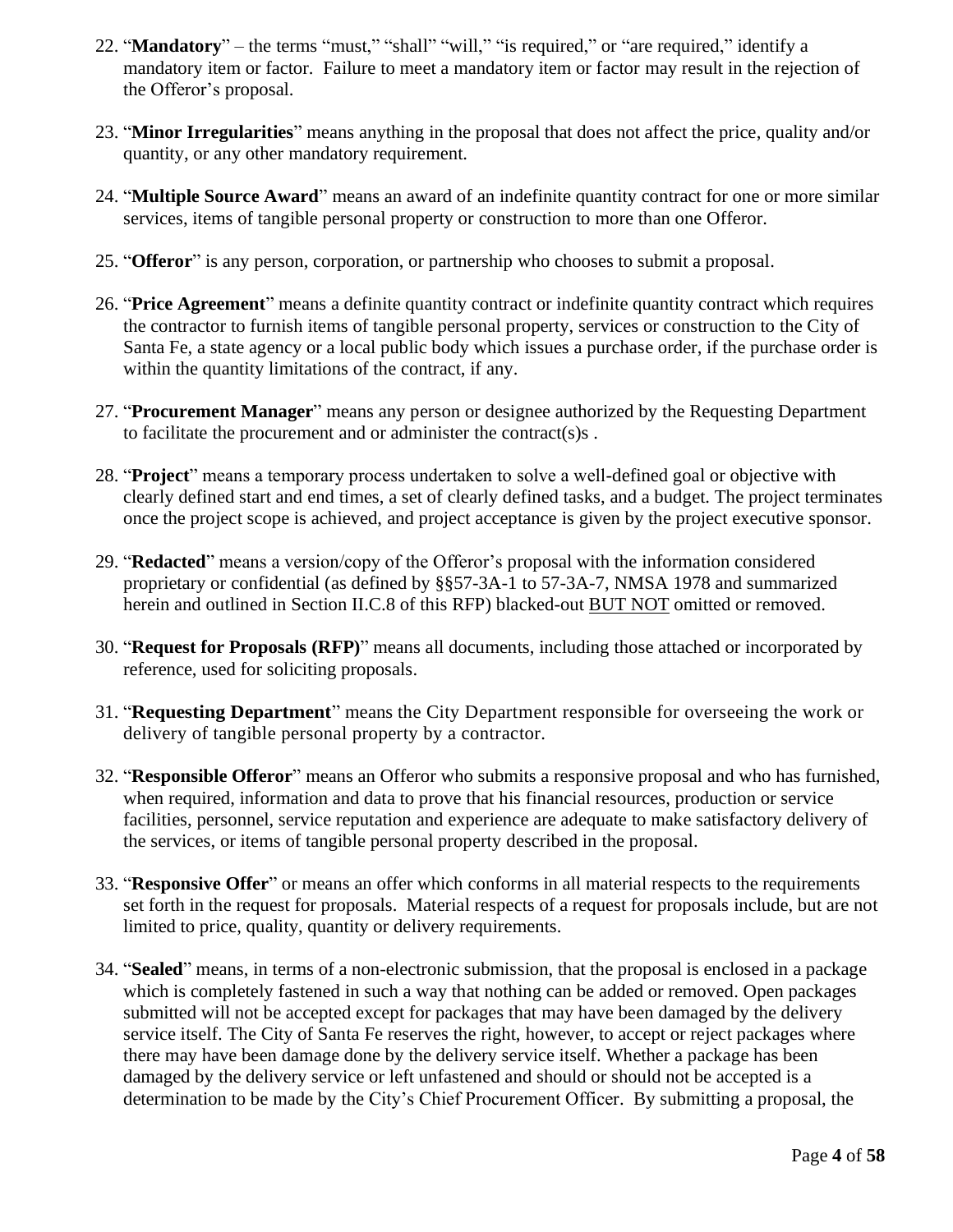- 22. "**Mandatory**" the terms "must," "shall" "will," "is required," or "are required," identify a mandatory item or factor. Failure to meet a mandatory item or factor may result in the rejection of the Offeror's proposal.
- 23. "**Minor Irregularities**" means anything in the proposal that does not affect the price, quality and/or quantity, or any other mandatory requirement.
- 24. "**Multiple Source Award**" means an award of an indefinite quantity contract for one or more similar services, items of tangible personal property or construction to more than one Offeror.
- 25. "**Offeror**" is any person, corporation, or partnership who chooses to submit a proposal.
- 26. "**Price Agreement**" means a definite quantity contract or indefinite quantity contract which requires the contractor to furnish items of tangible personal property, services or construction to the City of Santa Fe, a state agency or a local public body which issues a purchase order, if the purchase order is within the quantity limitations of the contract, if any.
- 27. "**Procurement Manager**" means any person or designee authorized by the Requesting Department to facilitate the procurement and or administer the contract(s)s .
- 28. "**Project**" means a temporary process undertaken to solve a well-defined goal or objective with clearly defined start and end times, a set of clearly defined tasks, and a budget. The project terminates once the project scope is achieved, and project acceptance is given by the project executive sponsor.
- 29. "**Redacted**" means a version/copy of the Offeror's proposal with the information considered proprietary or confidential (as defined by §§57-3A-1 to 57-3A-7, NMSA 1978 and summarized herein and outlined in Section II.C.8 of this RFP) blacked-out BUT NOT omitted or removed.
- 30. "**Request for Proposals (RFP)**" means all documents, including those attached or incorporated by reference, used for soliciting proposals.
- 31. "**Requesting Department**" means the City Department responsible for overseeing the work or delivery of tangible personal property by a contractor.
- 32. "**Responsible Offeror**" means an Offeror who submits a responsive proposal and who has furnished, when required, information and data to prove that his financial resources, production or service facilities, personnel, service reputation and experience are adequate to make satisfactory delivery of the services, or items of tangible personal property described in the proposal.
- 33. "**Responsive Offer**" or means an offer which conforms in all material respects to the requirements set forth in the request for proposals. Material respects of a request for proposals include, but are not limited to price, quality, quantity or delivery requirements.
- 34. "**Sealed**" means, in terms of a non-electronic submission, that the proposal is enclosed in a package which is completely fastened in such a way that nothing can be added or removed. Open packages submitted will not be accepted except for packages that may have been damaged by the delivery service itself. The City of Santa Fe reserves the right, however, to accept or reject packages where there may have been damage done by the delivery service itself. Whether a package has been damaged by the delivery service or left unfastened and should or should not be accepted is a determination to be made by the City's Chief Procurement Officer. By submitting a proposal, the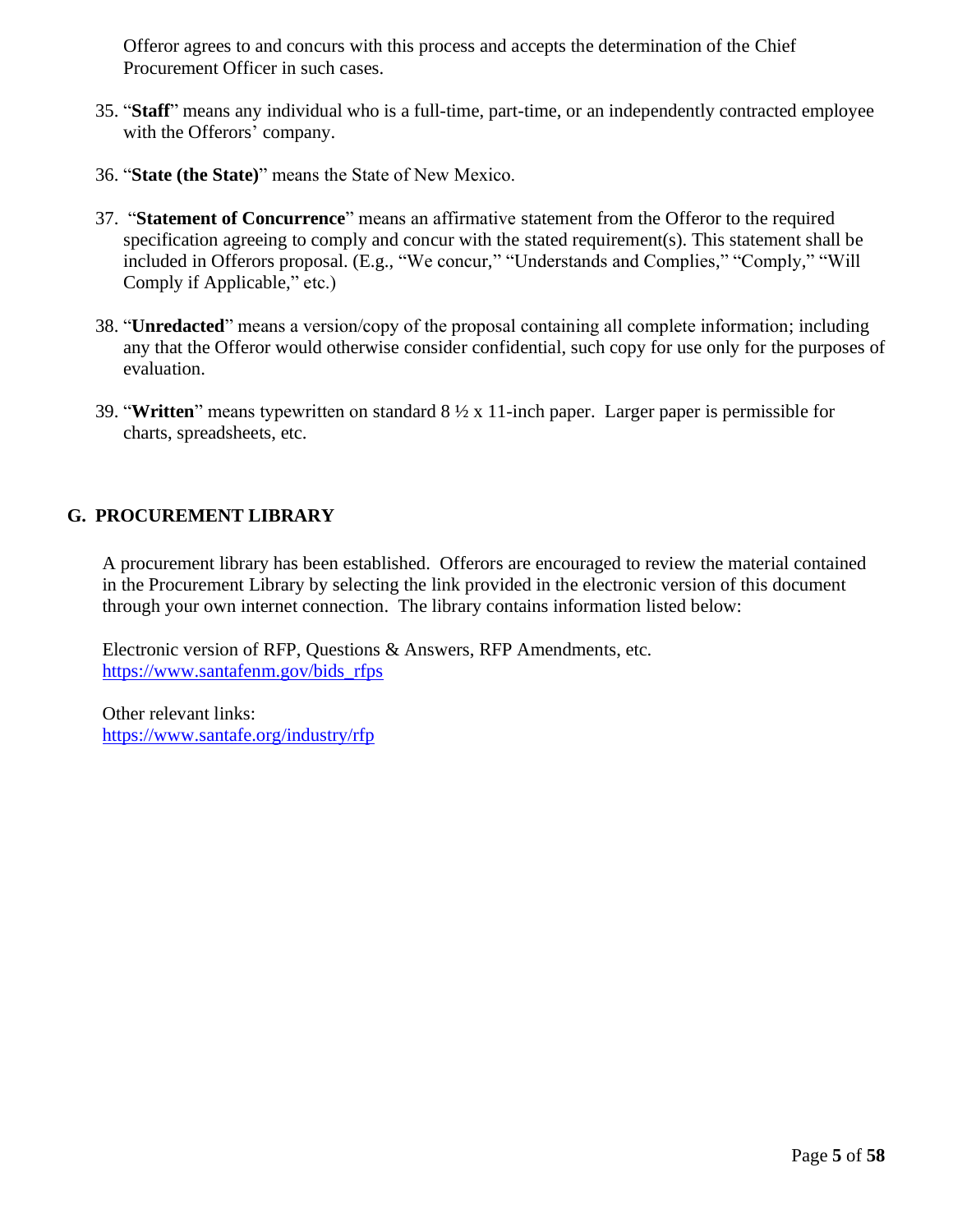Offeror agrees to and concurs with this process and accepts the determination of the Chief Procurement Officer in such cases.

- 35. "**Staff**" means any individual who is a full-time, part-time, or an independently contracted employee with the Offerors' company.
- 36. "**State (the State)**" means the State of New Mexico.
- 37. "**Statement of Concurrence**" means an affirmative statement from the Offeror to the required specification agreeing to comply and concur with the stated requirement(s). This statement shall be included in Offerors proposal. (E.g., "We concur," "Understands and Complies," "Comply," "Will Comply if Applicable," etc.)
- 38. "**Unredacted**" means a version/copy of the proposal containing all complete information; including any that the Offeror would otherwise consider confidential, such copy for use only for the purposes of evaluation.
- 39. "**Written**" means typewritten on standard 8 ½ x 11-inch paper. Larger paper is permissible for charts, spreadsheets, etc.

# <span id="page-8-0"></span>**G. PROCUREMENT LIBRARY**

A procurement library has been established. Offerors are encouraged to review the material contained in the Procurement Library by selecting the link provided in the electronic version of this document through your own internet connection. The library contains information listed below:

Electronic version of RFP, Questions & Answers, RFP Amendments, etc. [https://www.santafenm.gov/bids\\_rfps](https://www.santafenm.gov/bids_rfps)

Other relevant links: <https://www.santafe.org/industry/rfp>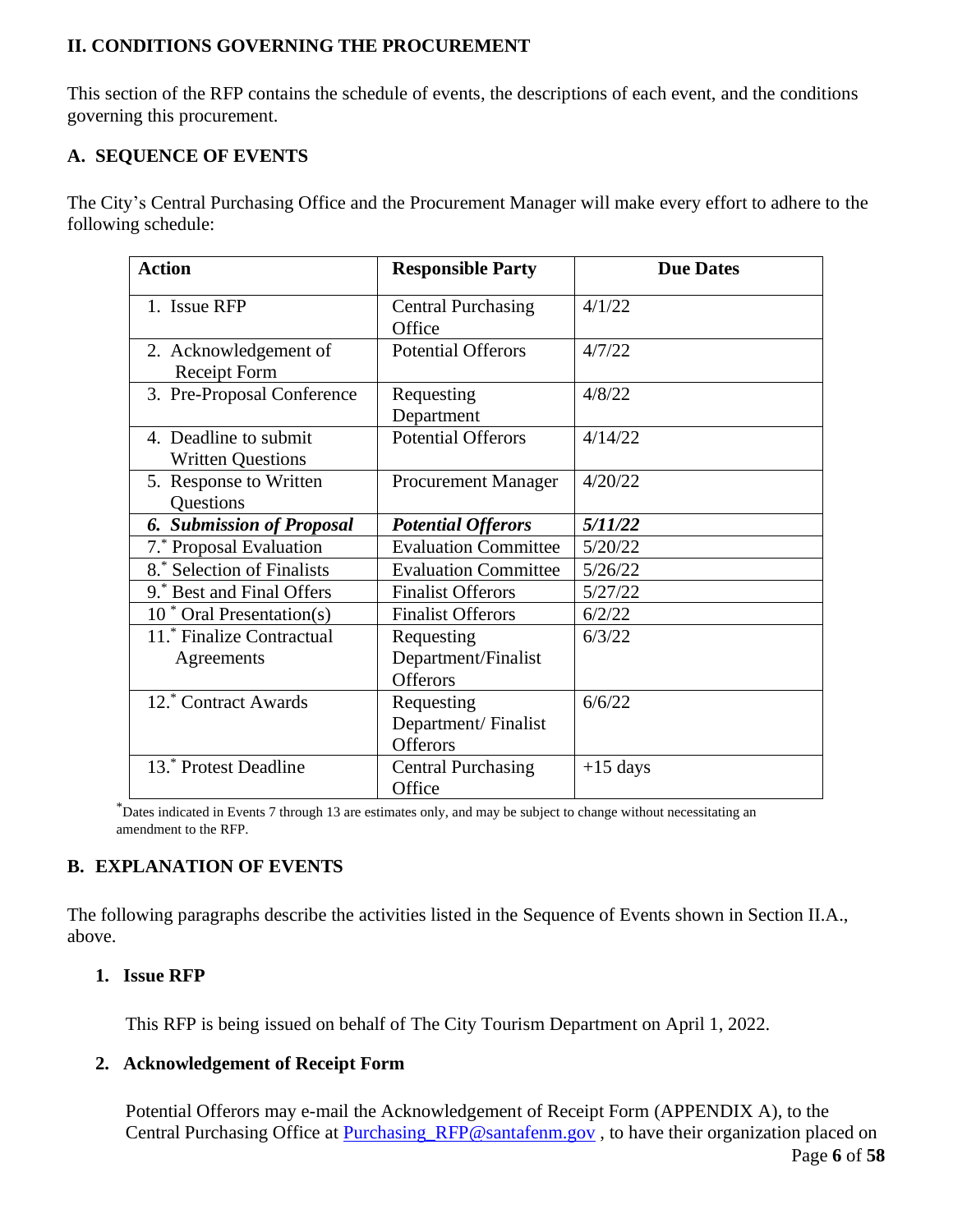# <span id="page-9-0"></span>**II. CONDITIONS GOVERNING THE PROCUREMENT**

This section of the RFP contains the schedule of events, the descriptions of each event, and the conditions governing this procurement.

# <span id="page-9-1"></span>**A. SEQUENCE OF EVENTS**

The City's Central Purchasing Office and the Procurement Manager will make every effort to adhere to the following schedule:

| <b>Action</b>                                     | <b>Responsible Party</b>                             | <b>Due Dates</b> |
|---------------------------------------------------|------------------------------------------------------|------------------|
| 1. Issue RFP                                      | <b>Central Purchasing</b><br>Office                  | 4/1/22           |
| 2. Acknowledgement of<br><b>Receipt Form</b>      | <b>Potential Offerors</b>                            | 4/7/22           |
| 3. Pre-Proposal Conference                        | Requesting<br>Department                             | 4/8/22           |
| 4. Deadline to submit<br><b>Written Questions</b> | <b>Potential Offerors</b>                            | 4/14/22          |
| 5. Response to Written<br>Questions               | <b>Procurement Manager</b>                           | 4/20/22          |
| <b>6. Submission of Proposal</b>                  | <b>Potential Offerors</b>                            | 5/11/22          |
| 7.* Proposal Evaluation                           | <b>Evaluation Committee</b>                          | 5/20/22          |
| 8.* Selection of Finalists                        | <b>Evaluation Committee</b>                          | 5/26/22          |
| 9.* Best and Final Offers                         | <b>Finalist Offerors</b>                             | 5/27/22          |
| $10^*$ Oral Presentation(s)                       | <b>Finalist Offerors</b>                             | 6/2/22           |
| 11. Finalize Contractual<br>Agreements            | Requesting<br>Department/Finalist<br><b>Offerors</b> | 6/3/22           |
| 12.* Contract Awards                              | Requesting<br>Department/Finalist<br><b>Offerors</b> | 6/6/22           |
| 13.* Protest Deadline                             | <b>Central Purchasing</b><br>Office                  | $+15$ days       |

\*Dates indicated in Events 7 through 13 are estimates only, and may be subject to change without necessitating an amendment to the RFP.

# <span id="page-9-2"></span>**B. EXPLANATION OF EVENTS**

The following paragraphs describe the activities listed in the Sequence of Events shown in Section II.A., above.

# <span id="page-9-3"></span>**1. Issue RFP**

This RFP is being issued on behalf of The City Tourism Department on April 1, 2022.

# <span id="page-9-4"></span>**2. Acknowledgement of Receipt Form**

Potential Offerors may e-mail the Acknowledgement of Receipt Form (APPENDIX A), to the Central Purchasing Office at Purchasing RFP@santafenm.gov, to have their organization placed on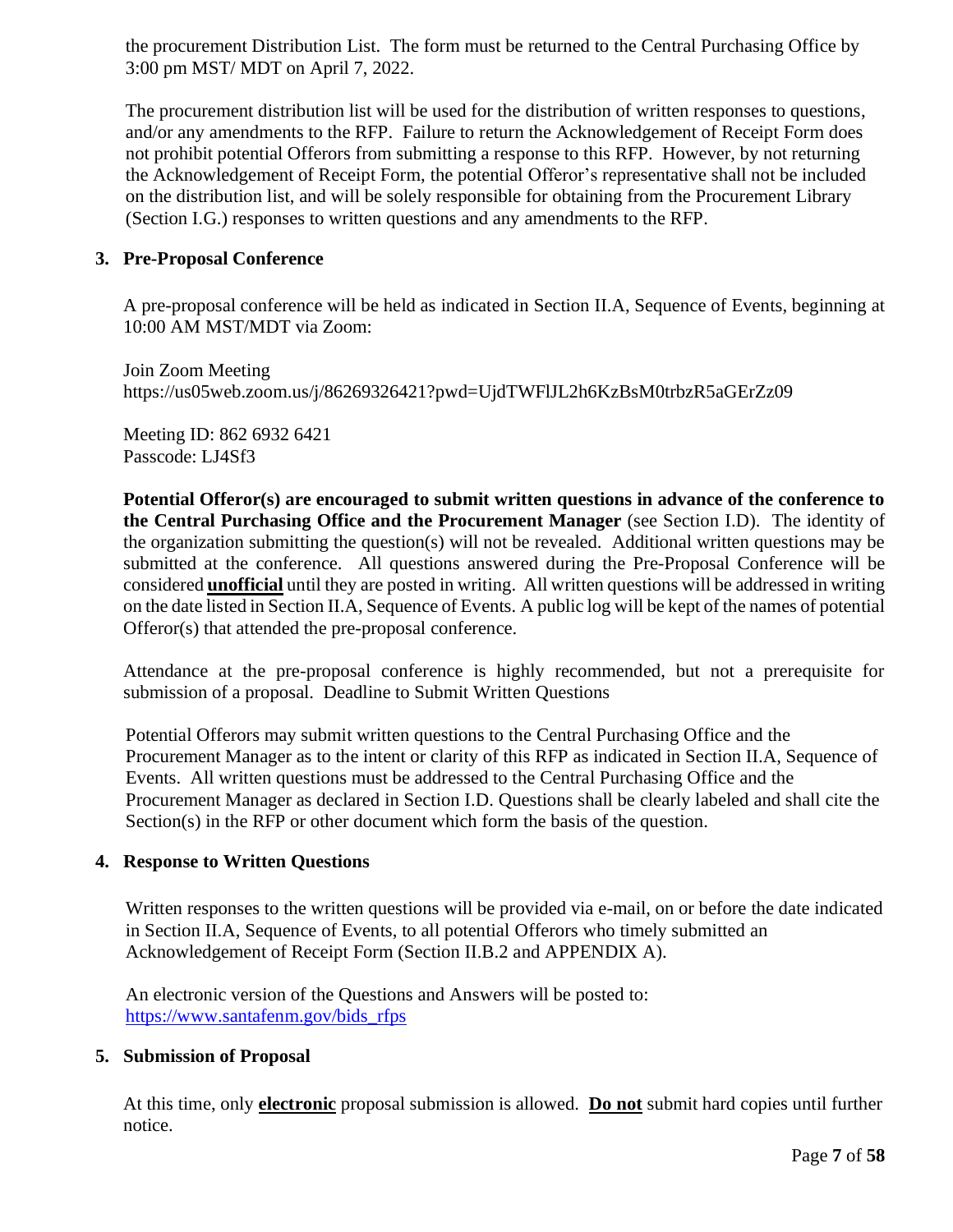the procurement Distribution List. The form must be returned to the Central Purchasing Office by 3:00 pm MST/ MDT on April 7, 2022.

The procurement distribution list will be used for the distribution of written responses to questions, and/or any amendments to the RFP. Failure to return the Acknowledgement of Receipt Form does not prohibit potential Offerors from submitting a response to this RFP. However, by not returning the Acknowledgement of Receipt Form, the potential Offeror's representative shall not be included on the distribution list, and will be solely responsible for obtaining from the Procurement Library (Section I.G.) responses to written questions and any amendments to the RFP.

#### <span id="page-10-0"></span>**3. Pre-Proposal Conference**

A pre-proposal conference will be held as indicated in Section II.A, Sequence of Events, beginning at 10:00 AM MST/MDT via Zoom:

Join Zoom Meeting https://us05web.zoom.us/j/86269326421?pwd=UjdTWFlJL2h6KzBsM0trbzR5aGErZz09

Meeting ID: 862 6932 6421 Passcode: LJ4Sf3

**Potential Offeror(s) are encouraged to submit written questions in advance of the conference to the Central Purchasing Office and the Procurement Manager** (see Section I.D). The identity of the organization submitting the question(s) will not be revealed. Additional written questions may be submitted at the conference. All questions answered during the Pre-Proposal Conference will be considered **unofficial** until they are posted in writing. All written questions will be addressed in writing on the date listed in Section II.A, Sequence of Events. A public log will be kept of the names of potential Offeror(s) that attended the pre-proposal conference.

Attendance at the pre-proposal conference is highly recommended, but not a prerequisite for submission of a proposal. Deadline to Submit Written Questions

Potential Offerors may submit written questions to the Central Purchasing Office and the Procurement Manager as to the intent or clarity of this RFP as indicated in Section II.A, Sequence of Events. All written questions must be addressed to the Central Purchasing Office and the Procurement Manager as declared in Section I.D. Questions shall be clearly labeled and shall cite the Section(s) in the RFP or other document which form the basis of the question.

#### <span id="page-10-1"></span>**4. Response to Written Questions**

Written responses to the written questions will be provided via e-mail, on or before the date indicated in Section II.A, Sequence of Events, to all potential Offerors who timely submitted an Acknowledgement of Receipt Form (Section II.B.2 and APPENDIX A).

An electronic version of the Questions and Answers will be posted to: [https://www.santafenm.gov/bids\\_rfps](https://www.santafenm.gov/bids_rfps)

#### <span id="page-10-2"></span>**5. Submission of Proposal**

At this time, only **electronic** proposal submission is allowed. **Do not** submit hard copies until further notice.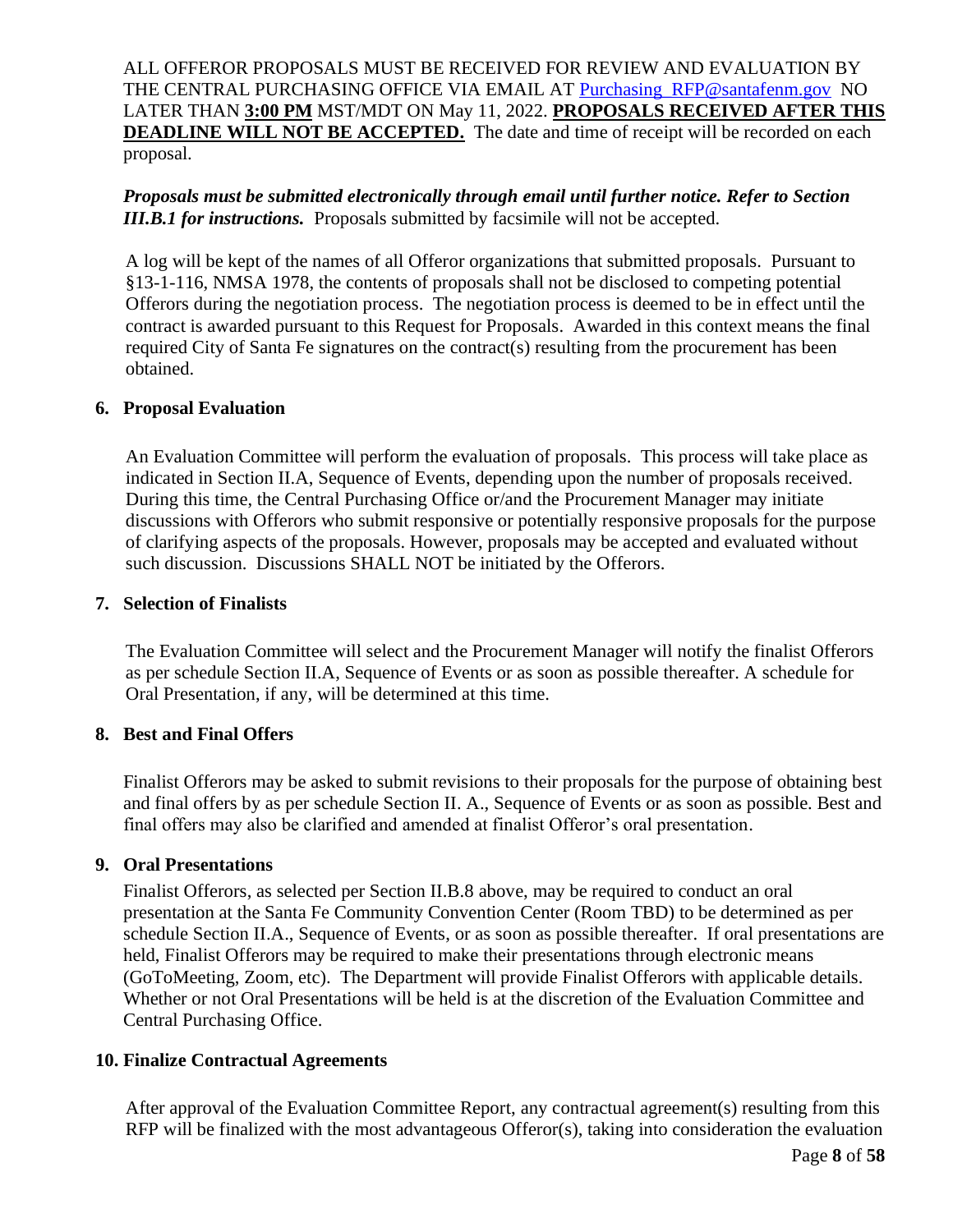ALL OFFEROR PROPOSALS MUST BE RECEIVED FOR REVIEW AND EVALUATION BY THE CENTRAL PURCHASING OFFICE VIA EMAIL AT [Purchasing\\_RFP@santafenm.gov](mailto:Purchasing_RFP@santafenm.gov) NO LATER THAN **3:00 PM** MST/MDT ON May 11, 2022. **PROPOSALS RECEIVED AFTER THIS DEADLINE WILL NOT BE ACCEPTED.** The date and time of receipt will be recorded on each proposal.

## *Proposals must be submitted electronically through email until further notice. Refer to Section III.B.1 for instructions.* Proposals submitted by facsimile will not be accepted.

A log will be kept of the names of all Offeror organizations that submitted proposals. Pursuant to §13-1-116, NMSA 1978, the contents of proposals shall not be disclosed to competing potential Offerors during the negotiation process. The negotiation process is deemed to be in effect until the contract is awarded pursuant to this Request for Proposals. Awarded in this context means the final required City of Santa Fe signatures on the contract(s) resulting from the procurement has been obtained.

#### <span id="page-11-0"></span>**6. Proposal Evaluation**

An Evaluation Committee will perform the evaluation of proposals. This process will take place as indicated in Section II.A, Sequence of Events, depending upon the number of proposals received. During this time, the Central Purchasing Office or/and the Procurement Manager may initiate discussions with Offerors who submit responsive or potentially responsive proposals for the purpose of clarifying aspects of the proposals. However, proposals may be accepted and evaluated without such discussion. Discussions SHALL NOT be initiated by the Offerors.

#### <span id="page-11-1"></span>**7. Selection of Finalists**

The Evaluation Committee will select and the Procurement Manager will notify the finalist Offerors as per schedule Section II.A, Sequence of Events or as soon as possible thereafter. A schedule for Oral Presentation, if any, will be determined at this time.

# <span id="page-11-2"></span>**8. Best and Final Offers**

Finalist Offerors may be asked to submit revisions to their proposals for the purpose of obtaining best and final offers by as per schedule Section II. A., Sequence of Events or as soon as possible. Best and final offers may also be clarified and amended at finalist Offeror's oral presentation.

#### <span id="page-11-3"></span>**9. Oral Presentations**

Finalist Offerors, as selected per Section II.B.8 above, may be required to conduct an oral presentation at the Santa Fe Community Convention Center (Room TBD) to be determined as per schedule Section II.A., Sequence of Events, or as soon as possible thereafter. If oral presentations are held, Finalist Offerors may be required to make their presentations through electronic means (GoToMeeting, Zoom, etc). The Department will provide Finalist Offerors with applicable details. Whether or not Oral Presentations will be held is at the discretion of the Evaluation Committee and Central Purchasing Office.

# <span id="page-11-4"></span>**10. Finalize Contractual Agreements**

After approval of the Evaluation Committee Report, any contractual agreement(s) resulting from this RFP will be finalized with the most advantageous Offeror(s), taking into consideration the evaluation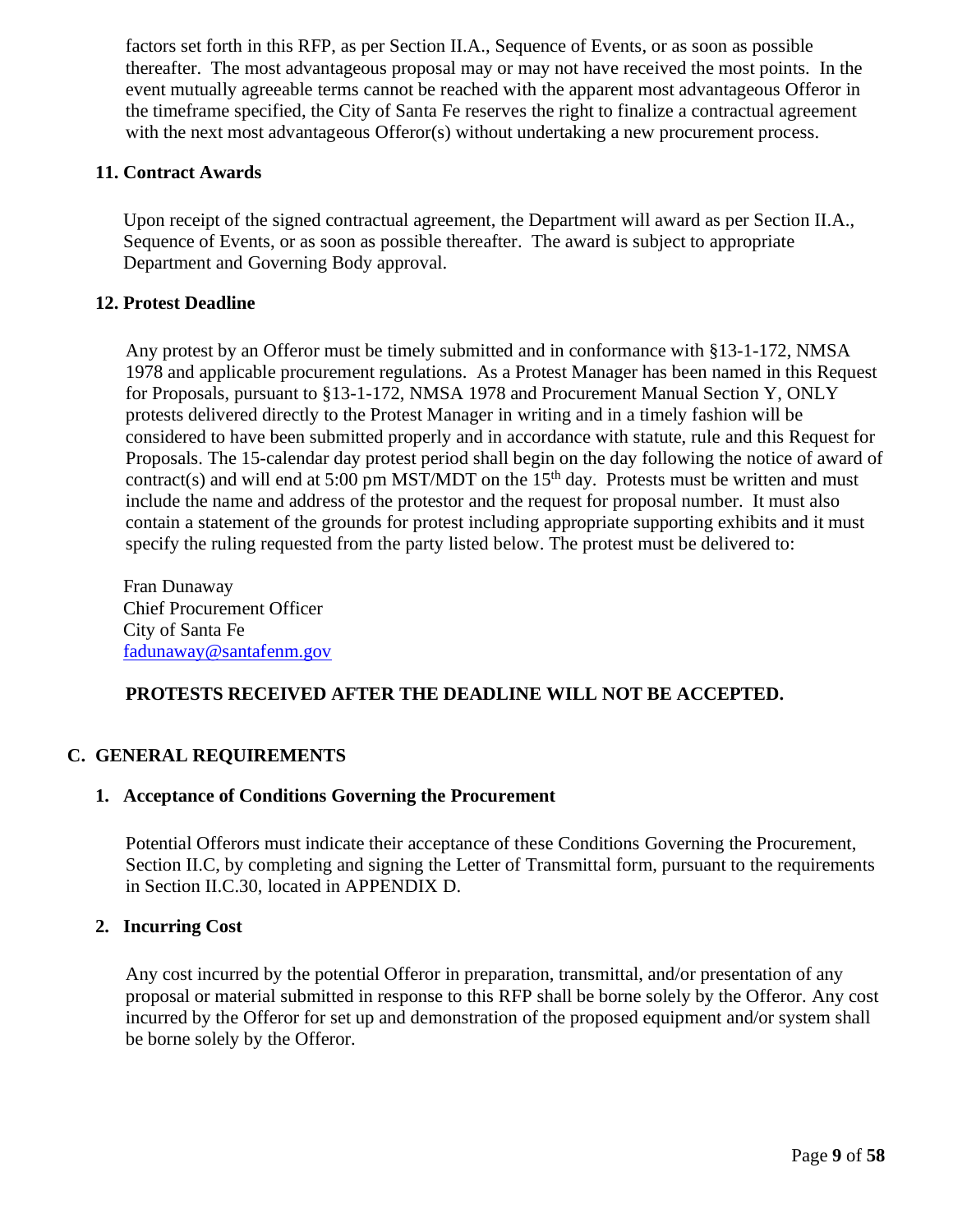factors set forth in this RFP, as per Section II.A., Sequence of Events, or as soon as possible thereafter. The most advantageous proposal may or may not have received the most points. In the event mutually agreeable terms cannot be reached with the apparent most advantageous Offeror in the timeframe specified, the City of Santa Fe reserves the right to finalize a contractual agreement with the next most advantageous Offeror(s) without undertaking a new procurement process.

## <span id="page-12-0"></span>**11. Contract Awards**

Upon receipt of the signed contractual agreement, the Department will award as per Section II.A., Sequence of Events, or as soon as possible thereafter. The award is subject to appropriate Department and Governing Body approval.

# <span id="page-12-1"></span>**12. Protest Deadline**

Any protest by an Offeror must be timely submitted and in conformance with §13-1-172, NMSA 1978 and applicable procurement regulations. As a Protest Manager has been named in this Request for Proposals, pursuant to §13-1-172, NMSA 1978 and Procurement Manual Section Y, ONLY protests delivered directly to the Protest Manager in writing and in a timely fashion will be considered to have been submitted properly and in accordance with statute, rule and this Request for Proposals. The 15-calendar day protest period shall begin on the day following the notice of award of contract(s) and will end at 5:00 pm MST/MDT on the  $15<sup>th</sup>$  day. Protests must be written and must include the name and address of the protestor and the request for proposal number. It must also contain a statement of the grounds for protest including appropriate supporting exhibits and it must specify the ruling requested from the party listed below. The protest must be delivered to:

Fran Dunaway Chief Procurement Officer City of Santa Fe [fadunaway@santafenm.gov](mailto:fadunaway@santafenm.gov)

# **PROTESTS RECEIVED AFTER THE DEADLINE WILL NOT BE ACCEPTED.**

# <span id="page-12-3"></span><span id="page-12-2"></span>**C. GENERAL REQUIREMENTS**

#### **1. Acceptance of Conditions Governing the Procurement**

Potential Offerors must indicate their acceptance of these Conditions Governing the Procurement, Section II.C, by completing and signing the Letter of Transmittal form, pursuant to the requirements in Section II.C.30, located in APPENDIX D.

#### <span id="page-12-4"></span>**2. Incurring Cost**

Any cost incurred by the potential Offeror in preparation, transmittal, and/or presentation of any proposal or material submitted in response to this RFP shall be borne solely by the Offeror. Any cost incurred by the Offeror for set up and demonstration of the proposed equipment and/or system shall be borne solely by the Offeror.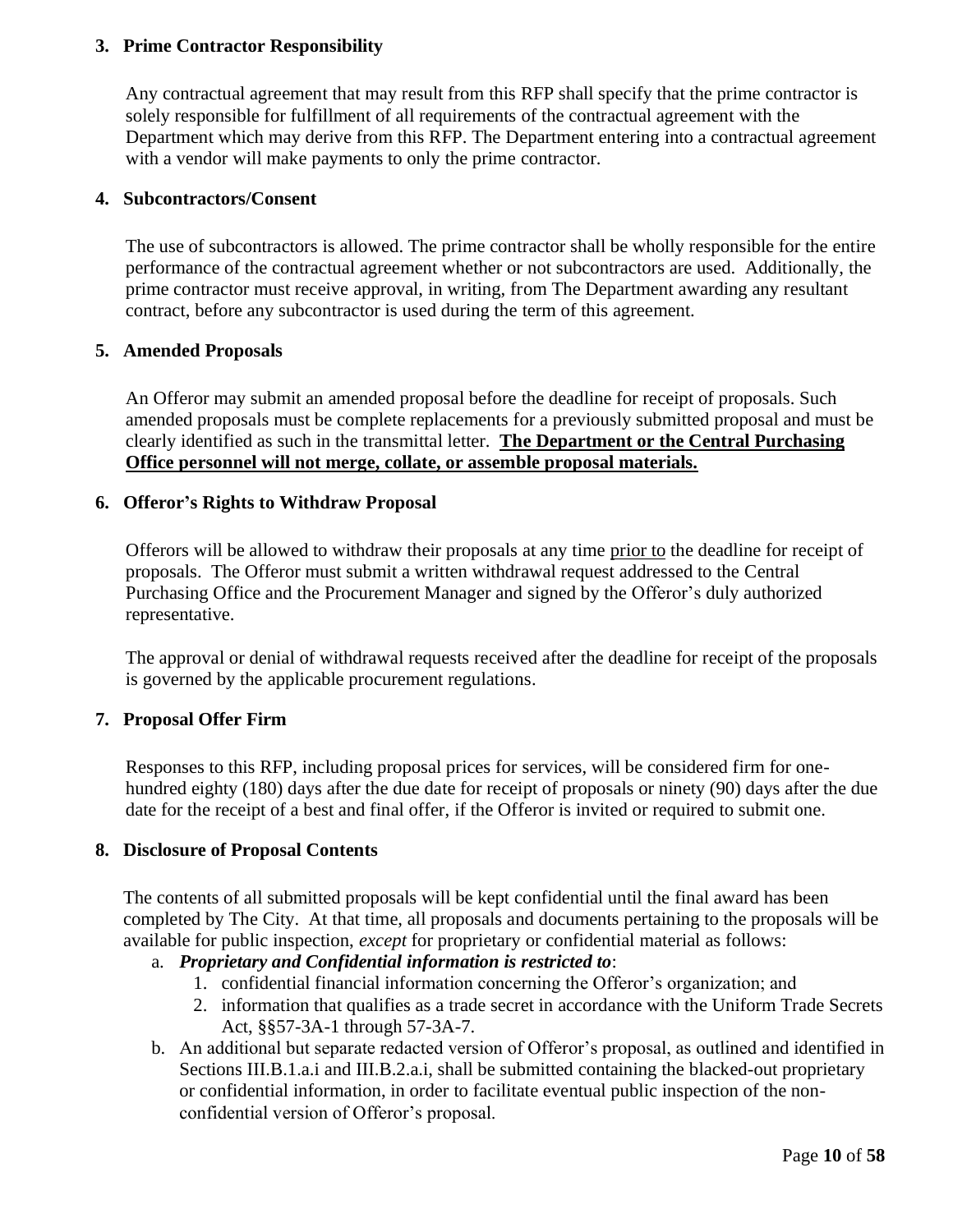## <span id="page-13-0"></span>**3. Prime Contractor Responsibility**

Any contractual agreement that may result from this RFP shall specify that the prime contractor is solely responsible for fulfillment of all requirements of the contractual agreement with the Department which may derive from this RFP. The Department entering into a contractual agreement with a vendor will make payments to only the prime contractor.

#### <span id="page-13-1"></span>**4. Subcontractors/Consent**

The use of subcontractors is allowed. The prime contractor shall be wholly responsible for the entire performance of the contractual agreement whether or not subcontractors are used. Additionally, the prime contractor must receive approval, in writing, from The Department awarding any resultant contract, before any subcontractor is used during the term of this agreement.

#### <span id="page-13-2"></span>**5. Amended Proposals**

An Offeror may submit an amended proposal before the deadline for receipt of proposals. Such amended proposals must be complete replacements for a previously submitted proposal and must be clearly identified as such in the transmittal letter. **The Department or the Central Purchasing Office personnel will not merge, collate, or assemble proposal materials.**

#### <span id="page-13-3"></span>**6. Offeror's Rights to Withdraw Proposal**

Offerors will be allowed to withdraw their proposals at any time prior to the deadline for receipt of proposals. The Offeror must submit a written withdrawal request addressed to the Central Purchasing Office and the Procurement Manager and signed by the Offeror's duly authorized representative.

The approval or denial of withdrawal requests received after the deadline for receipt of the proposals is governed by the applicable procurement regulations.

#### <span id="page-13-4"></span>**7. Proposal Offer Firm**

Responses to this RFP, including proposal prices for services, will be considered firm for onehundred eighty (180) days after the due date for receipt of proposals or ninety (90) days after the due date for the receipt of a best and final offer, if the Offeror is invited or required to submit one.

#### <span id="page-13-5"></span>**8. Disclosure of Proposal Contents**

The contents of all submitted proposals will be kept confidential until the final award has been completed by The City. At that time, all proposals and documents pertaining to the proposals will be available for public inspection, *except* for proprietary or confidential material as follows:

# a. *Proprietary and Confidential information is restricted to*:

- 1. confidential financial information concerning the Offeror's organization; and
- 2. information that qualifies as a trade secret in accordance with the Uniform Trade Secrets Act, §§57-3A-1 through 57-3A-7.
- b. An additional but separate redacted version of Offeror's proposal, as outlined and identified in Sections III.B.1.a.i and III.B.2.a.i, shall be submitted containing the blacked-out proprietary or confidential information, in order to facilitate eventual public inspection of the nonconfidential version of Offeror's proposal.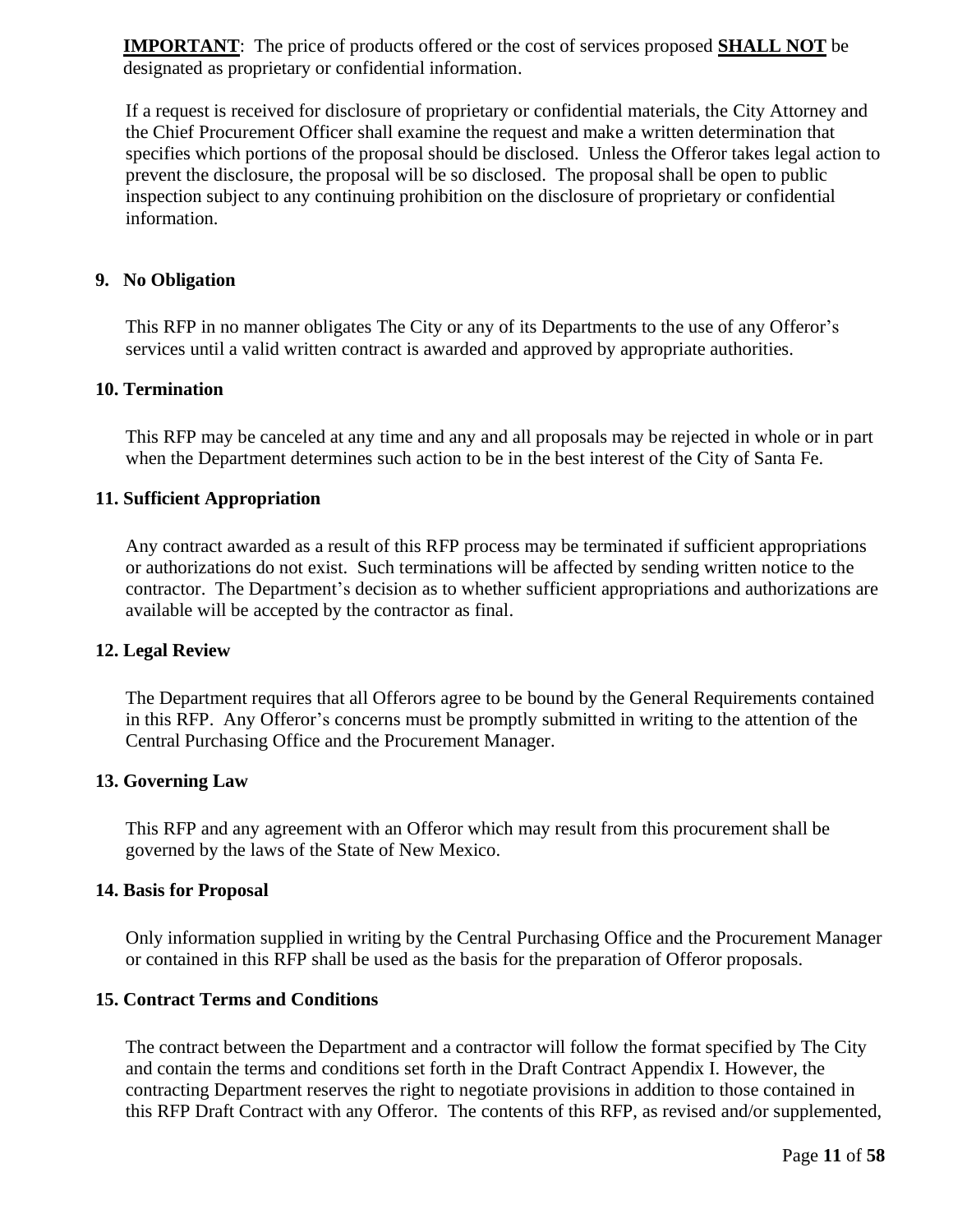**IMPORTANT**: The price of products offered or the cost of services proposed **SHALL NOT** be designated as proprietary or confidential information.

If a request is received for disclosure of proprietary or confidential materials, the City Attorney and the Chief Procurement Officer shall examine the request and make a written determination that specifies which portions of the proposal should be disclosed. Unless the Offeror takes legal action to prevent the disclosure, the proposal will be so disclosed. The proposal shall be open to public inspection subject to any continuing prohibition on the disclosure of proprietary or confidential information.

#### <span id="page-14-0"></span>**9. No Obligation**

This RFP in no manner obligates The City or any of its Departments to the use of any Offeror's services until a valid written contract is awarded and approved by appropriate authorities.

#### <span id="page-14-1"></span>**10. Termination**

This RFP may be canceled at any time and any and all proposals may be rejected in whole or in part when the Department determines such action to be in the best interest of the City of Santa Fe.

#### <span id="page-14-2"></span>**11. Sufficient Appropriation**

Any contract awarded as a result of this RFP process may be terminated if sufficient appropriations or authorizations do not exist. Such terminations will be affected by sending written notice to the contractor. The Department's decision as to whether sufficient appropriations and authorizations are available will be accepted by the contractor as final.

#### <span id="page-14-3"></span>**12. Legal Review**

The Department requires that all Offerors agree to be bound by the General Requirements contained in this RFP. Any Offeror's concerns must be promptly submitted in writing to the attention of the Central Purchasing Office and the Procurement Manager.

#### <span id="page-14-4"></span>**13. Governing Law**

This RFP and any agreement with an Offeror which may result from this procurement shall be governed by the laws of the State of New Mexico.

#### <span id="page-14-5"></span>**14. Basis for Proposal**

Only information supplied in writing by the Central Purchasing Office and the Procurement Manager or contained in this RFP shall be used as the basis for the preparation of Offeror proposals.

#### <span id="page-14-6"></span>**15. Contract Terms and Conditions**

The contract between the Department and a contractor will follow the format specified by The City and contain the terms and conditions set forth in the Draft Contract Appendix I. However, the contracting Department reserves the right to negotiate provisions in addition to those contained in this RFP Draft Contract with any Offeror. The contents of this RFP, as revised and/or supplemented,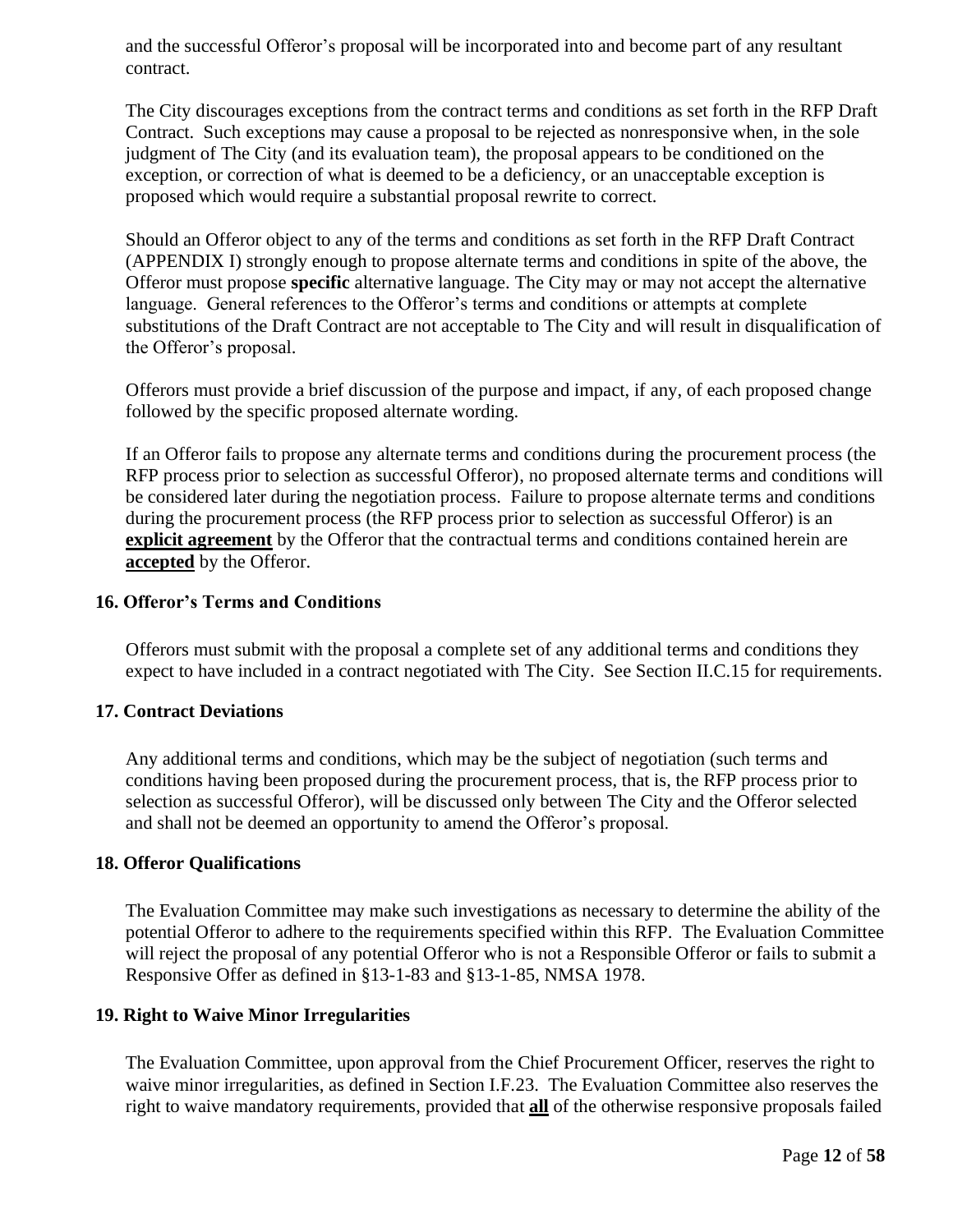and the successful Offeror's proposal will be incorporated into and become part of any resultant contract.

The City discourages exceptions from the contract terms and conditions as set forth in the RFP Draft Contract. Such exceptions may cause a proposal to be rejected as nonresponsive when, in the sole judgment of The City (and its evaluation team), the proposal appears to be conditioned on the exception, or correction of what is deemed to be a deficiency, or an unacceptable exception is proposed which would require a substantial proposal rewrite to correct.

Should an Offeror object to any of the terms and conditions as set forth in the RFP Draft Contract (APPENDIX I) strongly enough to propose alternate terms and conditions in spite of the above, the Offeror must propose **specific** alternative language. The City may or may not accept the alternative language. General references to the Offeror's terms and conditions or attempts at complete substitutions of the Draft Contract are not acceptable to The City and will result in disqualification of the Offeror's proposal.

Offerors must provide a brief discussion of the purpose and impact, if any, of each proposed change followed by the specific proposed alternate wording.

If an Offeror fails to propose any alternate terms and conditions during the procurement process (the RFP process prior to selection as successful Offeror), no proposed alternate terms and conditions will be considered later during the negotiation process. Failure to propose alternate terms and conditions during the procurement process (the RFP process prior to selection as successful Offeror) is an **explicit agreement** by the Offeror that the contractual terms and conditions contained herein are **accepted** by the Offeror.

#### <span id="page-15-0"></span>**16. Offeror's Terms and Conditions**

Offerors must submit with the proposal a complete set of any additional terms and conditions they expect to have included in a contract negotiated with The City. See Section II.C.15 for requirements.

#### <span id="page-15-1"></span>**17. Contract Deviations**

Any additional terms and conditions, which may be the subject of negotiation (such terms and conditions having been proposed during the procurement process, that is, the RFP process prior to selection as successful Offeror), will be discussed only between The City and the Offeror selected and shall not be deemed an opportunity to amend the Offeror's proposal.

#### <span id="page-15-2"></span>**18. Offeror Qualifications**

The Evaluation Committee may make such investigations as necessary to determine the ability of the potential Offeror to adhere to the requirements specified within this RFP. The Evaluation Committee will reject the proposal of any potential Offeror who is not a Responsible Offeror or fails to submit a Responsive Offer as defined in §13-1-83 and §13-1-85, NMSA 1978.

#### <span id="page-15-3"></span>**19. Right to Waive Minor Irregularities**

The Evaluation Committee, upon approval from the Chief Procurement Officer, reserves the right to waive minor irregularities, as defined in Section I.F.23. The Evaluation Committee also reserves the right to waive mandatory requirements, provided that **all** of the otherwise responsive proposals failed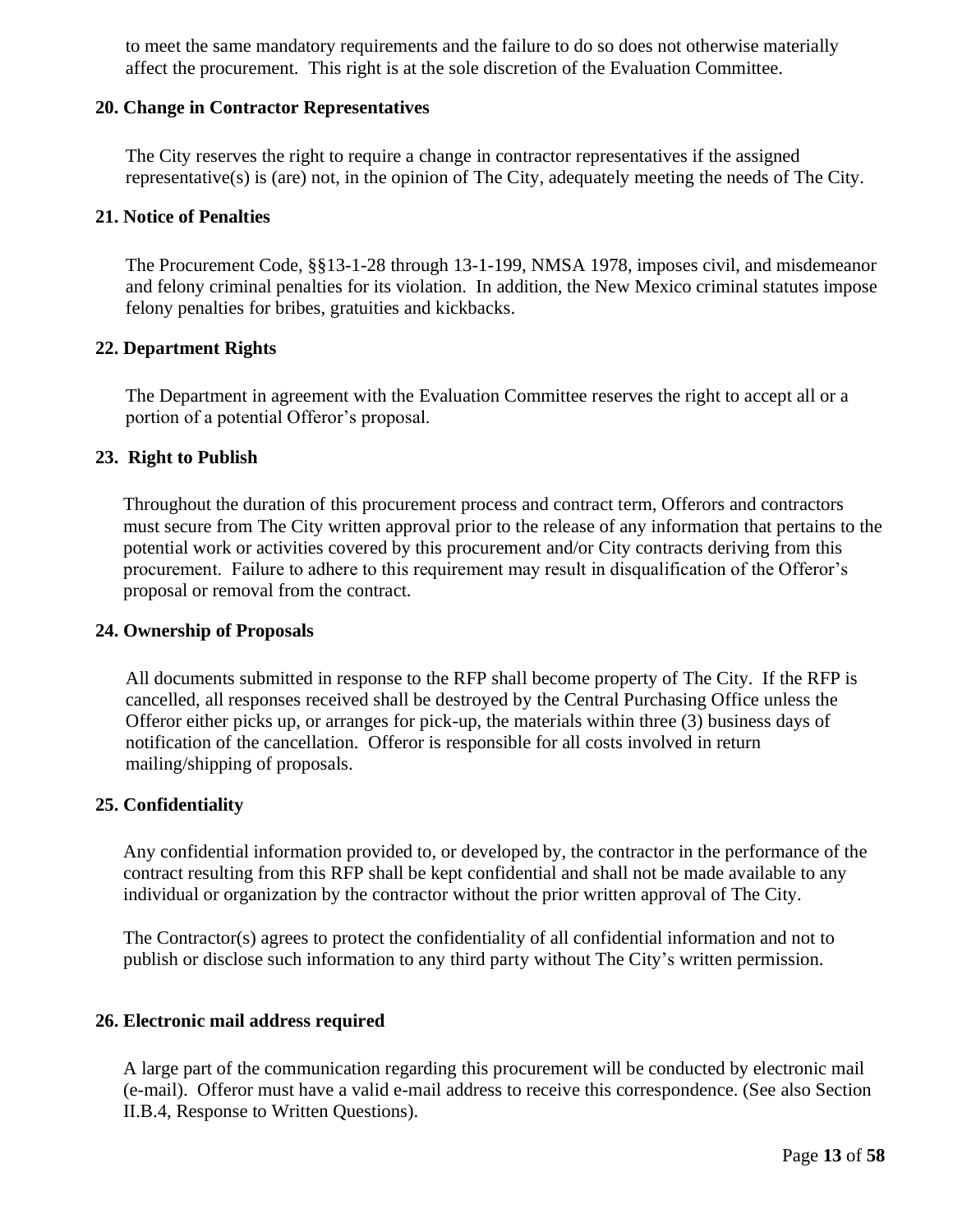to meet the same mandatory requirements and the failure to do so does not otherwise materially affect the procurement. This right is at the sole discretion of the Evaluation Committee.

#### <span id="page-16-0"></span>**20. Change in Contractor Representatives**

The City reserves the right to require a change in contractor representatives if the assigned representative(s) is (are) not, in the opinion of The City, adequately meeting the needs of The City.

#### <span id="page-16-1"></span>**21. Notice of Penalties**

The Procurement Code, §§13-1-28 through 13-1-199, NMSA 1978, imposes civil, and misdemeanor and felony criminal penalties for its violation. In addition, the New Mexico criminal statutes impose felony penalties for bribes, gratuities and kickbacks.

#### <span id="page-16-2"></span>**22. Department Rights**

The Department in agreement with the Evaluation Committee reserves the right to accept all or a portion of a potential Offeror's proposal.

#### <span id="page-16-3"></span>**23. Right to Publish**

Throughout the duration of this procurement process and contract term, Offerors and contractors must secure from The City written approval prior to the release of any information that pertains to the potential work or activities covered by this procurement and/or City contracts deriving from this procurement. Failure to adhere to this requirement may result in disqualification of the Offeror's proposal or removal from the contract.

#### <span id="page-16-4"></span>**24. Ownership of Proposals**

All documents submitted in response to the RFP shall become property of The City. If the RFP is cancelled, all responses received shall be destroyed by the Central Purchasing Office unless the Offeror either picks up, or arranges for pick-up, the materials within three (3) business days of notification of the cancellation. Offeror is responsible for all costs involved in return mailing/shipping of proposals.

#### <span id="page-16-5"></span>**25. Confidentiality**

Any confidential information provided to, or developed by, the contractor in the performance of the contract resulting from this RFP shall be kept confidential and shall not be made available to any individual or organization by the contractor without the prior written approval of The City.

The Contractor(s) agrees to protect the confidentiality of all confidential information and not to publish or disclose such information to any third party without The City's written permission.

#### <span id="page-16-6"></span>**26. Electronic mail address required**

A large part of the communication regarding this procurement will be conducted by electronic mail (e-mail). Offeror must have a valid e-mail address to receive this correspondence. (See also Section II.B.4, Response to Written Questions).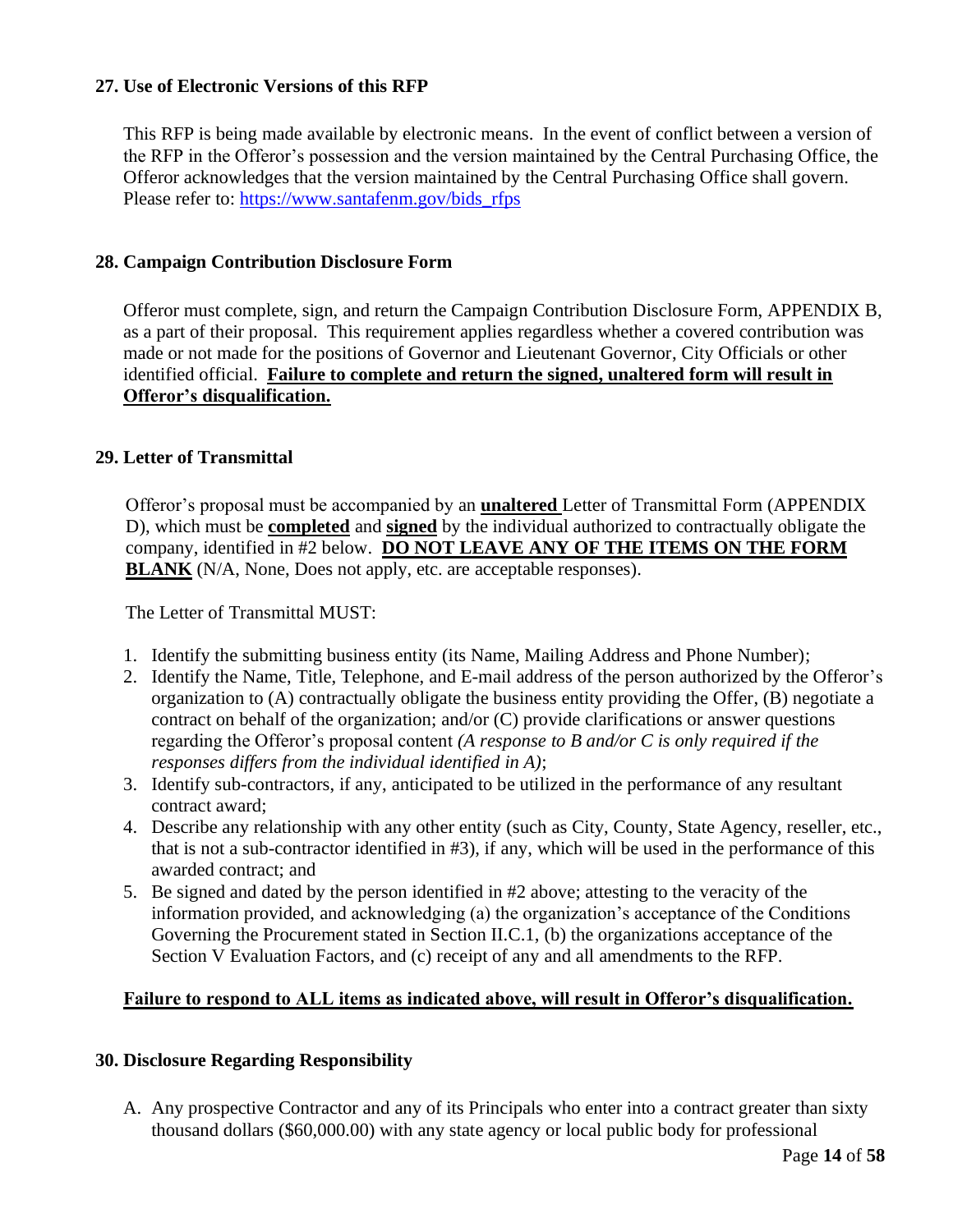# <span id="page-17-0"></span>**27. Use of Electronic Versions of this RFP**

This RFP is being made available by electronic means. In the event of conflict between a version of the RFP in the Offeror's possession and the version maintained by the Central Purchasing Office, the Offeror acknowledges that the version maintained by the Central Purchasing Office shall govern. Please refer to: [https://www.santafenm.gov/bids\\_rfps](https://www.santafenm.gov/bids_rfps)

#### <span id="page-17-1"></span>**28. Campaign Contribution Disclosure Form**

Offeror must complete, sign, and return the Campaign Contribution Disclosure Form, APPENDIX B, as a part of their proposal. This requirement applies regardless whether a covered contribution was made or not made for the positions of Governor and Lieutenant Governor, City Officials or other identified official. **Failure to complete and return the signed, unaltered form will result in Offeror's disqualification.**

#### <span id="page-17-2"></span>**29. Letter of Transmittal**

Offeror's proposal must be accompanied by an **unaltered** Letter of Transmittal Form (APPENDIX D), which must be **completed** and **signed** by the individual authorized to contractually obligate the company, identified in #2 below. **DO NOT LEAVE ANY OF THE ITEMS ON THE FORM BLANK** (N/A, None, Does not apply, etc. are acceptable responses).

The Letter of Transmittal MUST:

- 1. Identify the submitting business entity (its Name, Mailing Address and Phone Number);
- 2. Identify the Name, Title, Telephone, and E-mail address of the person authorized by the Offeror's organization to (A) contractually obligate the business entity providing the Offer, (B) negotiate a contract on behalf of the organization; and/or (C) provide clarifications or answer questions regarding the Offeror's proposal content *(A response to B and/or C is only required if the responses differs from the individual identified in A)*;
- 3. Identify sub-contractors, if any, anticipated to be utilized in the performance of any resultant contract award;
- 4. Describe any relationship with any other entity (such as City, County, State Agency, reseller, etc., that is not a sub-contractor identified in #3), if any, which will be used in the performance of this awarded contract; and
- 5. Be signed and dated by the person identified in #2 above; attesting to the veracity of the information provided, and acknowledging (a) the organization's acceptance of the Conditions Governing the Procurement stated in Section II.C.1, (b) the organizations acceptance of the Section V Evaluation Factors, and (c) receipt of any and all amendments to the RFP.

#### **Failure to respond to ALL items as indicated above, will result in Offeror's disqualification.**

#### <span id="page-17-3"></span>**30. Disclosure Regarding Responsibility**

A. Any prospective Contractor and any of its Principals who enter into a contract greater than sixty thousand dollars (\$60,000.00) with any state agency or local public body for professional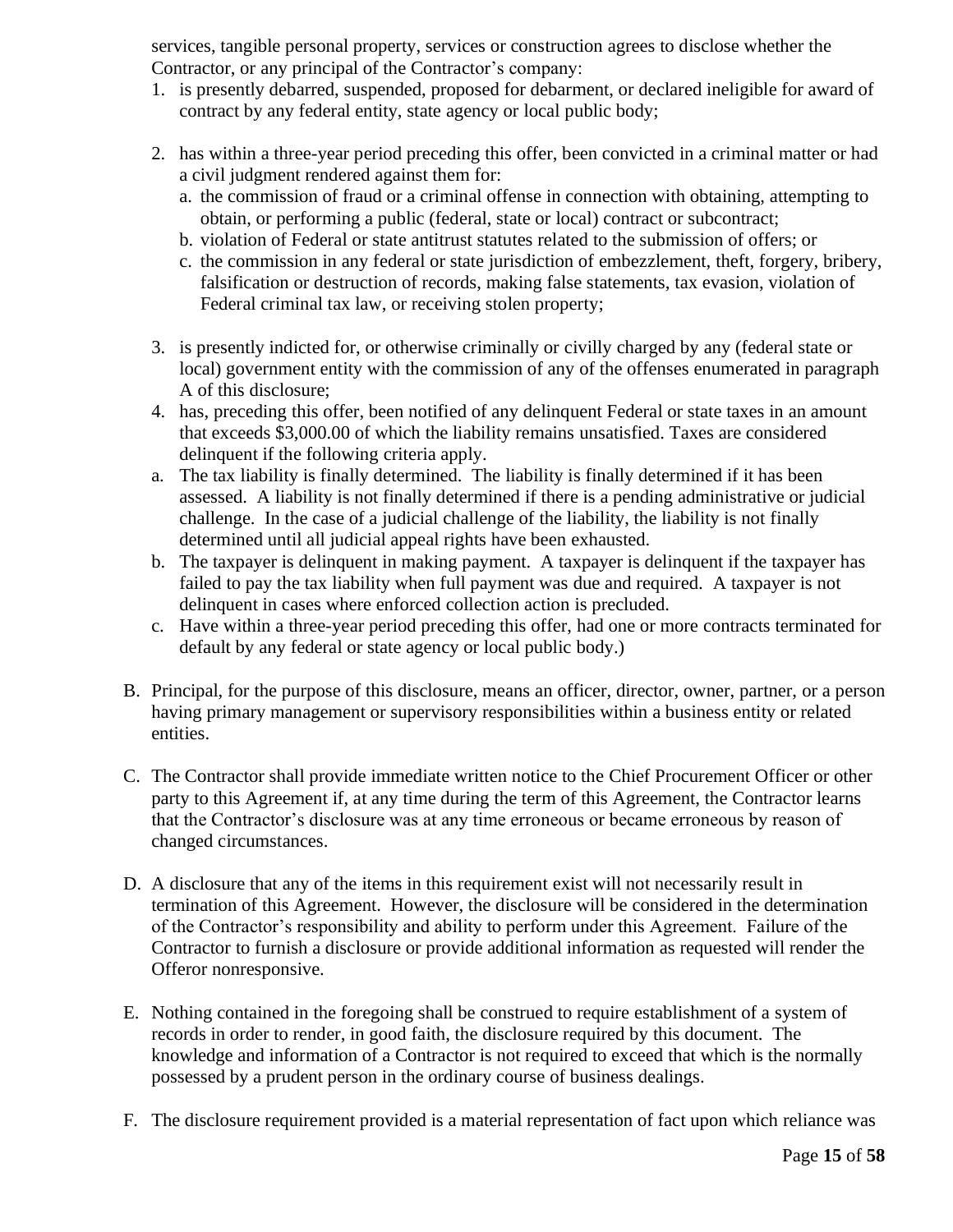services, tangible personal property, services or construction agrees to disclose whether the Contractor, or any principal of the Contractor's company:

- 1. is presently debarred, suspended, proposed for debarment, or declared ineligible for award of contract by any federal entity, state agency or local public body;
- 2. has within a three-year period preceding this offer, been convicted in a criminal matter or had a civil judgment rendered against them for:
	- a. the commission of fraud or a criminal offense in connection with obtaining, attempting to obtain, or performing a public (federal, state or local) contract or subcontract;
	- b. violation of Federal or state antitrust statutes related to the submission of offers; or
	- c. the commission in any federal or state jurisdiction of embezzlement, theft, forgery, bribery, falsification or destruction of records, making false statements, tax evasion, violation of Federal criminal tax law, or receiving stolen property;
- 3. is presently indicted for, or otherwise criminally or civilly charged by any (federal state or local) government entity with the commission of any of the offenses enumerated in paragraph A of this disclosure;
- 4. has, preceding this offer, been notified of any delinquent Federal or state taxes in an amount that exceeds \$3,000.00 of which the liability remains unsatisfied. Taxes are considered delinquent if the following criteria apply.
- a. The tax liability is finally determined. The liability is finally determined if it has been assessed. A liability is not finally determined if there is a pending administrative or judicial challenge. In the case of a judicial challenge of the liability, the liability is not finally determined until all judicial appeal rights have been exhausted.
- b. The taxpayer is delinquent in making payment. A taxpayer is delinquent if the taxpayer has failed to pay the tax liability when full payment was due and required. A taxpayer is not delinquent in cases where enforced collection action is precluded.
- c. Have within a three-year period preceding this offer, had one or more contracts terminated for default by any federal or state agency or local public body.)
- B. Principal, for the purpose of this disclosure, means an officer, director, owner, partner, or a person having primary management or supervisory responsibilities within a business entity or related entities.
- C. The Contractor shall provide immediate written notice to the Chief Procurement Officer or other party to this Agreement if, at any time during the term of this Agreement, the Contractor learns that the Contractor's disclosure was at any time erroneous or became erroneous by reason of changed circumstances.
- D. A disclosure that any of the items in this requirement exist will not necessarily result in termination of this Agreement. However, the disclosure will be considered in the determination of the Contractor's responsibility and ability to perform under this Agreement. Failure of the Contractor to furnish a disclosure or provide additional information as requested will render the Offeror nonresponsive.
- E. Nothing contained in the foregoing shall be construed to require establishment of a system of records in order to render, in good faith, the disclosure required by this document. The knowledge and information of a Contractor is not required to exceed that which is the normally possessed by a prudent person in the ordinary course of business dealings.
- F. The disclosure requirement provided is a material representation of fact upon which reliance was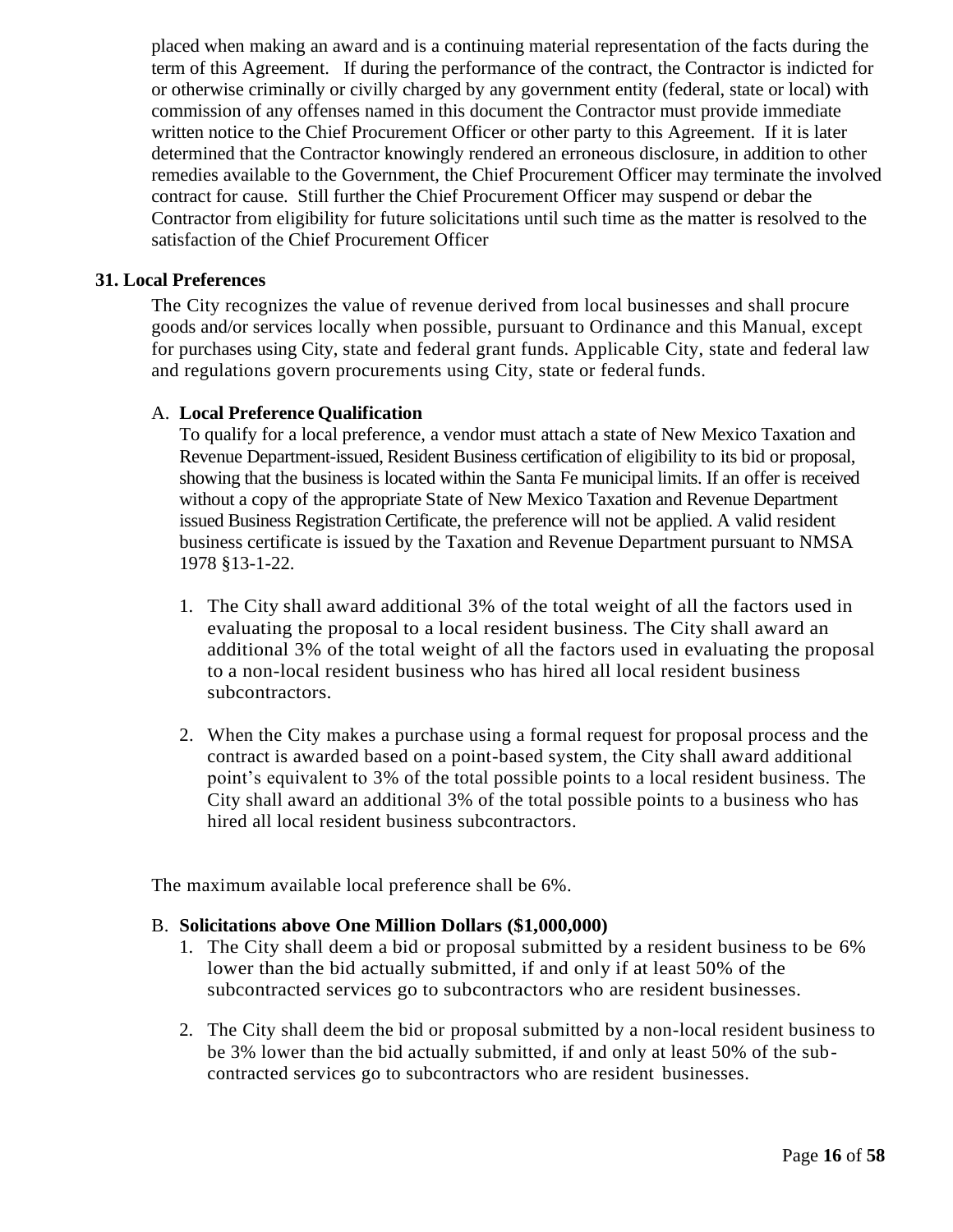placed when making an award and is a continuing material representation of the facts during the term of this Agreement. If during the performance of the contract, the Contractor is indicted for or otherwise criminally or civilly charged by any government entity (federal, state or local) with commission of any offenses named in this document the Contractor must provide immediate written notice to the Chief Procurement Officer or other party to this Agreement. If it is later determined that the Contractor knowingly rendered an erroneous disclosure, in addition to other remedies available to the Government, the Chief Procurement Officer may terminate the involved contract for cause. Still further the Chief Procurement Officer may suspend or debar the Contractor from eligibility for future solicitations until such time as the matter is resolved to the satisfaction of the Chief Procurement Officer

#### <span id="page-19-0"></span>**31. Local Preferences**

The City recognizes the value of revenue derived from local businesses and shall procure goods and/or services locally when possible, pursuant to Ordinance and this Manual, except for purchases using City, state and federal grant funds. Applicable City, state and federal law and regulations govern procurements using City, state or federal funds.

## A. **Local Preference Qualification**

To qualify for a local preference, a vendor must attach a state of New Mexico Taxation and Revenue Department-issued, Resident Business certification of eligibility to its bid or proposal, showing that the business is located within the Santa Fe municipal limits. If an offer is received without a copy of the appropriate State of New Mexico Taxation and Revenue Department issued Business Registration Certificate, the preference will not be applied. A valid resident business certificate is issued by the Taxation and Revenue Department pursuant to NMSA 1978 §13-1-22.

- 1. The City shall award additional 3% of the total weight of all the factors used in evaluating the proposal to a local resident business. The City shall award an additional 3% of the total weight of all the factors used in evaluating the proposal to a non-local resident business who has hired all local resident business subcontractors.
- 2. When the City makes a purchase using a formal request for proposal process and the contract is awarded based on a point-based system, the City shall award additional point's equivalent to 3% of the total possible points to a local resident business. The City shall award an additional 3% of the total possible points to a business who has hired all local resident business subcontractors.

The maximum available local preference shall be 6%.

# B. **Solicitations above One Million Dollars (\$1,000,000)**

- 1. The City shall deem a bid or proposal submitted by a resident business to be 6% lower than the bid actually submitted, if and only if at least 50% of the subcontracted services go to subcontractors who are resident businesses.
- 2. The City shall deem the bid or proposal submitted by a non-local resident business to be 3% lower than the bid actually submitted, if and only at least 50% of the subcontracted services go to subcontractors who are resident businesses.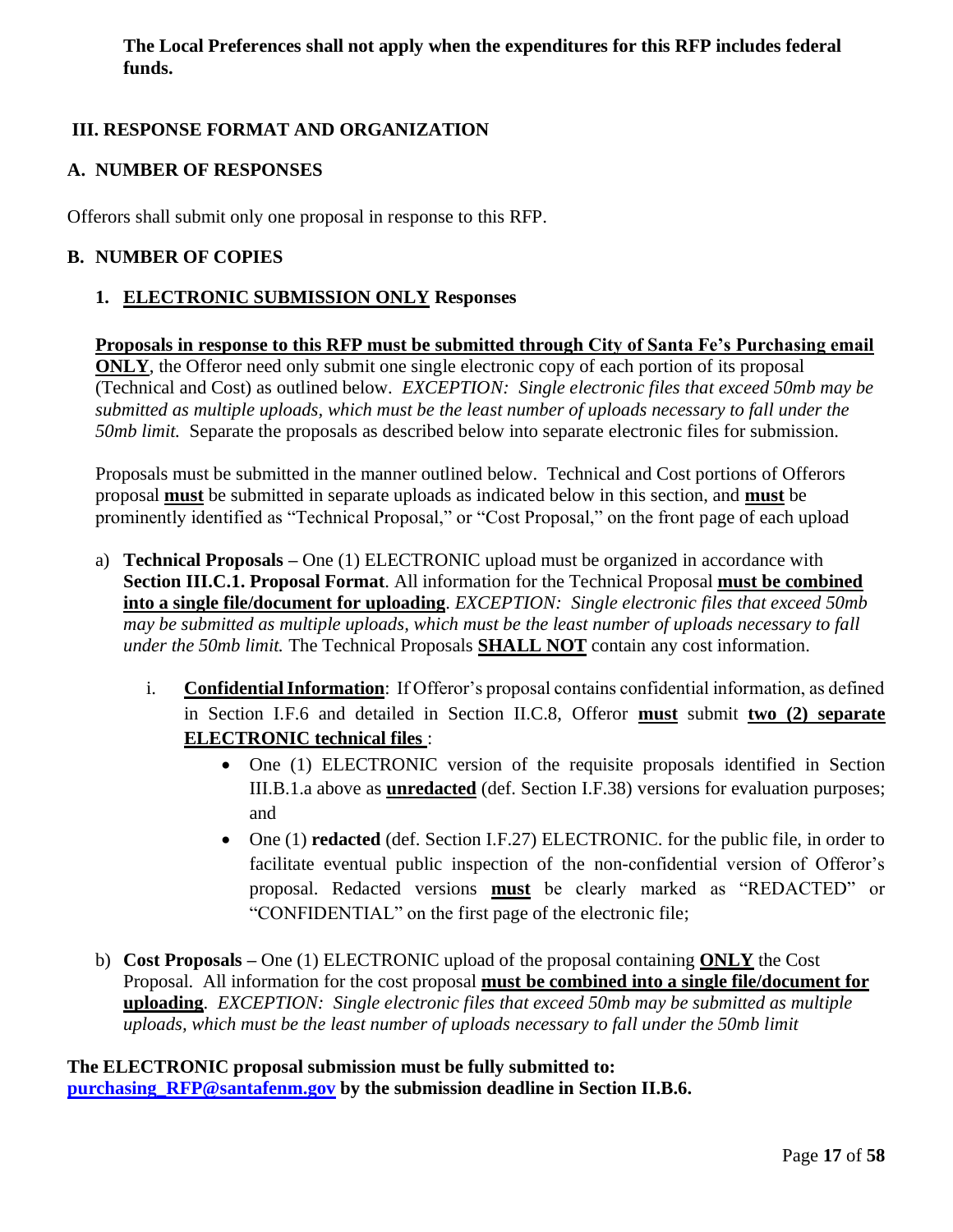**The Local Preferences shall not apply when the expenditures for this RFP includes federal funds.**

# <span id="page-20-0"></span>**III. RESPONSE FORMAT AND ORGANIZATION**

## <span id="page-20-1"></span>**A. NUMBER OF RESPONSES**

Offerors shall submit only one proposal in response to this RFP.

## <span id="page-20-3"></span><span id="page-20-2"></span>**B. NUMBER OF COPIES**

# **1. ELECTRONIC SUBMISSION ONLY Responses**

**Proposals in response to this RFP must be submitted through City of Santa Fe's Purchasing email ONLY**, the Offeror need only submit one single electronic copy of each portion of its proposal (Technical and Cost) as outlined below. *EXCEPTION: Single electronic files that exceed 50mb may be submitted as multiple uploads, which must be the least number of uploads necessary to fall under the 50mb limit.* Separate the proposals as described below into separate electronic files for submission.

Proposals must be submitted in the manner outlined below. Technical and Cost portions of Offerors proposal **must** be submitted in separate uploads as indicated below in this section, and **must** be prominently identified as "Technical Proposal," or "Cost Proposal," on the front page of each upload

- a) **Technical Proposals –** One (1) ELECTRONIC upload must be organized in accordance with **Section III.C.1. Proposal Format**. All information for the Technical Proposal **must be combined into a single file/document for uploading**. *EXCEPTION: Single electronic files that exceed 50mb may be submitted as multiple uploads, which must be the least number of uploads necessary to fall under the 50mb limit.* The Technical Proposals **SHALL NOT** contain any cost information.
	- i. **Confidential Information**: If Offeror's proposal contains confidential information, as defined in Section I.F.6 and detailed in Section II.C.8, Offeror **must** submit **two (2) separate ELECTRONIC technical files** :
		- One (1) ELECTRONIC version of the requisite proposals identified in Section III.B.1.a above as **unredacted** (def. Section I.F.38) versions for evaluation purposes; and
		- One (1) **redacted** (def. Section I.F.27) ELECTRONIC. for the public file, in order to facilitate eventual public inspection of the non-confidential version of Offeror's proposal. Redacted versions **must** be clearly marked as "REDACTED" or "CONFIDENTIAL" on the first page of the electronic file;
- b) **Cost Proposals –** One (1) ELECTRONIC upload of the proposal containing **ONLY** the Cost Proposal. All information for the cost proposal **must be combined into a single file/document for uploading**. *EXCEPTION: Single electronic files that exceed 50mb may be submitted as multiple uploads, which must be the least number of uploads necessary to fall under the 50mb limit*

**The ELECTRONIC proposal submission must be fully submitted to: [purchasing\\_RFP@santafenm.gov](mailto:purchasing_RFP@santafenm.gov) by the submission deadline in Section II.B.6.**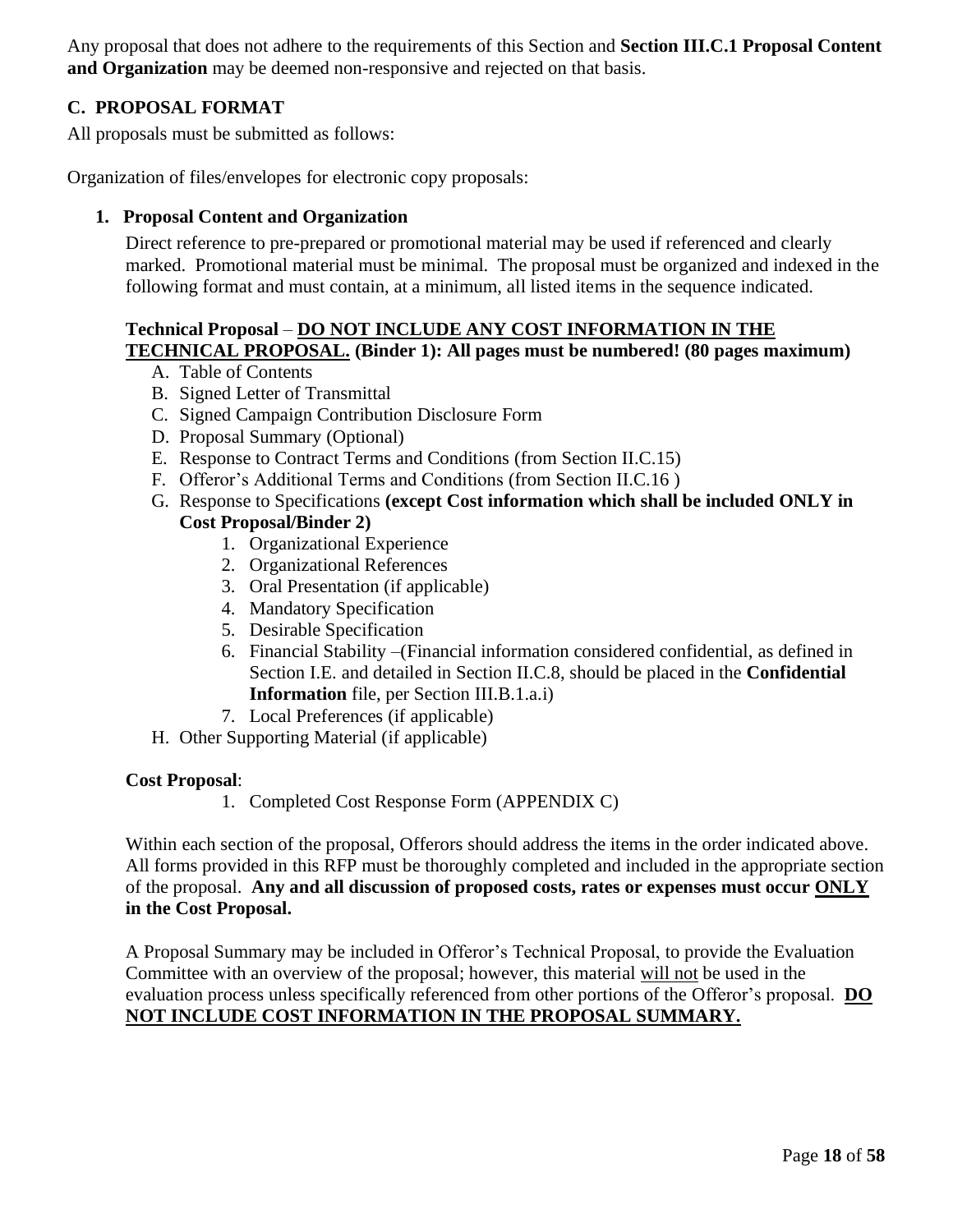Any proposal that does not adhere to the requirements of this Section and **Section III.C.1 Proposal Content and Organization** may be deemed non-responsive and rejected on that basis.

# <span id="page-21-0"></span>**C. PROPOSAL FORMAT**

All proposals must be submitted as follows:

<span id="page-21-1"></span>Organization of files/envelopes for electronic copy proposals:

## **1. Proposal Content and Organization**

Direct reference to pre-prepared or promotional material may be used if referenced and clearly marked. Promotional material must be minimal. The proposal must be organized and indexed in the following format and must contain, at a minimum, all listed items in the sequence indicated.

# **Technical Proposal** – **DO NOT INCLUDE ANY COST INFORMATION IN THE**

# **TECHNICAL PROPOSAL. (Binder 1): All pages must be numbered! (80 pages maximum)**

- A. Table of Contents
- B. Signed Letter of Transmittal
- C. Signed Campaign Contribution Disclosure Form
- D. Proposal Summary (Optional)
- E. Response to Contract Terms and Conditions (from Section II.C.15)
- F. Offeror's Additional Terms and Conditions (from Section II.C.16 )
- G. Response to Specifications **(except Cost information which shall be included ONLY in Cost Proposal/Binder 2)** 
	- 1. Organizational Experience
	- 2. Organizational References
	- 3. Oral Presentation (if applicable)
	- 4. Mandatory Specification
	- 5. Desirable Specification
	- 6. Financial Stability –(Financial information considered confidential, as defined in Section I.E. and detailed in Section II.C.8, should be placed in the **Confidential Information** file, per Section III.B.1.a.i)
	- 7. Local Preferences (if applicable)
- H. Other Supporting Material (if applicable)

#### **Cost Proposal**:

1. Completed Cost Response Form (APPENDIX C)

Within each section of the proposal, Offerors should address the items in the order indicated above. All forms provided in this RFP must be thoroughly completed and included in the appropriate section of the proposal. **Any and all discussion of proposed costs, rates or expenses must occur ONLY in the Cost Proposal.**

A Proposal Summary may be included in Offeror's Technical Proposal, to provide the Evaluation Committee with an overview of the proposal; however, this material will not be used in the evaluation process unless specifically referenced from other portions of the Offeror's proposal. **DO NOT INCLUDE COST INFORMATION IN THE PROPOSAL SUMMARY.**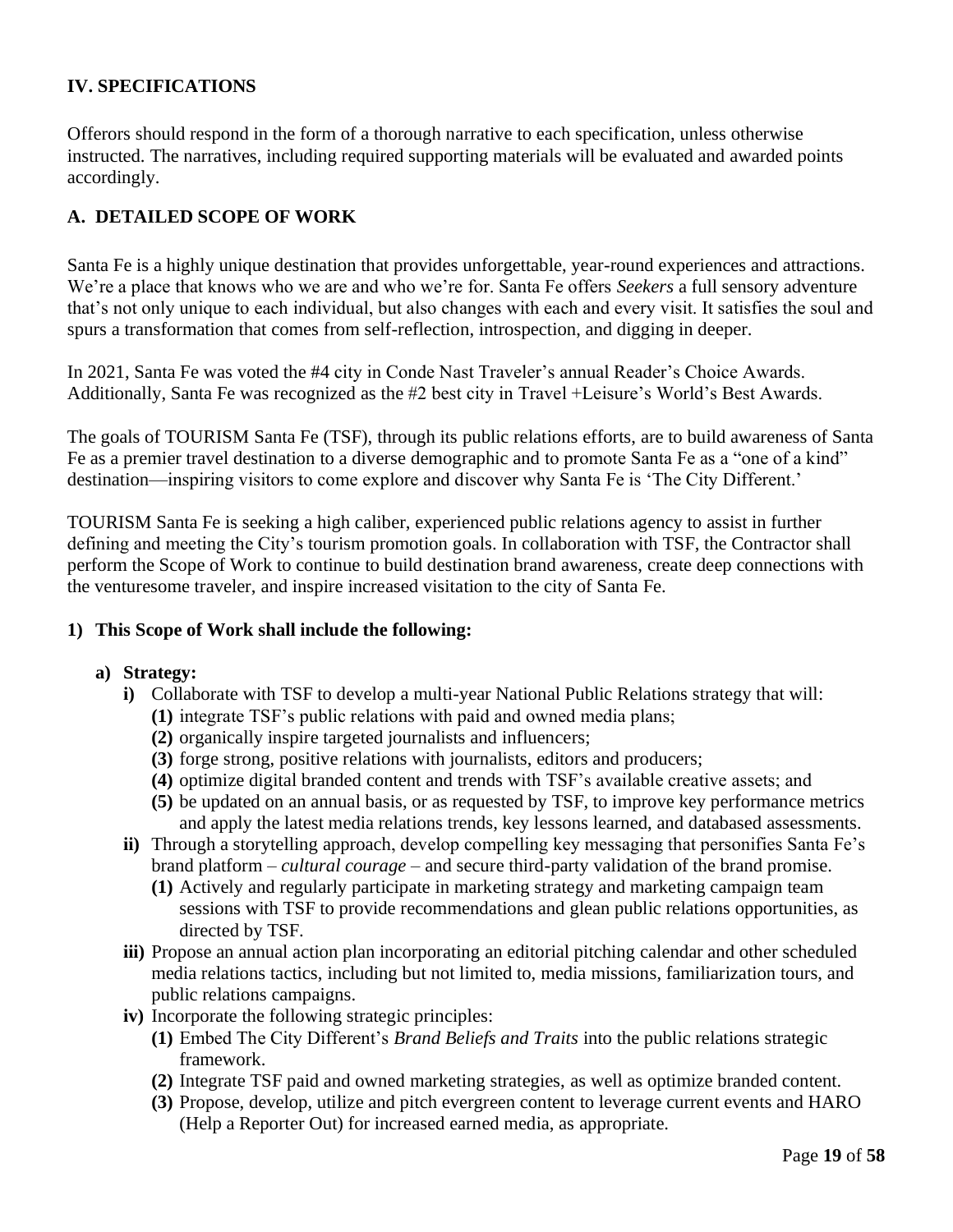# <span id="page-22-0"></span>**IV. SPECIFICATIONS**

Offerors should respond in the form of a thorough narrative to each specification, unless otherwise instructed. The narratives, including required supporting materials will be evaluated and awarded points accordingly.

## <span id="page-22-1"></span>**A. DETAILED SCOPE OF WORK**

Santa Fe is a highly unique destination that provides unforgettable, year-round experiences and attractions. We're a place that knows who we are and who we're for. Santa Fe offers *Seekers* a full sensory adventure that's not only unique to each individual, but also changes with each and every visit. It satisfies the soul and spurs a transformation that comes from self-reflection, introspection, and digging in deeper.

In 2021, Santa Fe was voted the #4 city in Conde Nast Traveler's annual Reader's Choice Awards. Additionally, Santa Fe was recognized as the #2 best city in Travel +Leisure's World's Best Awards.

The goals of TOURISM Santa Fe (TSF), through its public relations efforts, are to build awareness of Santa Fe as a premier travel destination to a diverse demographic and to promote Santa Fe as a "one of a kind" destination—inspiring visitors to come explore and discover why Santa Fe is 'The City Different.'

TOURISM Santa Fe is seeking a high caliber, experienced public relations agency to assist in further defining and meeting the City's tourism promotion goals. In collaboration with TSF, the Contractor shall perform the Scope of Work to continue to build destination brand awareness, create deep connections with the venturesome traveler, and inspire increased visitation to the city of Santa Fe.

#### **1) This Scope of Work shall include the following:**

#### **a) Strategy:**

- **i)** Collaborate with TSF to develop a multi-year National Public Relations strategy that will:
	- **(1)** integrate TSF's public relations with paid and owned media plans;
	- **(2)** organically inspire targeted journalists and influencers;
	- **(3)** forge strong, positive relations with journalists, editors and producers;
	- **(4)** optimize digital branded content and trends with TSF's available creative assets; and
	- **(5)** be updated on an annual basis, or as requested by TSF, to improve key performance metrics and apply the latest media relations trends, key lessons learned, and databased assessments.
- **ii)** Through a storytelling approach, develop compelling key messaging that personifies Santa Fe's brand platform – *cultural courage* – and secure third-party validation of the brand promise.
	- **(1)** Actively and regularly participate in marketing strategy and marketing campaign team sessions with TSF to provide recommendations and glean public relations opportunities, as directed by TSF.
- **iii)** Propose an annual action plan incorporating an editorial pitching calendar and other scheduled media relations tactics, including but not limited to, media missions, familiarization tours, and public relations campaigns.
- **iv)** Incorporate the following strategic principles:
	- **(1)** Embed The City Different's *Brand Beliefs and Traits* into the public relations strategic framework.
	- **(2)** Integrate TSF paid and owned marketing strategies, as well as optimize branded content.
	- **(3)** Propose, develop, utilize and pitch evergreen content to leverage current events and HARO (Help a Reporter Out) for increased earned media, as appropriate.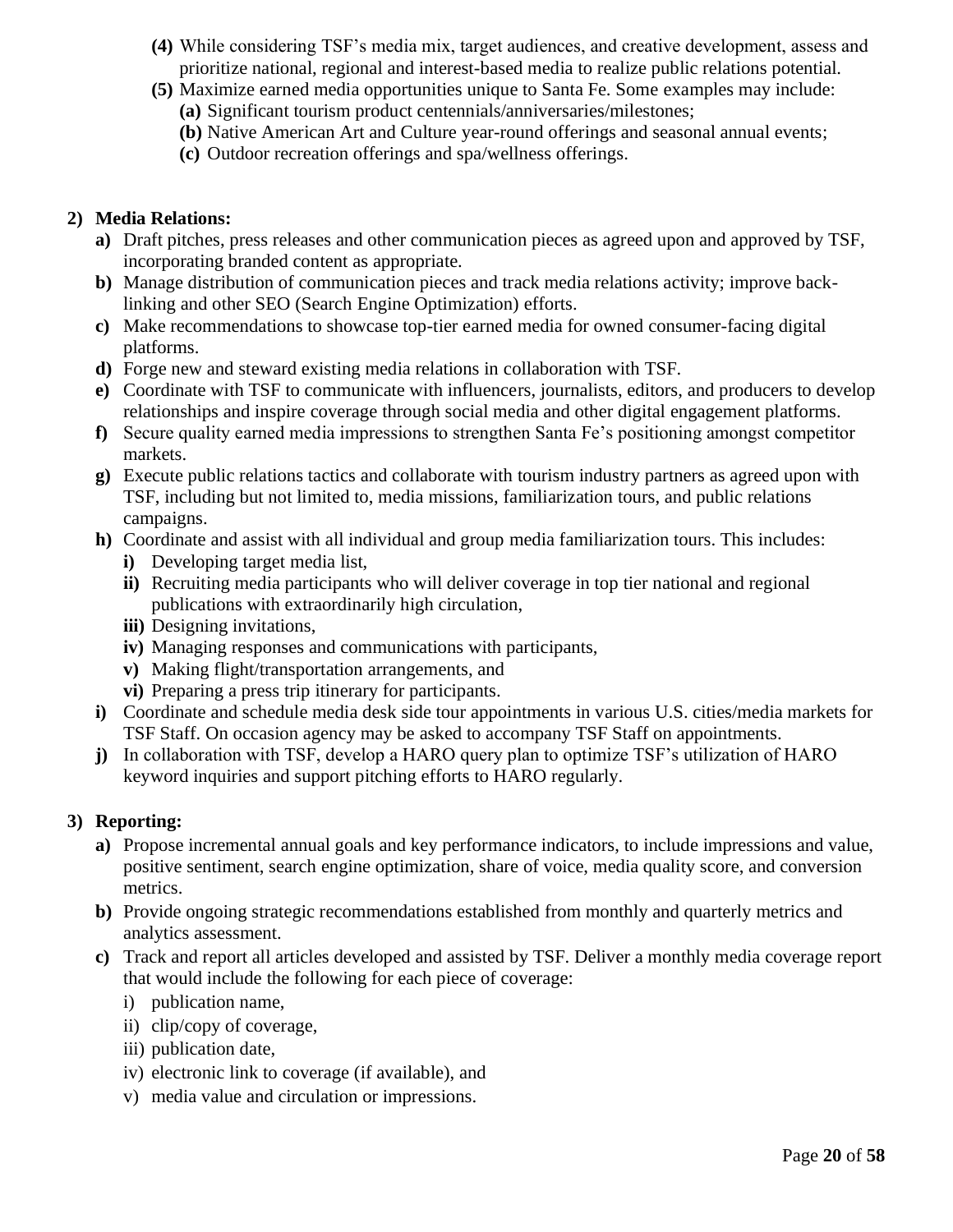- **(4)** While considering TSF's media mix, target audiences, and creative development, assess and prioritize national, regional and interest-based media to realize public relations potential.
- **(5)** Maximize earned media opportunities unique to Santa Fe. Some examples may include:
	- **(a)** Significant tourism product centennials/anniversaries/milestones;
	- **(b)** Native American Art and Culture year-round offerings and seasonal annual events;
	- **(c)** Outdoor recreation offerings and spa/wellness offerings.

## **2) Media Relations:**

- **a)** Draft pitches, press releases and other communication pieces as agreed upon and approved by TSF, incorporating branded content as appropriate.
- **b)** Manage distribution of communication pieces and track media relations activity; improve backlinking and other SEO (Search Engine Optimization) efforts.
- **c)** Make recommendations to showcase top-tier earned media for owned consumer-facing digital platforms.
- **d)** Forge new and steward existing media relations in collaboration with TSF.
- **e)** Coordinate with TSF to communicate with influencers, journalists, editors, and producers to develop relationships and inspire coverage through social media and other digital engagement platforms.
- **f)** Secure quality earned media impressions to strengthen Santa Fe's positioning amongst competitor markets.
- **g)** Execute public relations tactics and collaborate with tourism industry partners as agreed upon with TSF, including but not limited to, media missions, familiarization tours, and public relations campaigns.
- **h)** Coordinate and assist with all individual and group media familiarization tours. This includes:
	- **i)** Developing target media list,
	- **ii)** Recruiting media participants who will deliver coverage in top tier national and regional publications with extraordinarily high circulation,
	- **iii)** Designing invitations,
	- **iv)** Managing responses and communications with participants,
	- **v)** Making flight/transportation arrangements, and
	- **vi)** Preparing a press trip itinerary for participants.
- **i)** Coordinate and schedule media desk side tour appointments in various U.S. cities/media markets for TSF Staff. On occasion agency may be asked to accompany TSF Staff on appointments.
- **j)** In collaboration with TSF, develop a HARO query plan to optimize TSF's utilization of HARO keyword inquiries and support pitching efforts to HARO regularly.

# **3) Reporting:**

- **a)** Propose incremental annual goals and key performance indicators, to include impressions and value, positive sentiment, search engine optimization, share of voice, media quality score, and conversion metrics.
- **b)** Provide ongoing strategic recommendations established from monthly and quarterly metrics and analytics assessment.
- **c)** Track and report all articles developed and assisted by TSF. Deliver a monthly media coverage report that would include the following for each piece of coverage:
	- i) publication name,
	- ii) clip/copy of coverage,
	- iii) publication date,
	- iv) electronic link to coverage (if available), and
	- v) media value and circulation or impressions.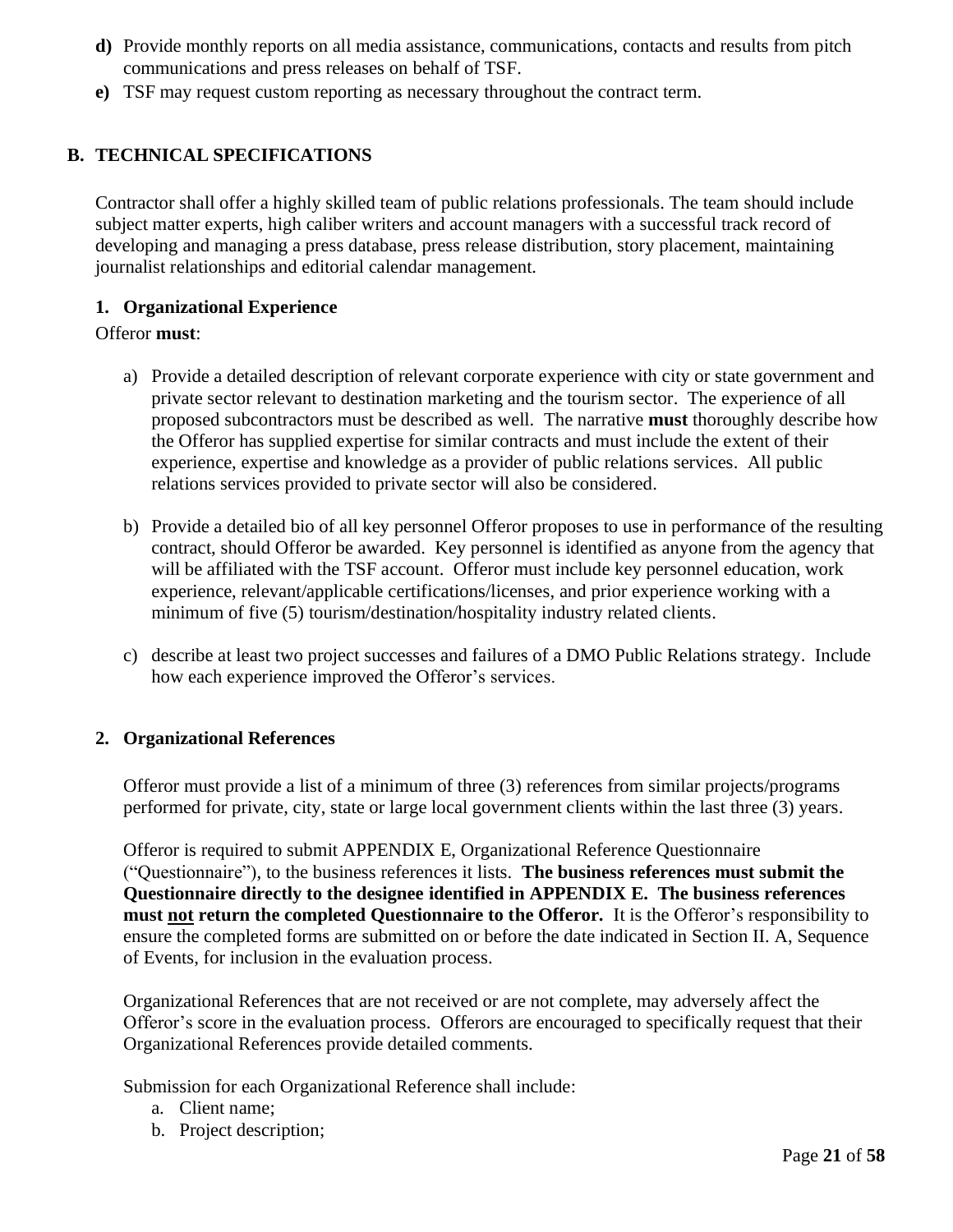- **d)** Provide monthly reports on all media assistance, communications, contacts and results from pitch communications and press releases on behalf of TSF.
- **e)** TSF may request custom reporting as necessary throughout the contract term.

# <span id="page-24-0"></span>**B. TECHNICAL SPECIFICATIONS**

Contractor shall offer a highly skilled team of public relations professionals. The team should include subject matter experts, high caliber writers and account managers with a successful track record of developing and managing a press database, press release distribution, story placement, maintaining journalist relationships and editorial calendar management.

## <span id="page-24-1"></span>**1. Organizational Experience**

#### Offeror **must**:

- a) Provide a detailed description of relevant corporate experience with city or state government and private sector relevant to destination marketing and the tourism sector. The experience of all proposed subcontractors must be described as well. The narrative **must** thoroughly describe how the Offeror has supplied expertise for similar contracts and must include the extent of their experience, expertise and knowledge as a provider of public relations services. All public relations services provided to private sector will also be considered.
- b) Provide a detailed bio of all key personnel Offeror proposes to use in performance of the resulting contract, should Offeror be awarded. Key personnel is identified as anyone from the agency that will be affiliated with the TSF account. Offeror must include key personnel education, work experience, relevant/applicable certifications/licenses, and prior experience working with a minimum of five (5) tourism/destination/hospitality industry related clients.
- c) describe at least two project successes and failures of a DMO Public Relations strategy. Include how each experience improved the Offeror's services.

#### <span id="page-24-2"></span>**2. Organizational References**

Offeror must provide a list of a minimum of three (3) references from similar projects/programs performed for private, city, state or large local government clients within the last three (3) years.

Offeror is required to submit APPENDIX E, Organizational Reference Questionnaire ("Questionnaire"), to the business references it lists. **The business references must submit the Questionnaire directly to the designee identified in APPENDIX E. The business references must not return the completed Questionnaire to the Offeror.** It is the Offeror's responsibility to ensure the completed forms are submitted on or before the date indicated in Section II. A, Sequence of Events, for inclusion in the evaluation process.

Organizational References that are not received or are not complete, may adversely affect the Offeror's score in the evaluation process. Offerors are encouraged to specifically request that their Organizational References provide detailed comments.

Submission for each Organizational Reference shall include:

- a. Client name;
- b. Project description;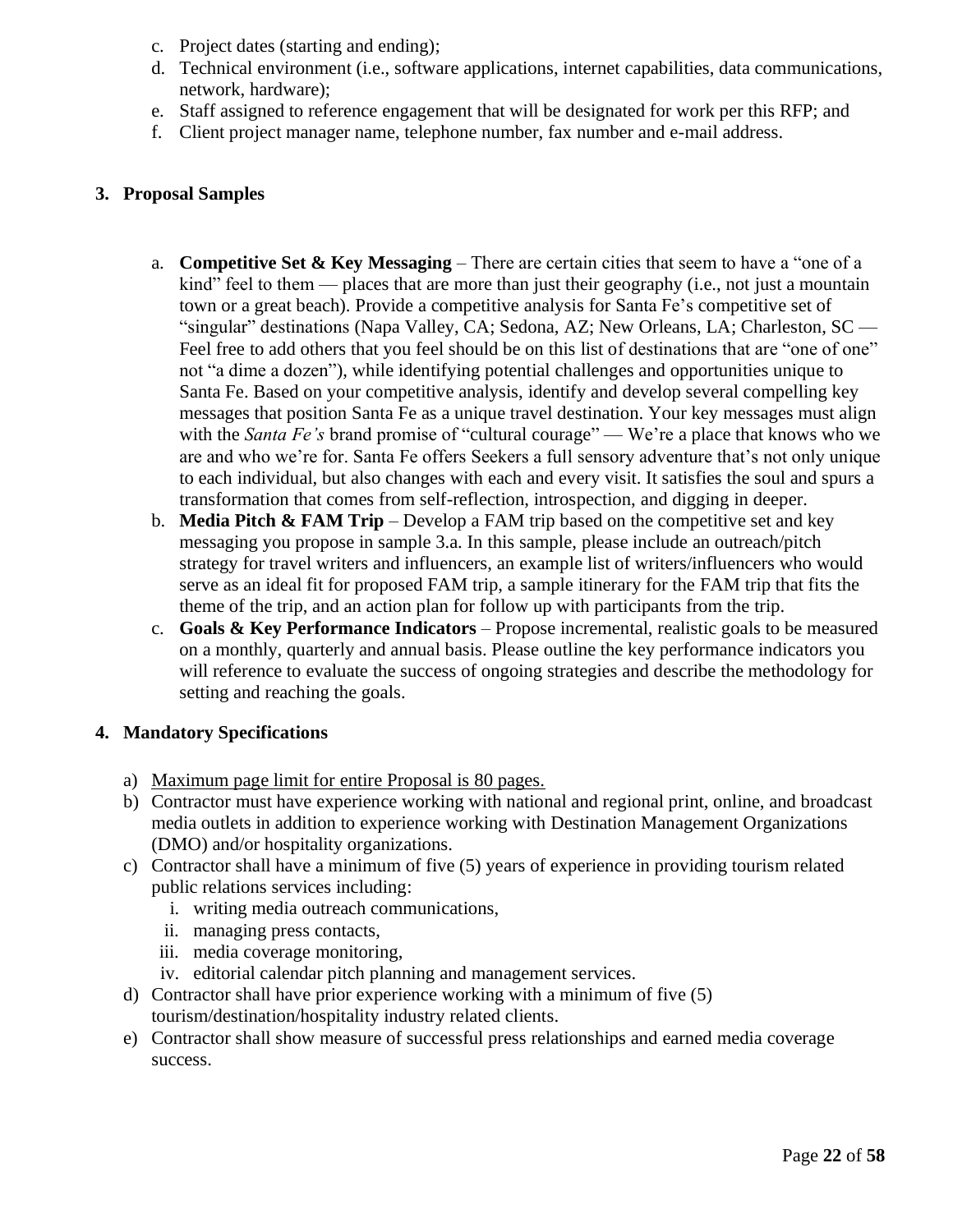- c. Project dates (starting and ending);
- d. Technical environment (i.e., software applications, internet capabilities, data communications, network, hardware);
- e. Staff assigned to reference engagement that will be designated for work per this RFP; and
- f. Client project manager name, telephone number, fax number and e-mail address.

#### <span id="page-25-0"></span>**3. Proposal Samples**

- a. **Competitive Set & Key Messaging**  There are certain cities that seem to have a "one of a kind" feel to them — places that are more than just their geography (i.e., not just a mountain town or a great beach). Provide a competitive analysis for Santa Fe's competitive set of "singular" destinations (Napa Valley, CA; Sedona, AZ; New Orleans, LA; Charleston, SC — Feel free to add others that you feel should be on this list of destinations that are "one of one" not "a dime a dozen"), while identifying potential challenges and opportunities unique to Santa Fe. Based on your competitive analysis, identify and develop several compelling key messages that position Santa Fe as a unique travel destination. Your key messages must align with the *Santa Fe's* brand promise of "cultural courage" — We're a place that knows who we are and who we're for. Santa Fe offers Seekers a full sensory adventure that's not only unique to each individual, but also changes with each and every visit. It satisfies the soul and spurs a transformation that comes from self-reflection, introspection, and digging in deeper.
- b. **Media Pitch & FAM Trip**  Develop a FAM trip based on the competitive set and key messaging you propose in sample 3.a. In this sample, please include an outreach/pitch strategy for travel writers and influencers, an example list of writers/influencers who would serve as an ideal fit for proposed FAM trip, a sample itinerary for the FAM trip that fits the theme of the trip, and an action plan for follow up with participants from the trip.
- c. **Goals & Key Performance Indicators**  Propose incremental, realistic goals to be measured on a monthly, quarterly and annual basis. Please outline the key performance indicators you will reference to evaluate the success of ongoing strategies and describe the methodology for setting and reaching the goals.

#### <span id="page-25-1"></span>**4. Mandatory Specifications**

- a) Maximum page limit for entire Proposal is 80 pages.
- b) Contractor must have experience working with national and regional print, online, and broadcast media outlets in addition to experience working with Destination Management Organizations (DMO) and/or hospitality organizations.
- c) Contractor shall have a minimum of five (5) years of experience in providing tourism related public relations services including:
	- i. writing media outreach communications,
	- ii. managing press contacts,
	- iii. media coverage monitoring,
	- iv. editorial calendar pitch planning and management services.
- d) Contractor shall have prior experience working with a minimum of five (5) tourism/destination/hospitality industry related clients.
- e) Contractor shall show measure of successful press relationships and earned media coverage success.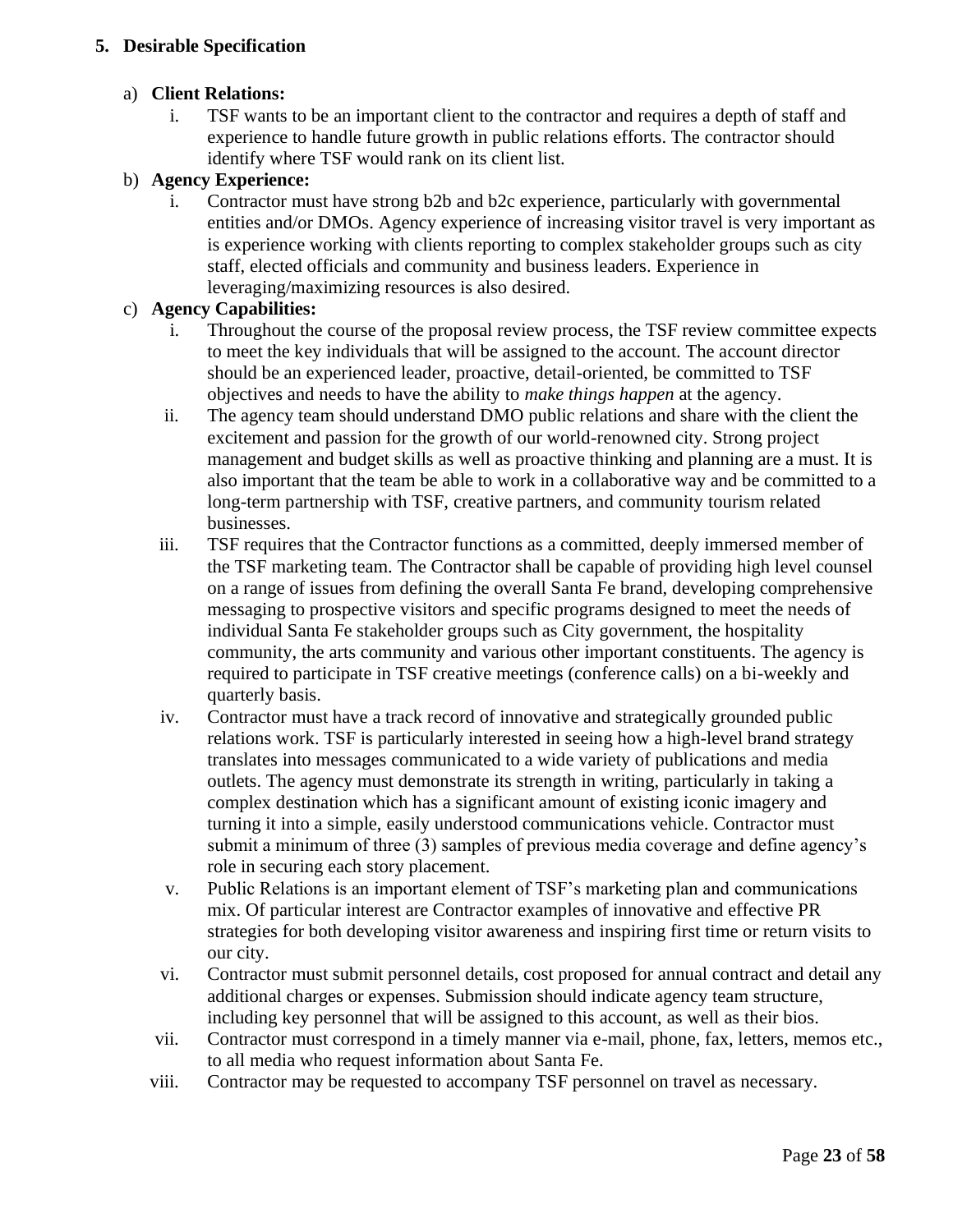# <span id="page-26-0"></span>**5. Desirable Specification**

# a) **Client Relations:**

i. TSF wants to be an important client to the contractor and requires a depth of staff and experience to handle future growth in public relations efforts. The contractor should identify where TSF would rank on its client list.

# b) **Agency Experience:**

i. Contractor must have strong b2b and b2c experience, particularly with governmental entities and/or DMOs. Agency experience of increasing visitor travel is very important as is experience working with clients reporting to complex stakeholder groups such as city staff, elected officials and community and business leaders. Experience in leveraging/maximizing resources is also desired.

## c) **Agency Capabilities:**

- i. Throughout the course of the proposal review process, the TSF review committee expects to meet the key individuals that will be assigned to the account. The account director should be an experienced leader, proactive, detail-oriented, be committed to TSF objectives and needs to have the ability to *make things happen* at the agency.
- ii. The agency team should understand DMO public relations and share with the client the excitement and passion for the growth of our world-renowned city. Strong project management and budget skills as well as proactive thinking and planning are a must. It is also important that the team be able to work in a collaborative way and be committed to a long-term partnership with TSF, creative partners, and community tourism related businesses.
- iii. TSF requires that the Contractor functions as a committed, deeply immersed member of the TSF marketing team. The Contractor shall be capable of providing high level counsel on a range of issues from defining the overall Santa Fe brand, developing comprehensive messaging to prospective visitors and specific programs designed to meet the needs of individual Santa Fe stakeholder groups such as City government, the hospitality community, the arts community and various other important constituents. The agency is required to participate in TSF creative meetings (conference calls) on a bi-weekly and quarterly basis.
- iv. Contractor must have a track record of innovative and strategically grounded public relations work. TSF is particularly interested in seeing how a high-level brand strategy translates into messages communicated to a wide variety of publications and media outlets. The agency must demonstrate its strength in writing, particularly in taking a complex destination which has a significant amount of existing iconic imagery and turning it into a simple, easily understood communications vehicle. Contractor must submit a minimum of three (3) samples of previous media coverage and define agency's role in securing each story placement.
- v. Public Relations is an important element of TSF's marketing plan and communications mix. Of particular interest are Contractor examples of innovative and effective PR strategies for both developing visitor awareness and inspiring first time or return visits to our city.
- vi. Contractor must submit personnel details, cost proposed for annual contract and detail any additional charges or expenses. Submission should indicate agency team structure, including key personnel that will be assigned to this account, as well as their bios.
- vii. Contractor must correspond in a timely manner via e-mail, phone, fax, letters, memos etc., to all media who request information about Santa Fe.
- viii. Contractor may be requested to accompany TSF personnel on travel as necessary.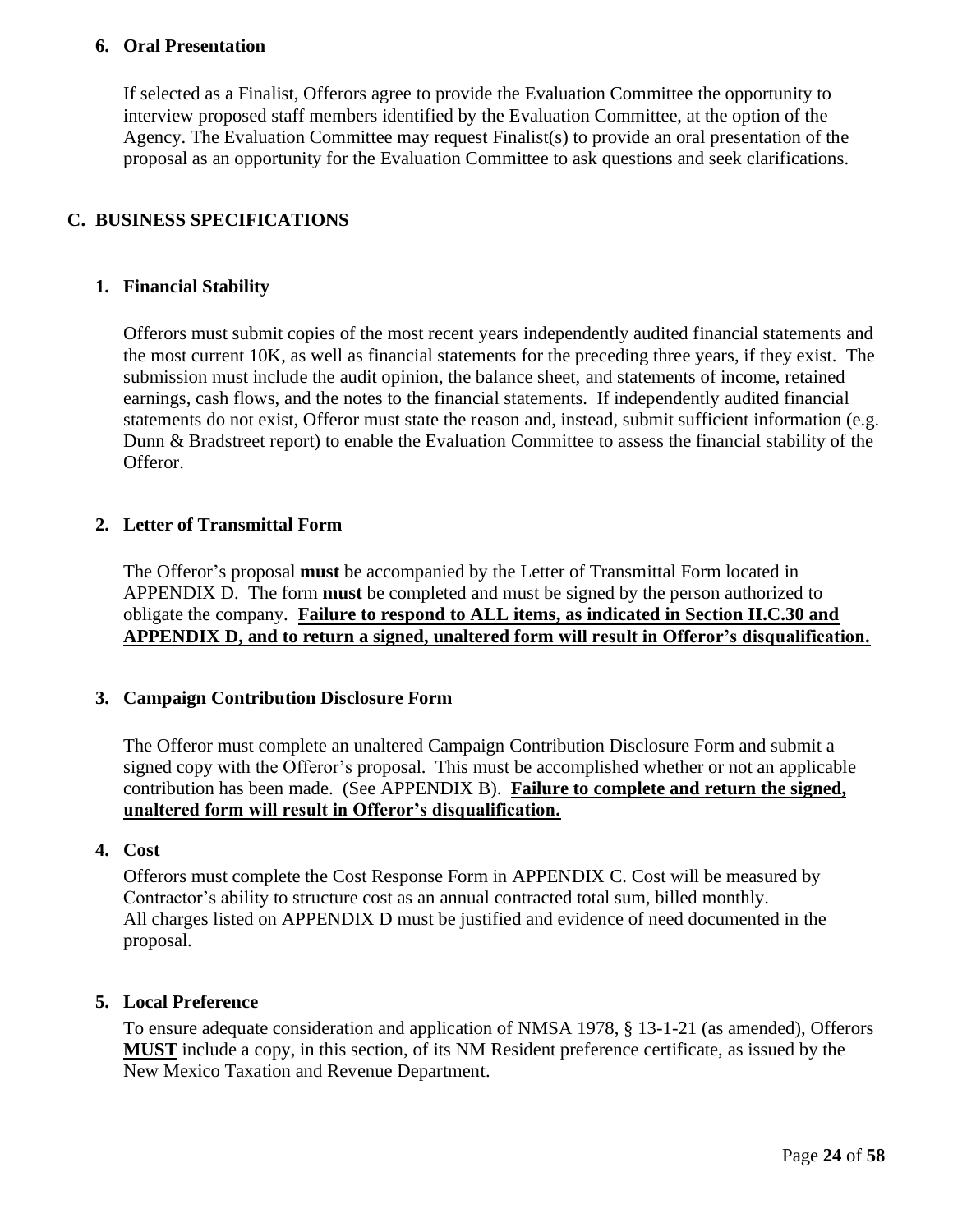## <span id="page-27-0"></span>**6. Oral Presentation**

If selected as a Finalist, Offerors agree to provide the Evaluation Committee the opportunity to interview proposed staff members identified by the Evaluation Committee, at the option of the Agency. The Evaluation Committee may request Finalist(s) to provide an oral presentation of the proposal as an opportunity for the Evaluation Committee to ask questions and seek clarifications.

# <span id="page-27-1"></span>**C. BUSINESS SPECIFICATIONS**

## <span id="page-27-2"></span>**1. Financial Stability**

Offerors must submit copies of the most recent years independently audited financial statements and the most current 10K, as well as financial statements for the preceding three years, if they exist. The submission must include the audit opinion, the balance sheet, and statements of income, retained earnings, cash flows, and the notes to the financial statements. If independently audited financial statements do not exist, Offeror must state the reason and, instead, submit sufficient information (e.g. Dunn & Bradstreet report) to enable the Evaluation Committee to assess the financial stability of the Offeror.

## <span id="page-27-3"></span>**2. Letter of Transmittal Form**

The Offeror's proposal **must** be accompanied by the Letter of Transmittal Form located in APPENDIX D. The form **must** be completed and must be signed by the person authorized to obligate the company. **Failure to respond to ALL items, as indicated in Section II.C.30 and APPENDIX D, and to return a signed, unaltered form will result in Offeror's disqualification.**

#### <span id="page-27-4"></span>**3. Campaign Contribution Disclosure Form**

The Offeror must complete an unaltered Campaign Contribution Disclosure Form and submit a signed copy with the Offeror's proposal. This must be accomplished whether or not an applicable contribution has been made. (See APPENDIX B). **Failure to complete and return the signed, unaltered form will result in Offeror's disqualification.**

#### <span id="page-27-5"></span>**4. Cost**

Offerors must complete the Cost Response Form in APPENDIX C. Cost will be measured by Contractor's ability to structure cost as an annual contracted total sum, billed monthly. All charges listed on APPENDIX D must be justified and evidence of need documented in the proposal.

#### <span id="page-27-6"></span>**5. Local Preference**

To ensure adequate consideration and application of NMSA 1978, § 13-1-21 (as amended), Offerors **MUST** include a copy, in this section, of its NM Resident preference certificate, as issued by the New Mexico Taxation and Revenue Department.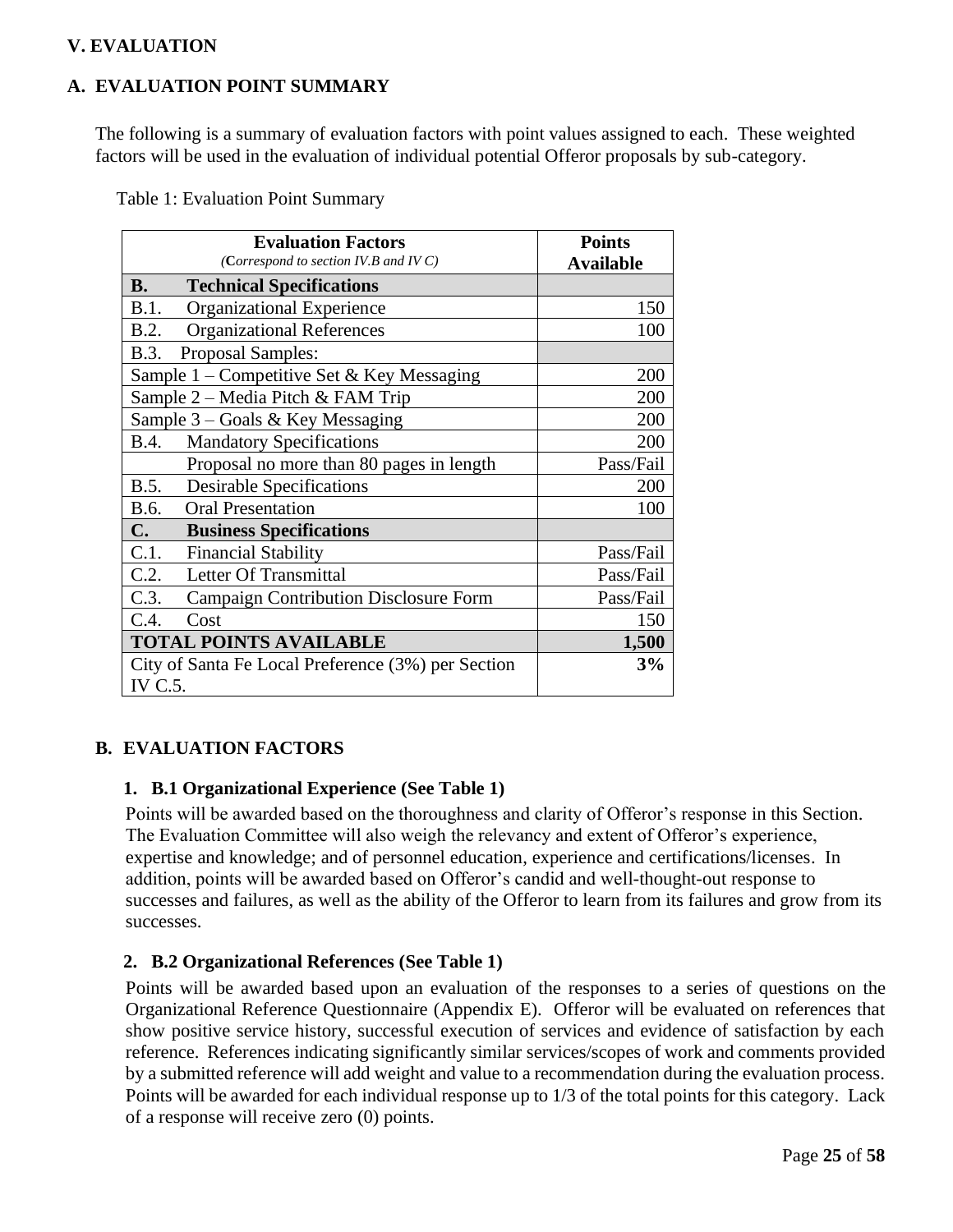# <span id="page-28-0"></span>**V. EVALUATION**

# <span id="page-28-1"></span>**A. EVALUATION POINT SUMMARY**

The following is a summary of evaluation factors with point values assigned to each. These weighted factors will be used in the evaluation of individual potential Offeror proposals by sub-category.

| Table 1: Evaluation Point Summary |  |
|-----------------------------------|--|
|-----------------------------------|--|

| <b>Evaluation Factors</b><br>(Correspond to section IV.B and IV C) | <b>Points</b><br><b>Available</b> |
|--------------------------------------------------------------------|-----------------------------------|
| <b>B.</b><br><b>Technical Specifications</b>                       |                                   |
| B.1.<br>Organizational Experience                                  | 150                               |
| <b>Organizational References</b><br>B.2.                           | 100                               |
| B.3.<br>Proposal Samples:                                          |                                   |
| Sample $1$ – Competitive Set & Key Messaging                       | 200                               |
| Sample 2 – Media Pitch & FAM Trip                                  | 200                               |
| Sample $3$ – Goals & Key Messaging                                 | 200                               |
| <b>Mandatory Specifications</b><br><b>B.4.</b>                     | 200                               |
| Proposal no more than 80 pages in length                           | Pass/Fail                         |
| <b>Desirable Specifications</b><br>B.5.                            | 200                               |
| <b>Oral Presentation</b><br>B.6.                                   | 100                               |
| $\mathbf{C}$ .<br><b>Business Specifications</b>                   |                                   |
| C.1.<br><b>Financial Stability</b>                                 | Pass/Fail                         |
| C.2.<br>Letter Of Transmittal                                      | Pass/Fail                         |
| C.3.<br><b>Campaign Contribution Disclosure Form</b>               | Pass/Fail                         |
| C.4.<br>Cost                                                       | 150                               |
| <b>TOTAL POINTS AVAILABLE</b>                                      | 1,500                             |
| City of Santa Fe Local Preference (3%) per Section                 | 3%                                |
| IV C.5.                                                            |                                   |

# <span id="page-28-3"></span><span id="page-28-2"></span>**B. EVALUATION FACTORS**

#### **1. B.1 Organizational Experience (See Table 1)**

Points will be awarded based on the thoroughness and clarity of Offeror's response in this Section. The Evaluation Committee will also weigh the relevancy and extent of Offeror's experience, expertise and knowledge; and of personnel education, experience and certifications/licenses. In addition, points will be awarded based on Offeror's candid and well-thought-out response to successes and failures, as well as the ability of the Offeror to learn from its failures and grow from its successes.

#### <span id="page-28-4"></span>**2. B.2 Organizational References (See Table 1)**

Points will be awarded based upon an evaluation of the responses to a series of questions on the Organizational Reference Questionnaire (Appendix E). Offeror will be evaluated on references that show positive service history, successful execution of services and evidence of satisfaction by each reference. References indicating significantly similar services/scopes of work and comments provided by a submitted reference will add weight and value to a recommendation during the evaluation process. Points will be awarded for each individual response up to 1/3 of the total points for this category. Lack of a response will receive zero (0) points.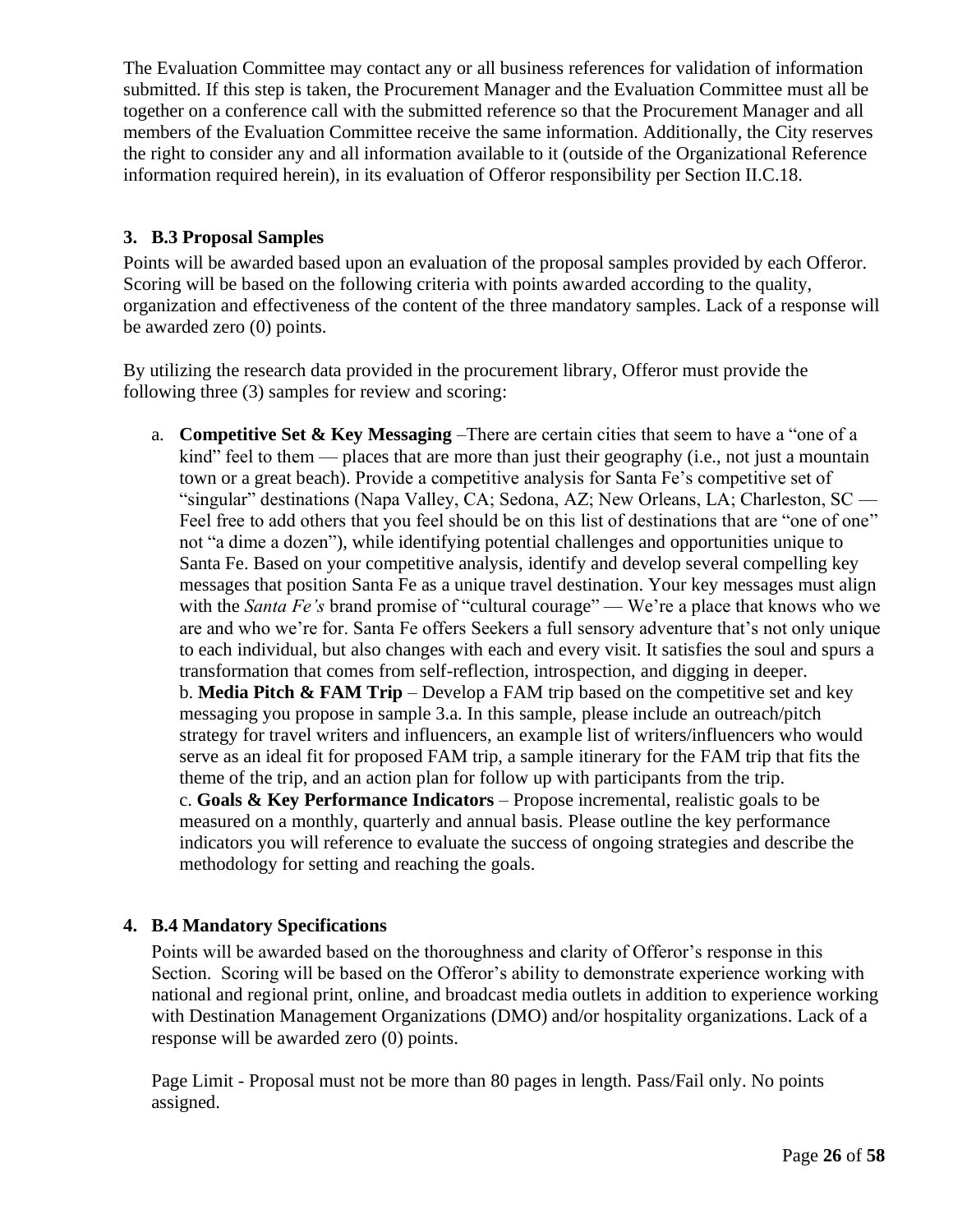The Evaluation Committee may contact any or all business references for validation of information submitted. If this step is taken, the Procurement Manager and the Evaluation Committee must all be together on a conference call with the submitted reference so that the Procurement Manager and all members of the Evaluation Committee receive the same information. Additionally, the City reserves the right to consider any and all information available to it (outside of the Organizational Reference information required herein), in its evaluation of Offeror responsibility per Section II.C.18.

# <span id="page-29-0"></span>**3. B.3 Proposal Samples**

Points will be awarded based upon an evaluation of the proposal samples provided by each Offeror. Scoring will be based on the following criteria with points awarded according to the quality, organization and effectiveness of the content of the three mandatory samples. Lack of a response will be awarded zero (0) points.

By utilizing the research data provided in the procurement library, Offeror must provide the following three (3) samples for review and scoring:

a. **Competitive Set & Key Messaging** –There are certain cities that seem to have a "one of a kind" feel to them — places that are more than just their geography (i.e., not just a mountain town or a great beach). Provide a competitive analysis for Santa Fe's competitive set of "singular" destinations (Napa Valley, CA; Sedona, AZ; New Orleans, LA; Charleston, SC — Feel free to add others that you feel should be on this list of destinations that are "one of one" not "a dime a dozen"), while identifying potential challenges and opportunities unique to Santa Fe. Based on your competitive analysis, identify and develop several compelling key messages that position Santa Fe as a unique travel destination. Your key messages must align with the *Santa Fe's* brand promise of "cultural courage" — We're a place that knows who we are and who we're for. Santa Fe offers Seekers a full sensory adventure that's not only unique to each individual, but also changes with each and every visit. It satisfies the soul and spurs a transformation that comes from self-reflection, introspection, and digging in deeper. b. **Media Pitch & FAM Trip** – Develop a FAM trip based on the competitive set and key messaging you propose in sample 3.a. In this sample, please include an outreach/pitch strategy for travel writers and influencers, an example list of writers/influencers who would serve as an ideal fit for proposed FAM trip, a sample itinerary for the FAM trip that fits the theme of the trip, and an action plan for follow up with participants from the trip. c. **Goals & Key Performance Indicators** – Propose incremental, realistic goals to be measured on a monthly, quarterly and annual basis. Please outline the key performance indicators you will reference to evaluate the success of ongoing strategies and describe the methodology for setting and reaching the goals.

# <span id="page-29-1"></span>**4. B.4 Mandatory Specifications**

Points will be awarded based on the thoroughness and clarity of Offeror's response in this Section. Scoring will be based on the Offeror's ability to demonstrate experience working with national and regional print, online, and broadcast media outlets in addition to experience working with Destination Management Organizations (DMO) and/or hospitality organizations. Lack of a response will be awarded zero (0) points.

Page Limit - Proposal must not be more than 80 pages in length. Pass/Fail only. No points assigned.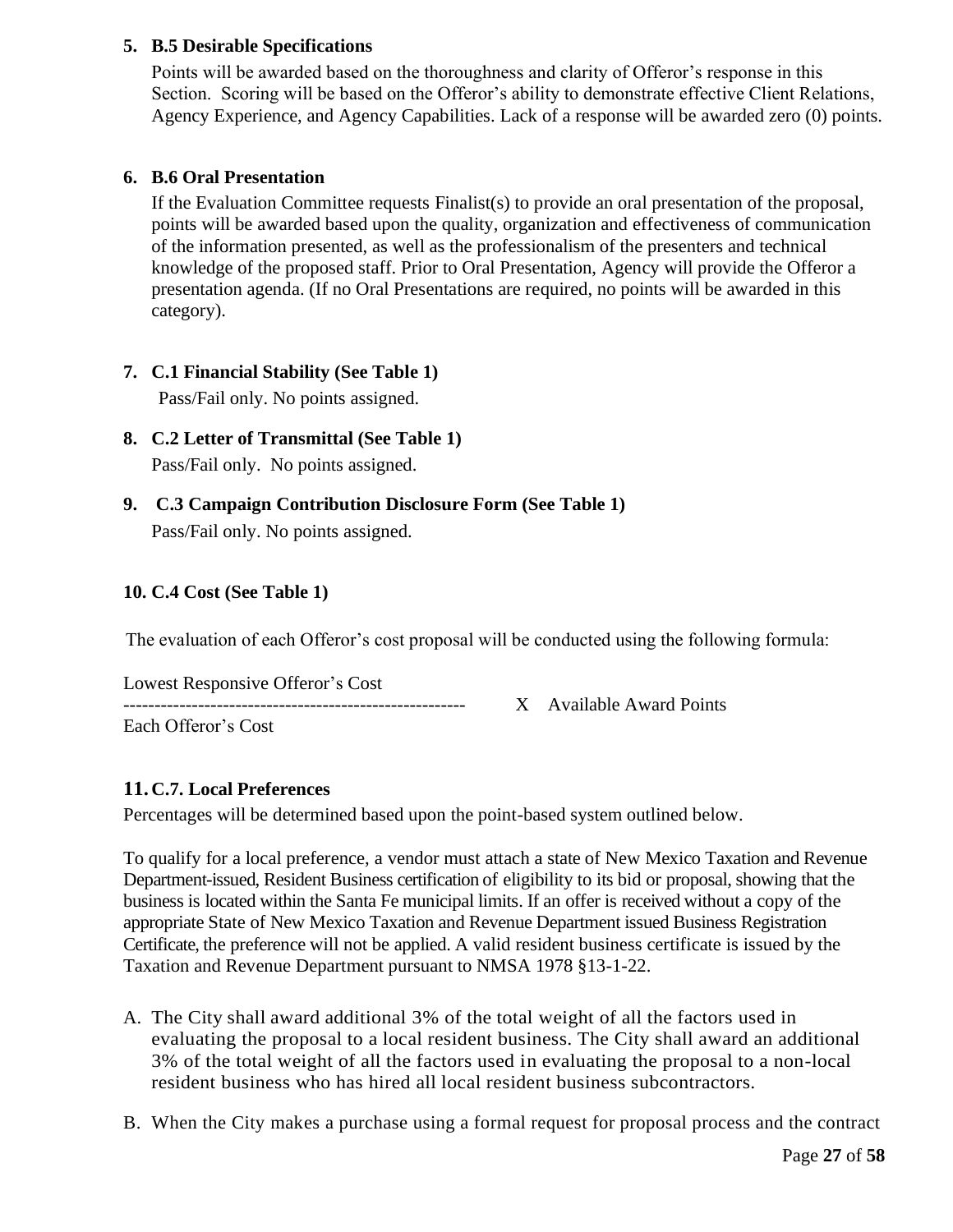# <span id="page-30-0"></span>**5. B.5 Desirable Specifications**

Points will be awarded based on the thoroughness and clarity of Offeror's response in this Section. Scoring will be based on the Offeror's ability to demonstrate effective Client Relations, Agency Experience, and Agency Capabilities. Lack of a response will be awarded zero (0) points.

# <span id="page-30-1"></span>**6. B.6 Oral Presentation**

If the Evaluation Committee requests Finalist(s) to provide an oral presentation of the proposal, points will be awarded based upon the quality, organization and effectiveness of communication of the information presented, as well as the professionalism of the presenters and technical knowledge of the proposed staff. Prior to Oral Presentation, Agency will provide the Offeror a presentation agenda. (If no Oral Presentations are required, no points will be awarded in this category).

- <span id="page-30-2"></span>**7. C.1 Financial Stability (See Table 1)** Pass/Fail only. No points assigned.
- <span id="page-30-3"></span>**8. C.2 Letter of Transmittal (See Table 1)** Pass/Fail only. No points assigned.
- <span id="page-30-4"></span>**9. C.3 Campaign Contribution Disclosure Form (See Table 1)** Pass/Fail only. No points assigned.

## <span id="page-30-5"></span>**10. C.4 Cost (See Table 1)**

The evaluation of each Offeror's cost proposal will be conducted using the following formula:

| Lowest Responsive Offeror's Cost |  |
|----------------------------------|--|
|                                  |  |
| Each Offeror's Cost              |  |

X Available Award Points

# <span id="page-30-6"></span>**11. C.7. Local Preferences**

Percentages will be determined based upon the point-based system outlined below.

To qualify for a local preference, a vendor must attach a state of New Mexico Taxation and Revenue Department-issued, Resident Business certification of eligibility to its bid or proposal, showing that the business is located within the Santa Fe municipal limits. If an offer is received without a copy of the appropriate State of New Mexico Taxation and Revenue Department issued Business Registration Certificate, the preference will not be applied. A valid resident business certificate is issued by the Taxation and Revenue Department pursuant to NMSA 1978 §13-1-22.

- A. The City shall award additional 3% of the total weight of all the factors used in evaluating the proposal to a local resident business. The City shall award an additional 3% of the total weight of all the factors used in evaluating the proposal to a non-local resident business who has hired all local resident business subcontractors.
- B. When the City makes a purchase using a formal request for proposal process and the contract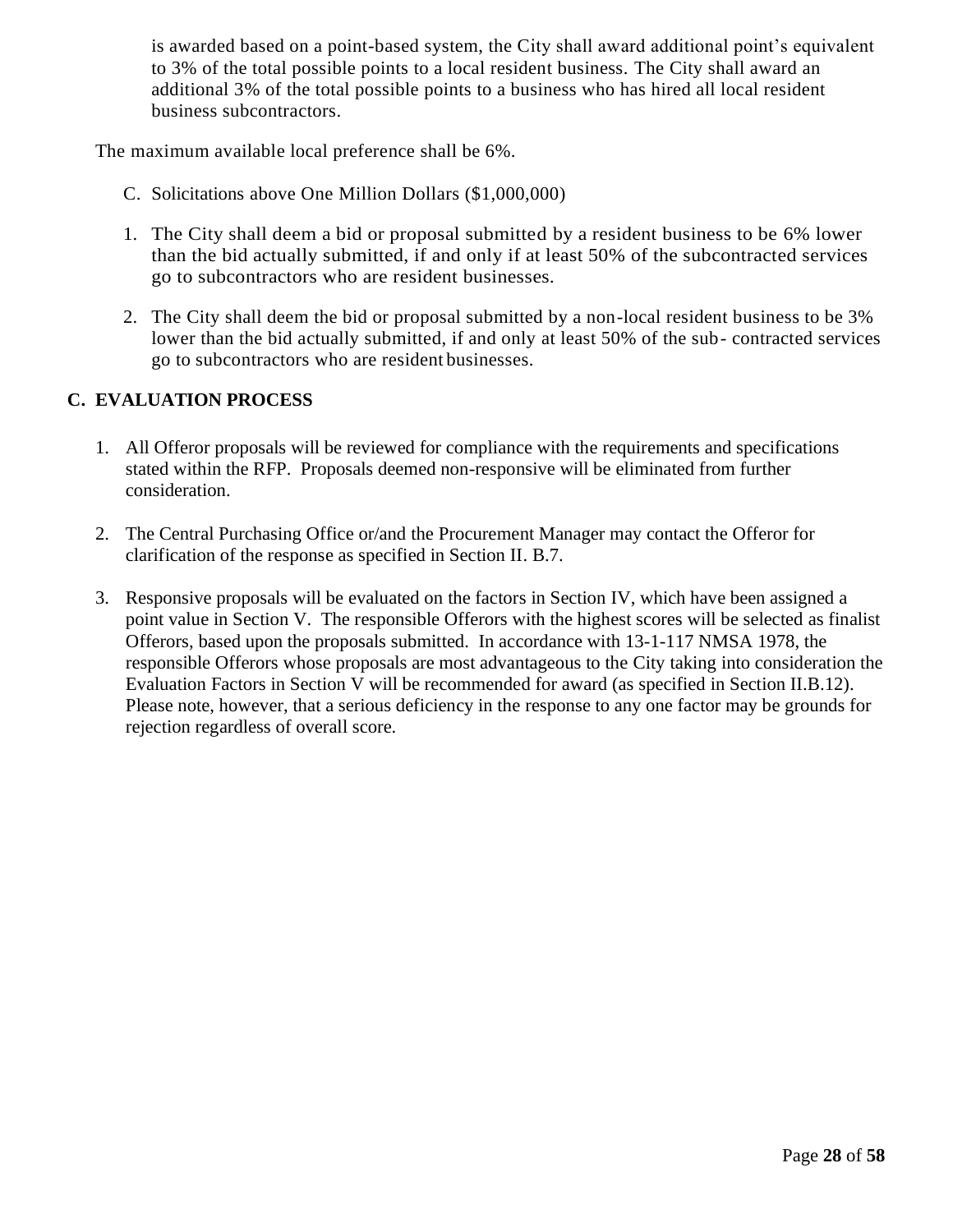is awarded based on a point-based system, the City shall award additional point's equivalent to 3% of the total possible points to a local resident business. The City shall award an additional 3% of the total possible points to a business who has hired all local resident business subcontractors.

The maximum available local preference shall be 6%.

- C. Solicitations above One Million Dollars (\$1,000,000)
- 1. The City shall deem a bid or proposal submitted by a resident business to be 6% lower than the bid actually submitted, if and only if at least 50% of the subcontracted services go to subcontractors who are resident businesses.
- 2. The City shall deem the bid or proposal submitted by a non-local resident business to be 3% lower than the bid actually submitted, if and only at least 50% of the sub- contracted services go to subcontractors who are resident businesses.

# <span id="page-31-0"></span>**C. EVALUATION PROCESS**

- 1. All Offeror proposals will be reviewed for compliance with the requirements and specifications stated within the RFP. Proposals deemed non-responsive will be eliminated from further consideration.
- 2. The Central Purchasing Office or/and the Procurement Manager may contact the Offeror for clarification of the response as specified in Section II. B.7.
- 3. Responsive proposals will be evaluated on the factors in Section IV, which have been assigned a point value in Section V. The responsible Offerors with the highest scores will be selected as finalist Offerors, based upon the proposals submitted. In accordance with 13-1-117 NMSA 1978, the responsible Offerors whose proposals are most advantageous to the City taking into consideration the Evaluation Factors in Section V will be recommended for award (as specified in Section II.B.12). Please note, however, that a serious deficiency in the response to any one factor may be grounds for rejection regardless of overall score.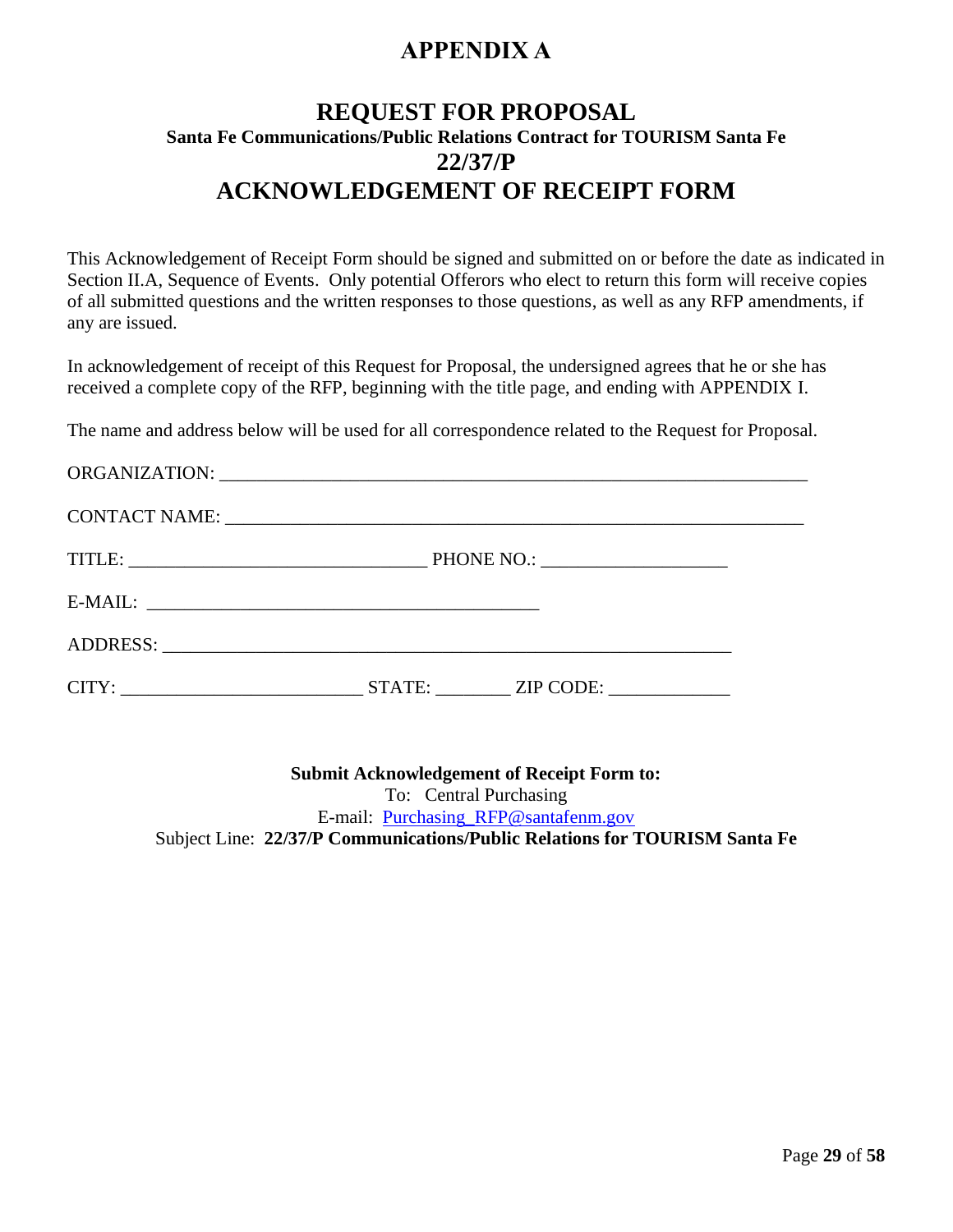# **APPENDIX A**

# <span id="page-32-0"></span>**REQUEST FOR PROPOSAL Santa Fe Communications/Public Relations Contract for TOURISM Santa Fe 22/37/P ACKNOWLEDGEMENT OF RECEIPT FORM**

This Acknowledgement of Receipt Form should be signed and submitted on or before the date as indicated in Section II.A, Sequence of Events. Only potential Offerors who elect to return this form will receive copies of all submitted questions and the written responses to those questions, as well as any RFP amendments, if any are issued.

In acknowledgement of receipt of this Request for Proposal, the undersigned agrees that he or she has received a complete copy of the RFP, beginning with the title page, and ending with APPENDIX I.

The name and address below will be used for all correspondence related to the Request for Proposal.

**Submit Acknowledgement of Receipt Form to:** To: Central Purchasing E-mail: [Purchasing\\_RFP@santafenm.gov](mailto:Purchasing_RFP@santafenm.gov) Subject Line: **22/37/P Communications/Public Relations for TOURISM Santa Fe**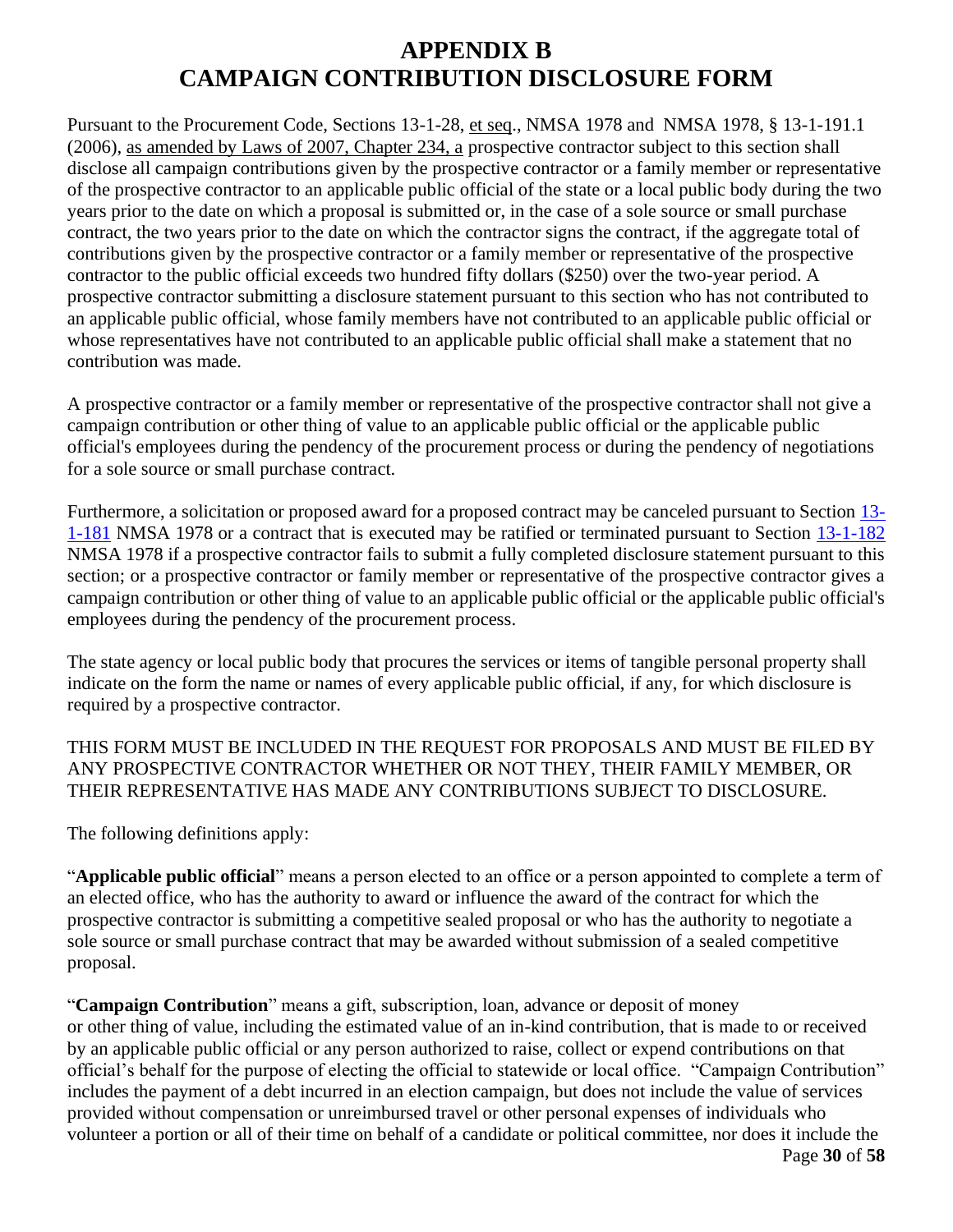# **APPENDIX B CAMPAIGN CONTRIBUTION DISCLOSURE FORM**

Pursuant to the Procurement Code, Sections 13-1-28, et seq., NMSA 1978 and NMSA 1978, § 13-1-191.1 (2006), as amended by Laws of 2007, Chapter 234, a prospective contractor subject to this section shall disclose all campaign contributions given by the prospective contractor or a family member or representative of the prospective contractor to an applicable public official of the state or a local public body during the two years prior to the date on which a proposal is submitted or, in the case of a sole source or small purchase contract, the two years prior to the date on which the contractor signs the contract, if the aggregate total of contributions given by the prospective contractor or a family member or representative of the prospective contractor to the public official exceeds two hundred fifty dollars (\$250) over the two-year period. A prospective contractor submitting a disclosure statement pursuant to this section who has not contributed to an applicable public official, whose family members have not contributed to an applicable public official or whose representatives have not contributed to an applicable public official shall make a statement that no contribution was made.

A prospective contractor or a family member or representative of the prospective contractor shall not give a campaign contribution or other thing of value to an applicable public official or the applicable public official's employees during the pendency of the procurement process or during the pendency of negotiations for a sole source or small purchase contract.

Furthermore, a solicitation or proposed award for a proposed contract may be canceled pursuant to Section [13-](http://mobile.nmonesource.com/nxt/gateway.dll?f=jumplink$jumplink_x=Advanced$jumplink_vpc=first$jumplink_xsl=querylink.xsl$jumplink_sel=title;path;content-type;home-title;item-bookmark$jumplink_d=%7bnmsa1978%7d$jumplink_q=%5bfield%20folio-destination-name:) [1-181](http://mobile.nmonesource.com/nxt/gateway.dll?f=jumplink$jumplink_x=Advanced$jumplink_vpc=first$jumplink_xsl=querylink.xsl$jumplink_sel=title;path;content-type;home-title;item-bookmark$jumplink_d=%7bnmsa1978%7d$jumplink_q=%5bfield%20folio-destination-name:) NMSA 1978 or a contract that is executed may be ratified or terminated pursuant to Section [13-1-182](http://mobile.nmonesource.com/nxt/gateway.dll?f=jumplink$jumplink_x=Advanced$jumplink_vpc=first$jumplink_xsl=querylink.xsl$jumplink_sel=title;path;content-type;home-title;item-bookmark$jumplink_d=%7bnmsa1978%7d$jumplink_q=%5bfield%20folio-destination-name:) NMSA 1978 if a prospective contractor fails to submit a fully completed disclosure statement pursuant to this section; or a prospective contractor or family member or representative of the prospective contractor gives a campaign contribution or other thing of value to an applicable public official or the applicable public official's employees during the pendency of the procurement process.

The state agency or local public body that procures the services or items of tangible personal property shall indicate on the form the name or names of every applicable public official, if any, for which disclosure is required by a prospective contractor.

THIS FORM MUST BE INCLUDED IN THE REQUEST FOR PROPOSALS AND MUST BE FILED BY ANY PROSPECTIVE CONTRACTOR WHETHER OR NOT THEY, THEIR FAMILY MEMBER, OR THEIR REPRESENTATIVE HAS MADE ANY CONTRIBUTIONS SUBJECT TO DISCLOSURE.

The following definitions apply:

"**Applicable public official**" means a person elected to an office or a person appointed to complete a term of an elected office, who has the authority to award or influence the award of the contract for which the prospective contractor is submitting a competitive sealed proposal or who has the authority to negotiate a sole source or small purchase contract that may be awarded without submission of a sealed competitive proposal.

"**Campaign Contribution**" means a gift, subscription, loan, advance or deposit of money or other thing of value, including the estimated value of an in-kind contribution, that is made to or received by an applicable public official or any person authorized to raise, collect or expend contributions on that official's behalf for the purpose of electing the official to statewide or local office. "Campaign Contribution" includes the payment of a debt incurred in an election campaign, but does not include the value of services provided without compensation or unreimbursed travel or other personal expenses of individuals who volunteer a portion or all of their time on behalf of a candidate or political committee, nor does it include the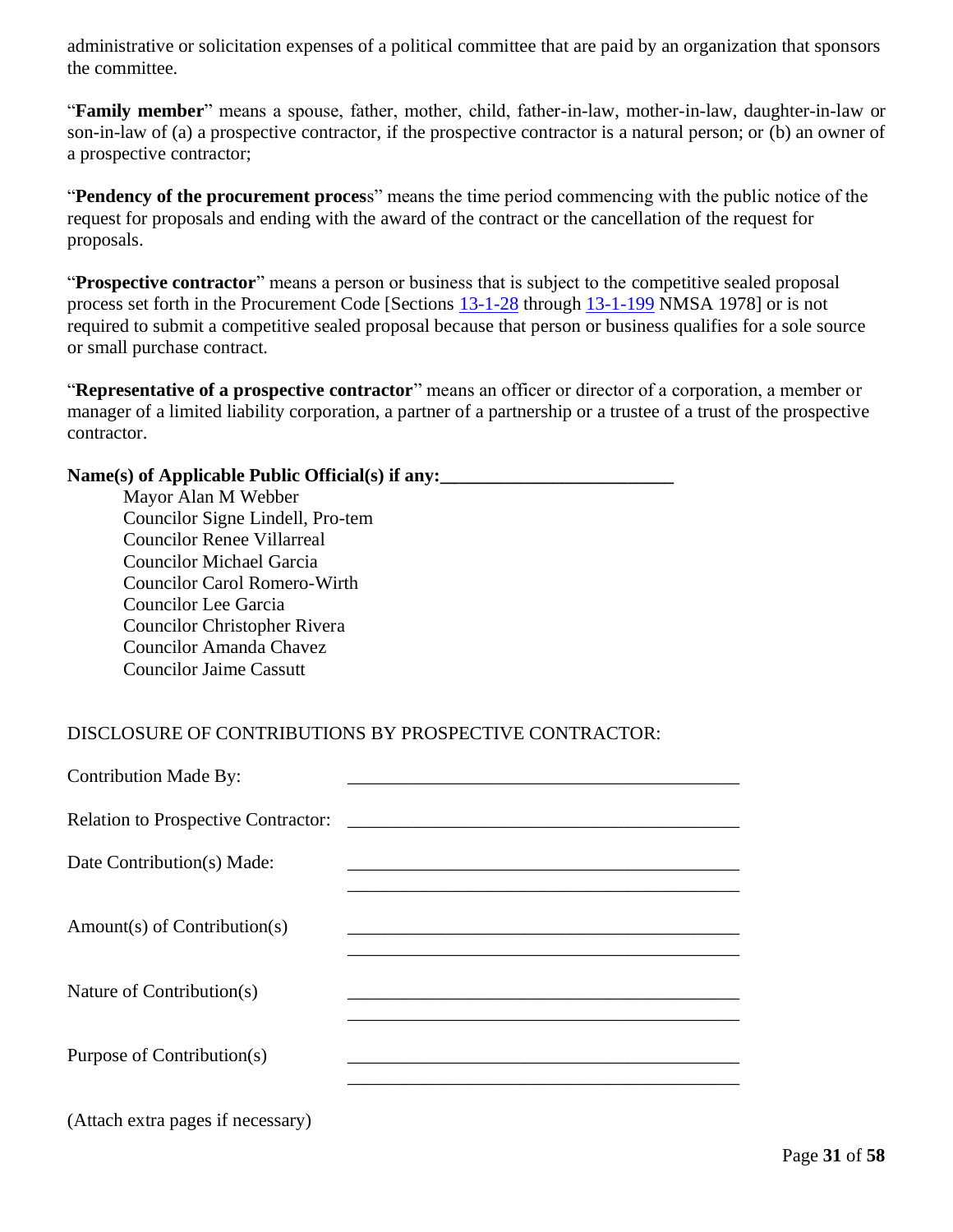administrative or solicitation expenses of a political committee that are paid by an organization that sponsors the committee.

"**Family member**" means a spouse, father, mother, child, father-in-law, mother-in-law, daughter-in-law or son-in-law of (a) a prospective contractor, if the prospective contractor is a natural person; or (b) an owner of a prospective contractor;

"**Pendency of the procurement proces**s" means the time period commencing with the public notice of the request for proposals and ending with the award of the contract or the cancellation of the request for proposals.

"**Prospective contractor**" means a person or business that is subject to the competitive sealed proposal process set forth in the Procurement Code [Sections [13-1-28](http://mobile.nmonesource.com/nxt/gateway.dll?f=jumplink$jumplink_x=Advanced$jumplink_vpc=first$jumplink_xsl=querylink.xsl$jumplink_sel=title;path;content-type;home-title;item-bookmark$jumplink_d=%7bnmsa1978%7d$jumplink_q=%5bfield%20folio-destination-name:) through [13-1-199](http://mobile.nmonesource.com/nxt/gateway.dll?f=jumplink$jumplink_x=Advanced$jumplink_vpc=first$jumplink_xsl=querylink.xsl$jumplink_sel=title;path;content-type;home-title;item-bookmark$jumplink_d=%7bnmsa1978%7d$jumplink_q=%5bfield%20folio-destination-name:) NMSA 1978] or is not required to submit a competitive sealed proposal because that person or business qualifies for a sole source or small purchase contract.

"**Representative of a prospective contractor**" means an officer or director of a corporation, a member or manager of a limited liability corporation, a partner of a partnership or a trustee of a trust of the prospective contractor.

#### Name(s) of Applicable Public Official(s) if any:

Mayor Alan M Webber Councilor Signe Lindell, Pro-tem Councilor Renee Villarreal Councilor Michael Garcia Councilor Carol Romero-Wirth Councilor Lee Garcia Councilor Christopher Rivera Councilor Amanda Chavez Councilor Jaime Cassutt

# DISCLOSURE OF CONTRIBUTIONS BY PROSPECTIVE CONTRACTOR:

| <b>Contribution Made By:</b>               |
|--------------------------------------------|
| <b>Relation to Prospective Contractor:</b> |
| Date Contribution(s) Made:                 |
|                                            |
| $Amount(s)$ of Contribution(s)             |
|                                            |
| Nature of Contribution(s)                  |
|                                            |
| Purpose of Contribution(s)                 |
|                                            |
| (Attach extra pages if necessary)          |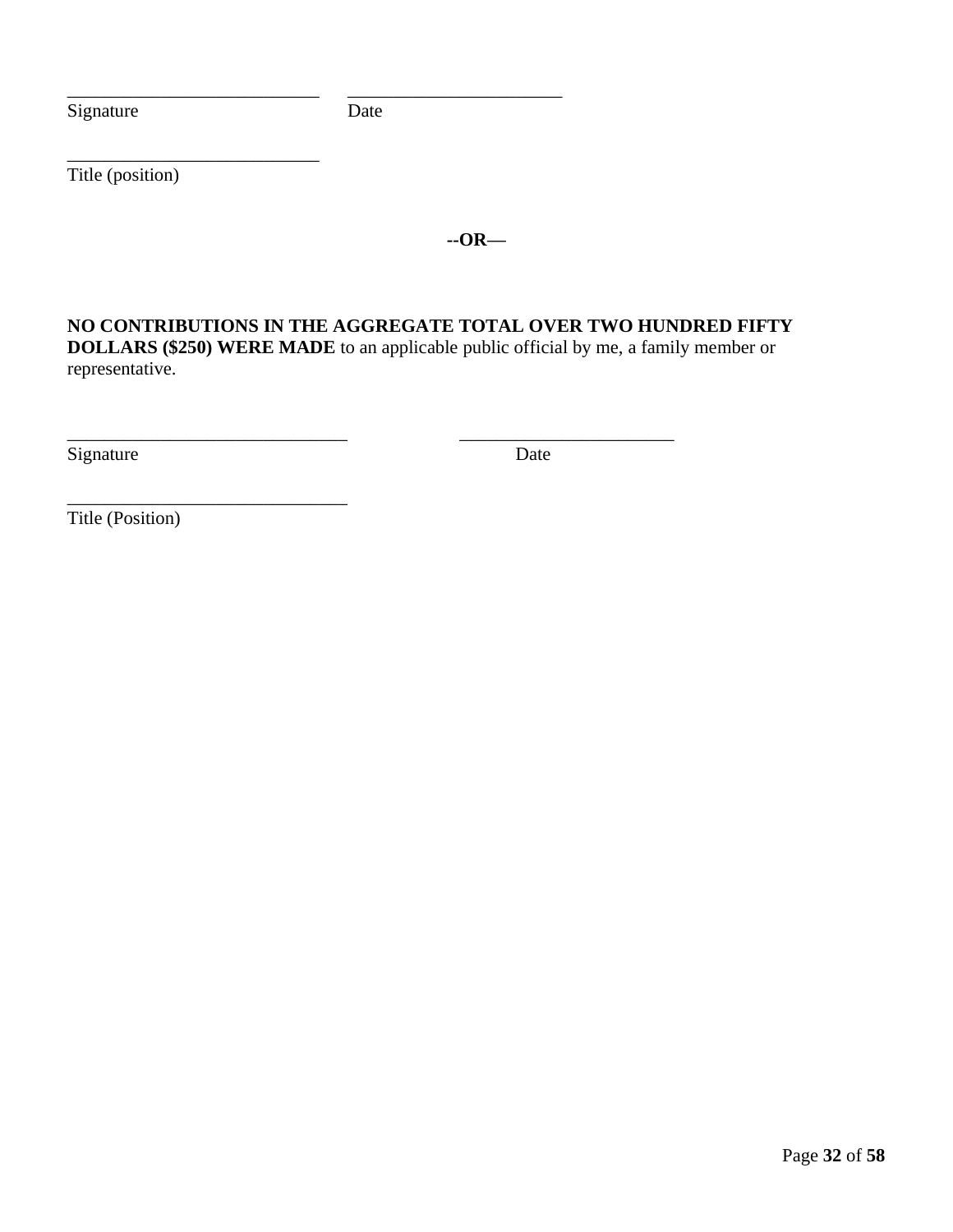Signature Date

\_\_\_\_\_\_\_\_\_\_\_\_\_\_\_\_\_\_\_\_\_\_\_\_\_\_\_\_\_\_ \_\_\_\_\_\_\_\_\_\_\_\_\_\_\_\_\_\_\_\_\_\_\_

\_\_\_\_\_\_\_\_\_\_\_\_\_\_\_\_\_\_\_\_\_\_\_\_\_\_\_ \_\_\_\_\_\_\_\_\_\_\_\_\_\_\_\_\_\_\_\_\_\_\_

Title (position)

\_\_\_\_\_\_\_\_\_\_\_\_\_\_\_\_\_\_\_\_\_\_\_\_\_\_\_

\_\_\_\_\_\_\_\_\_\_\_\_\_\_\_\_\_\_\_\_\_\_\_\_\_\_\_\_\_\_

**--OR—**

**NO CONTRIBUTIONS IN THE AGGREGATE TOTAL OVER TWO HUNDRED FIFTY DOLLARS (\$250) WERE MADE** to an applicable public official by me, a family member or representative.

Signature Date

Title (Position)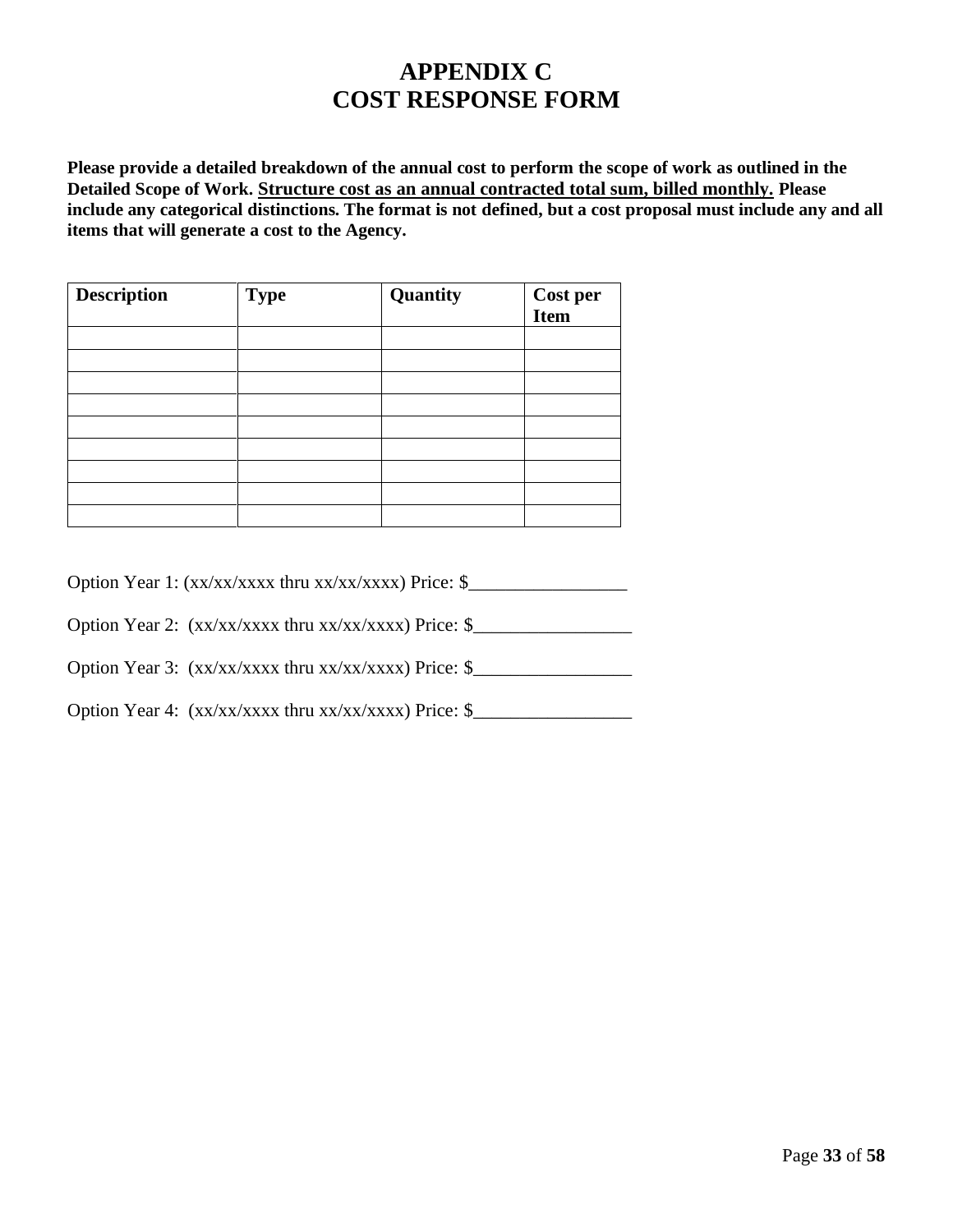# **APPENDIX C COST RESPONSE FORM**

**Please provide a detailed breakdown of the annual cost to perform the scope of work as outlined in the Detailed Scope of Work. Structure cost as an annual contracted total sum, billed monthly. Please include any categorical distinctions. The format is not defined, but a cost proposal must include any and all items that will generate a cost to the Agency.**

| <b>Description</b> | <b>Type</b> | Quantity | <b>Cost per<br/>Item</b> |
|--------------------|-------------|----------|--------------------------|
|                    |             |          |                          |
|                    |             |          |                          |
|                    |             |          |                          |
|                    |             |          |                          |
|                    |             |          |                          |
|                    |             |          |                          |
|                    |             |          |                          |
|                    |             |          |                          |
|                    |             |          |                          |

| Option Year 1: (xx/xx/xxxx thru xx/xx/xxxx) Price: \$ |  |
|-------------------------------------------------------|--|
|-------------------------------------------------------|--|

Option Year 2: (xx/xx/xxxx thru xx/xx/xxxx) Price: \$\_\_\_\_\_\_\_\_\_\_\_\_\_\_\_\_\_\_\_\_\_\_\_\_\_\_\_\_\_

Option Year 3: (xx/xx/xxxx thru xx/xx/xxxx) Price: \$\_\_\_\_\_\_\_\_\_\_\_\_\_\_\_\_\_\_\_\_\_\_\_\_\_\_\_\_\_

Option Year 4: (xx/xx/xxxx thru xx/xx/xxxx) Price: \$\_\_\_\_\_\_\_\_\_\_\_\_\_\_\_\_\_\_\_\_\_\_\_\_\_\_\_\_\_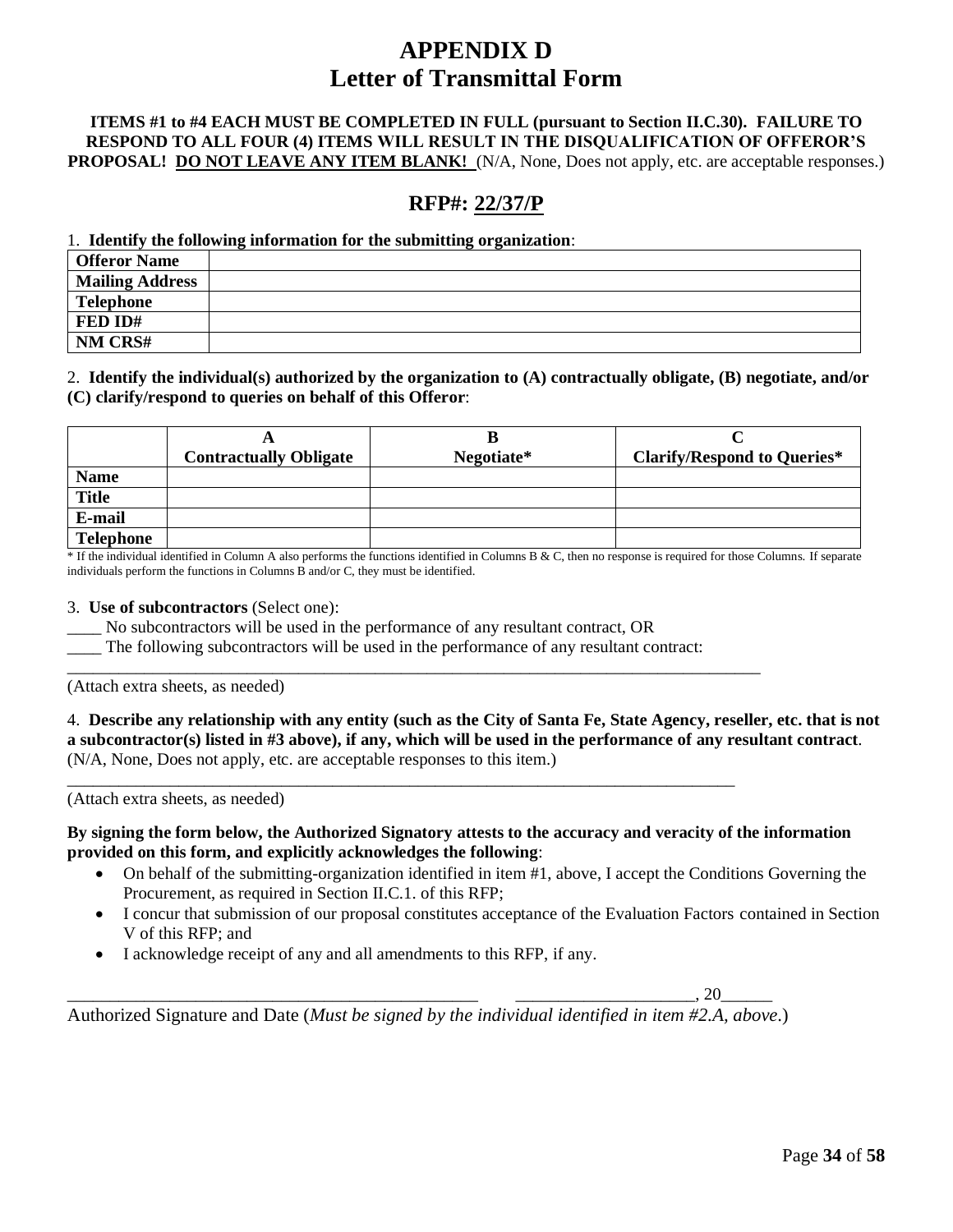# **APPENDIX D Letter of Transmittal Form**

#### **ITEMS #1 to #4 EACH MUST BE COMPLETED IN FULL (pursuant to Section II.C.30). FAILURE TO RESPOND TO ALL FOUR (4) ITEMS WILL RESULT IN THE DISQUALIFICATION OF OFFEROR'S PROPOSAL! DO NOT LEAVE ANY ITEM BLANK!** (N/A, None, Does not apply, etc. are acceptable responses.)

# **RFP#: 22/37/P**

#### 1. **Identify the following information for the submitting organization**:

| <b>Offeror Name</b>    |  |
|------------------------|--|
| <b>Mailing Address</b> |  |
| <b>Telephone</b>       |  |
| FED ID#                |  |
| NM CRS#                |  |

#### 2. **Identify the individual(s) authorized by the organization to (A) contractually obligate, (B) negotiate, and/or (C) clarify/respond to queries on behalf of this Offeror**:

|                  | <b>Contractually Obligate</b> | в<br>Negotiate* | <b>Clarify/Respond to Queries*</b> |
|------------------|-------------------------------|-----------------|------------------------------------|
| <b>Name</b>      |                               |                 |                                    |
| <b>Title</b>     |                               |                 |                                    |
| E-mail           |                               |                 |                                    |
| <b>Telephone</b> |                               |                 |                                    |

 $*$  If the individual identified in Column A also performs the functions identified in Columns B & C, then no response is required for those Columns. If separate individuals perform the functions in Columns B and/or C, they must be identified.

#### 3. **Use of subcontractors** (Select one):

- No subcontractors will be used in the performance of any resultant contract, OR
- The following subcontractors will be used in the performance of any resultant contract:

\_\_\_\_\_\_\_\_\_\_\_\_\_\_\_\_\_\_\_\_\_\_\_\_\_\_\_\_\_\_\_\_\_\_\_\_\_\_\_\_\_\_\_\_\_\_\_\_\_\_\_\_\_\_\_\_\_\_\_\_\_\_\_\_\_\_\_\_\_\_\_\_\_\_\_\_\_\_\_\_\_

\_\_\_\_\_\_\_\_\_\_\_\_\_\_\_\_\_\_\_\_\_\_\_\_\_\_\_\_\_\_\_\_\_\_\_\_\_\_\_\_\_\_\_\_\_\_\_\_\_\_\_\_\_\_\_\_\_\_\_\_\_\_\_\_\_\_\_\_\_\_\_\_\_\_\_\_\_\_

(Attach extra sheets, as needed)

4. **Describe any relationship with any entity (such as the City of Santa Fe, State Agency, reseller, etc. that is not a subcontractor(s) listed in #3 above), if any, which will be used in the performance of any resultant contract**. (N/A, None, Does not apply, etc. are acceptable responses to this item.)

(Attach extra sheets, as needed)

#### **By signing the form below, the Authorized Signatory attests to the accuracy and veracity of the information provided on this form, and explicitly acknowledges the following**:

- On behalf of the submitting-organization identified in item #1, above, I accept the Conditions Governing the Procurement, as required in Section II.C.1. of this RFP;
- I concur that submission of our proposal constitutes acceptance of the Evaluation Factors contained in Section V of this RFP; and
- I acknowledge receipt of any and all amendments to this RFP, if any.

\_\_\_\_\_\_\_\_\_\_\_\_\_\_\_\_\_\_\_\_\_\_\_\_\_\_\_\_\_\_\_\_\_\_\_\_\_\_\_\_\_\_\_\_\_\_\_\_ \_\_\_\_\_\_\_\_\_\_\_\_\_\_\_\_\_\_\_\_\_, 20\_\_\_\_\_\_

Authorized Signature and Date (*Must be signed by the individual identified in item #2.A, above*.)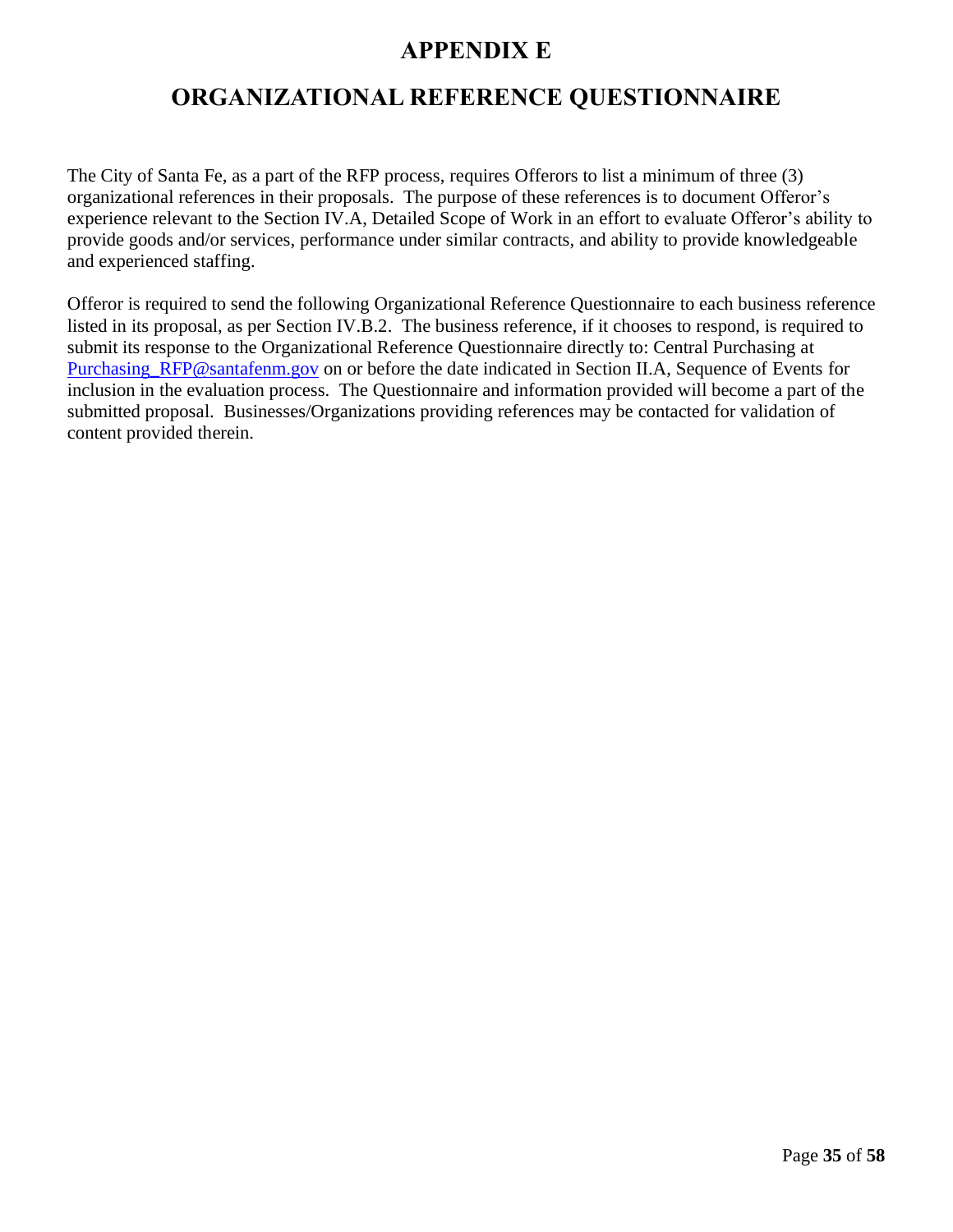# **APPENDIX E**

# <span id="page-38-0"></span>**ORGANIZATIONAL REFERENCE QUESTIONNAIRE**

<span id="page-38-1"></span>The City of Santa Fe, as a part of the RFP process, requires Offerors to list a minimum of three (3) organizational references in their proposals. The purpose of these references is to document Offeror's experience relevant to the Section IV.A, Detailed Scope of Work in an effort to evaluate Offeror's ability to provide goods and/or services, performance under similar contracts, and ability to provide knowledgeable and experienced staffing.

Offeror is required to send the following Organizational Reference Questionnaire to each business reference listed in its proposal, as per Section IV.B.2. The business reference, if it chooses to respond, is required to submit its response to the Organizational Reference Questionnaire directly to: Central Purchasing at Purchasing RFP@santafenm.gov on or before the date indicated in Section II.A, Sequence of Events for inclusion in the evaluation process. The Questionnaire and information provided will become a part of the submitted proposal. Businesses/Organizations providing references may be contacted for validation of content provided therein.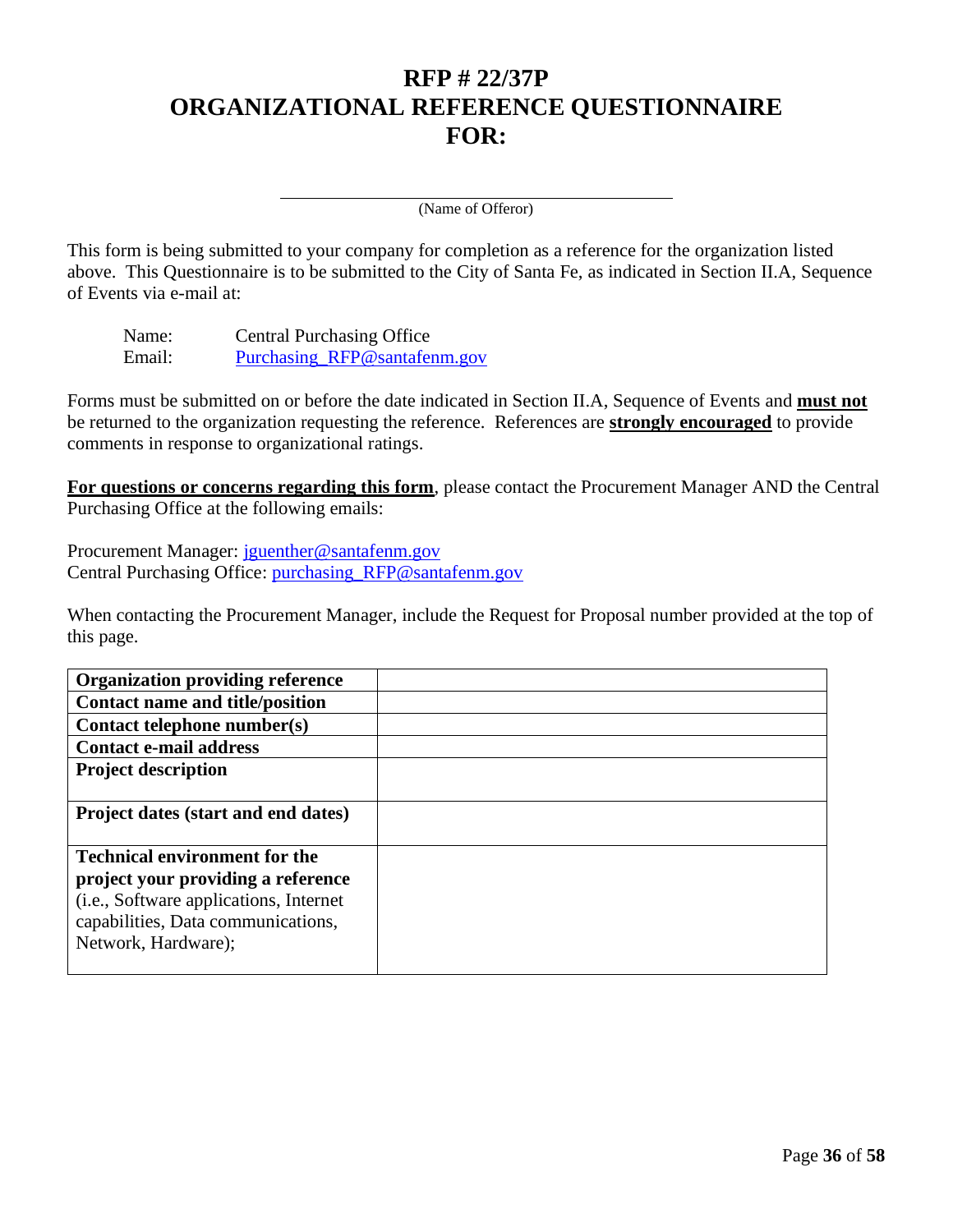# **RFP # 22/37P ORGANIZATIONAL REFERENCE QUESTIONNAIRE FOR:**

(Name of Offeror)

This form is being submitted to your company for completion as a reference for the organization listed above. This Questionnaire is to be submitted to the City of Santa Fe, as indicated in Section II.A, Sequence of Events via e-mail at:

Name: Central Purchasing Office Email: [Purchasing\\_RFP@santafenm.gov](mailto:Purchasing_RFP@santafenm.gov)

Forms must be submitted on or before the date indicated in Section II.A, Sequence of Events and **must not** be returned to the organization requesting the reference. References are **strongly encouraged** to provide comments in response to organizational ratings.

**For questions or concerns regarding this form**, please contact the Procurement Manager AND the Central Purchasing Office at the following emails:

Procurement Manager: [jguenther@santafenm.gov](mailto:jguenther@santafenm.gov) Central Purchasing Office: [purchasing\\_RFP@santafenm.gov](mailto:purchasing_RFP@santafenm.gov)

When contacting the Procurement Manager, include the Request for Proposal number provided at the top of this page.

| <b>Organization providing reference</b> |  |
|-----------------------------------------|--|
| <b>Contact name and title/position</b>  |  |
| Contact telephone number(s)             |  |
| <b>Contact e-mail address</b>           |  |
| <b>Project description</b>              |  |
|                                         |  |
| Project dates (start and end dates)     |  |
|                                         |  |
| <b>Technical environment for the</b>    |  |
| project your providing a reference      |  |
| (i.e., Software applications, Internet  |  |
| capabilities, Data communications,      |  |
| Network, Hardware);                     |  |
|                                         |  |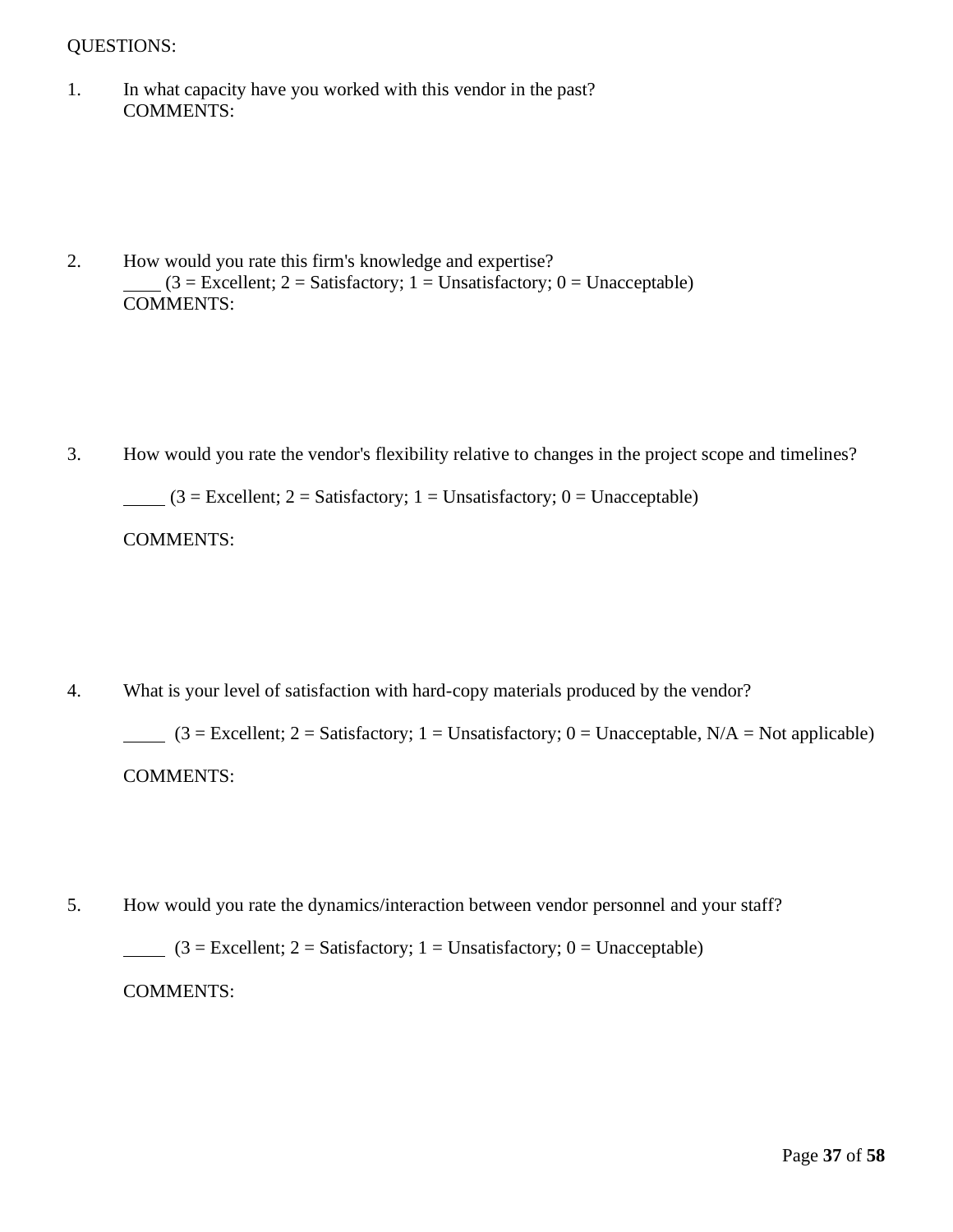## QUESTIONS:

1. In what capacity have you worked with this vendor in the past? COMMENTS:

2. How would you rate this firm's knowledge and expertise?  $(3 = Excellent; 2 = Satisfactory; 1 = Unsatisfactory; 0 = Unacceptable)$ COMMENTS:

3. How would you rate the vendor's flexibility relative to changes in the project scope and timelines?

 $(3 = Excellent; 2 = Satisfactory; 1 = Unsatisfactory; 0 = Unacceptable)$ 

COMMENTS:

4. What is your level of satisfaction with hard-copy materials produced by the vendor?

 $(3 = Excellent; 2 = Satisfactory; 1 = Unsatisfactory; 0 = Unacceptable, N/A = Not applicable)$ COMMENTS:

5. How would you rate the dynamics/interaction between vendor personnel and your staff?  $(3 = Excellent; 2 = Satisfactory; 1 = Unsatisfactory; 0 = Unacceptable)$ COMMENTS: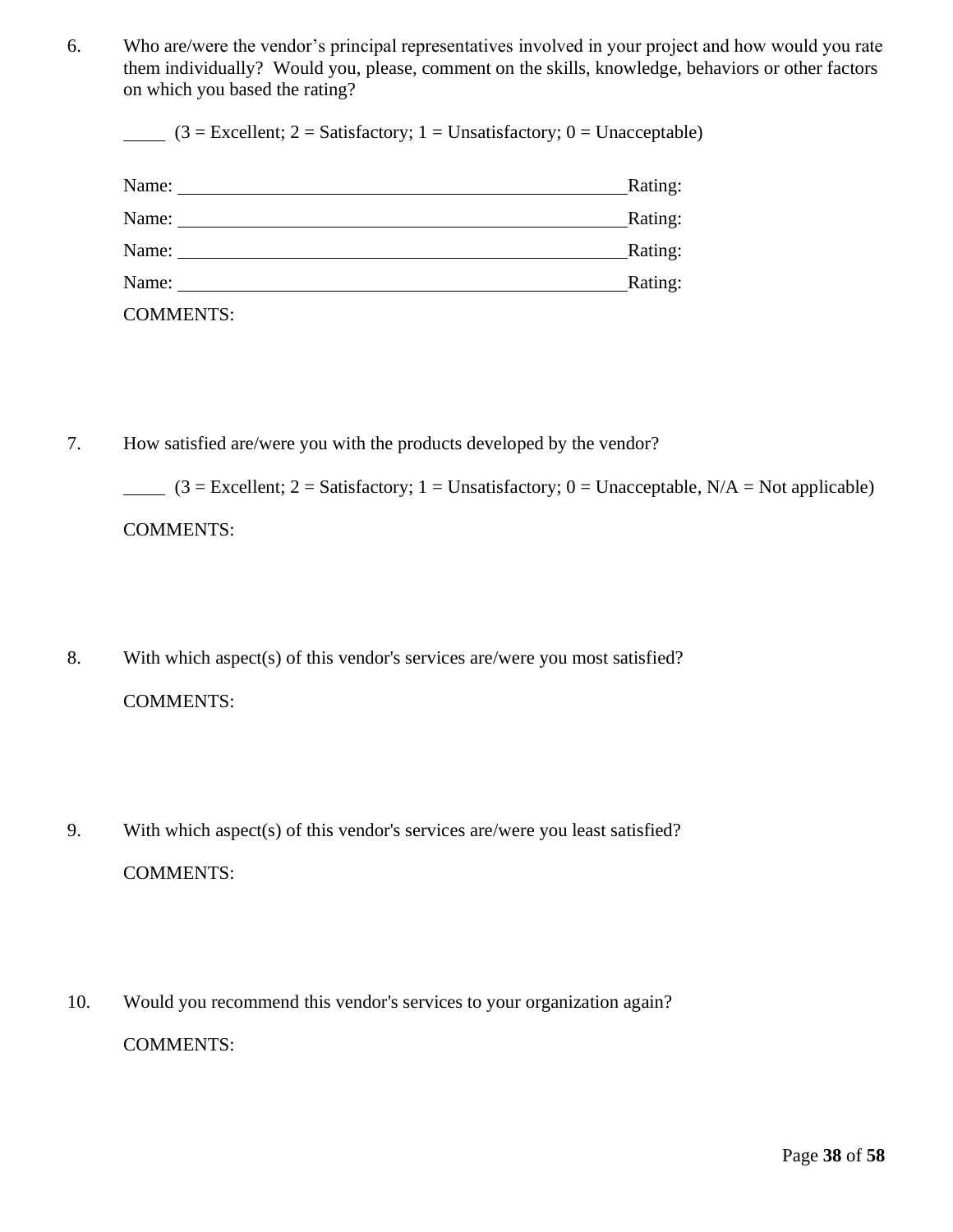6. Who are/were the vendor's principal representatives involved in your project and how would you rate them individually? Would you, please, comment on the skills, knowledge, behaviors or other factors on which you based the rating?

 $(3 = Excellent; 2 = Satisfactory; 1 = Unsatisfactory; 0 = Unacceptable)$ 

| Name:            | Rating: |
|------------------|---------|
| Name:            | Rating: |
| Name:            | Rating: |
| Name:            | Rating: |
| <b>COMMENTS:</b> |         |

7. How satisfied are/were you with the products developed by the vendor?

 $(3 = Excellent; 2 = Satisfactory; 1 = Unsatisfactory; 0 = Unacceptable, N/A = Not applicable)$ COMMENTS:

- 8. With which aspect(s) of this vendor's services are/were you most satisfied? COMMENTS:
- 9. With which aspect(s) of this vendor's services are/were you least satisfied? COMMENTS:
- 10. Would you recommend this vendor's services to your organization again? COMMENTS: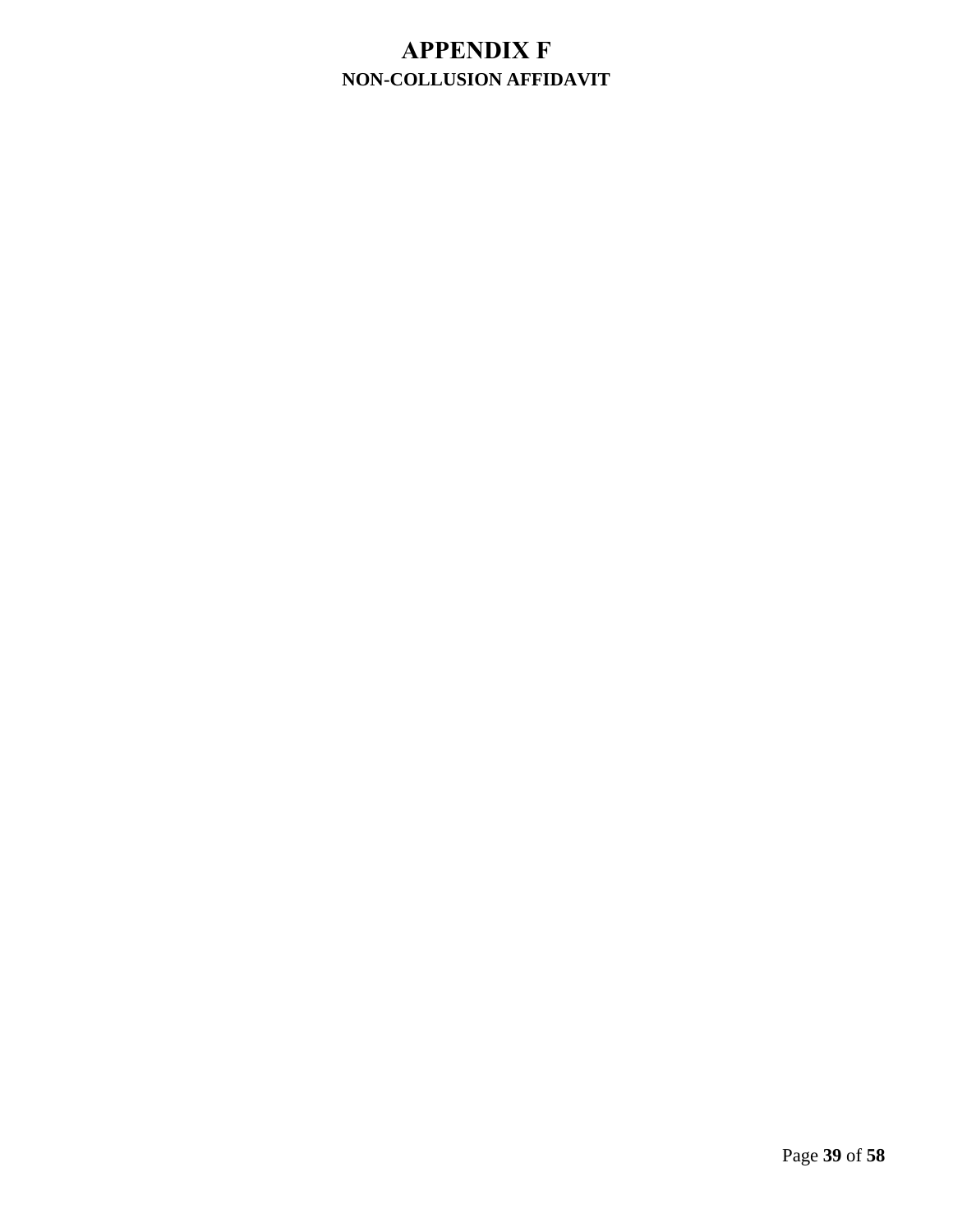# <span id="page-42-0"></span>**APPENDIX F NON-COLLUSION AFFIDAVIT**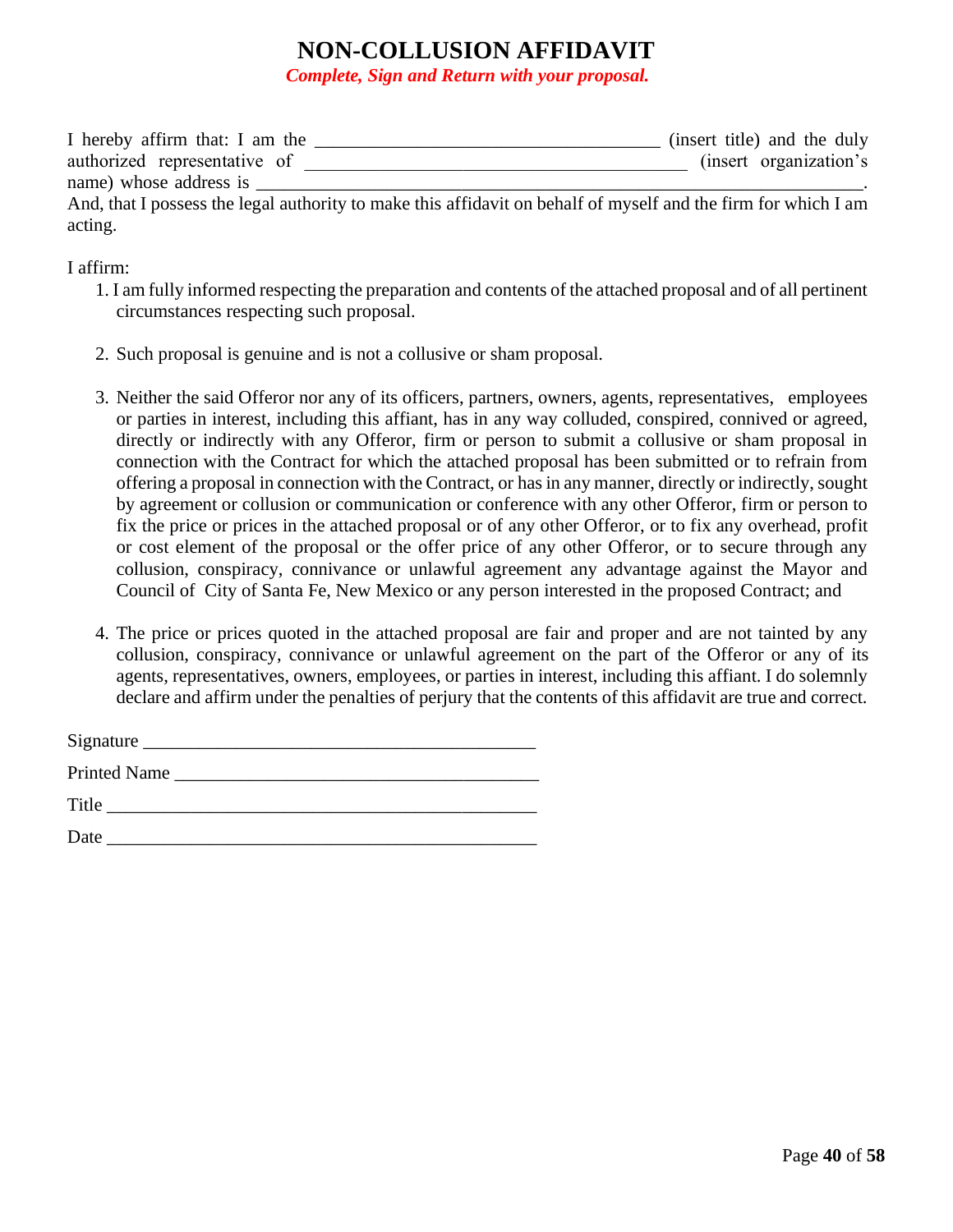# **NON-COLLUSION AFFIDAVIT**

*Complete, Sign and Return with your proposal.*

| I hereby affirm that: I am the | (insert title) and the duly                                                                                    |
|--------------------------------|----------------------------------------------------------------------------------------------------------------|
| authorized representative of   | (insert organization's                                                                                         |
| name) whose address is         |                                                                                                                |
|                                | And, that I possess the legal authority to make this affidavit on behalf of myself and the firm for which I am |
| acting.                        |                                                                                                                |

#### I affirm:

- 1. I am fully informed respecting the preparation and contents of the attached proposal and of all pertinent circumstances respecting such proposal.
- 2. Such proposal is genuine and is not a collusive or sham proposal.
- 3. Neither the said Offeror nor any of its officers, partners, owners, agents, representatives, employees or parties in interest, including this affiant, has in any way colluded, conspired, connived or agreed, directly or indirectly with any Offeror, firm or person to submit a collusive or sham proposal in connection with the Contract for which the attached proposal has been submitted or to refrain from offering a proposal in connection with the Contract, or has in any manner, directly or indirectly, sought by agreement or collusion or communication or conference with any other Offeror, firm or person to fix the price or prices in the attached proposal or of any other Offeror, or to fix any overhead, profit or cost element of the proposal or the offer price of any other Offeror, or to secure through any collusion, conspiracy, connivance or unlawful agreement any advantage against the Mayor and Council of City of Santa Fe, New Mexico or any person interested in the proposed Contract; and
- 4. The price or prices quoted in the attached proposal are fair and proper and are not tainted by any collusion, conspiracy, connivance or unlawful agreement on the part of the Offeror or any of its agents, representatives, owners, employees, or parties in interest, including this affiant. I do solemnly declare and affirm under the penalties of perjury that the contents of this affidavit are true and correct.

| Signature $_{-}$    |  |
|---------------------|--|
| <b>Printed Name</b> |  |
| Title               |  |
| Date                |  |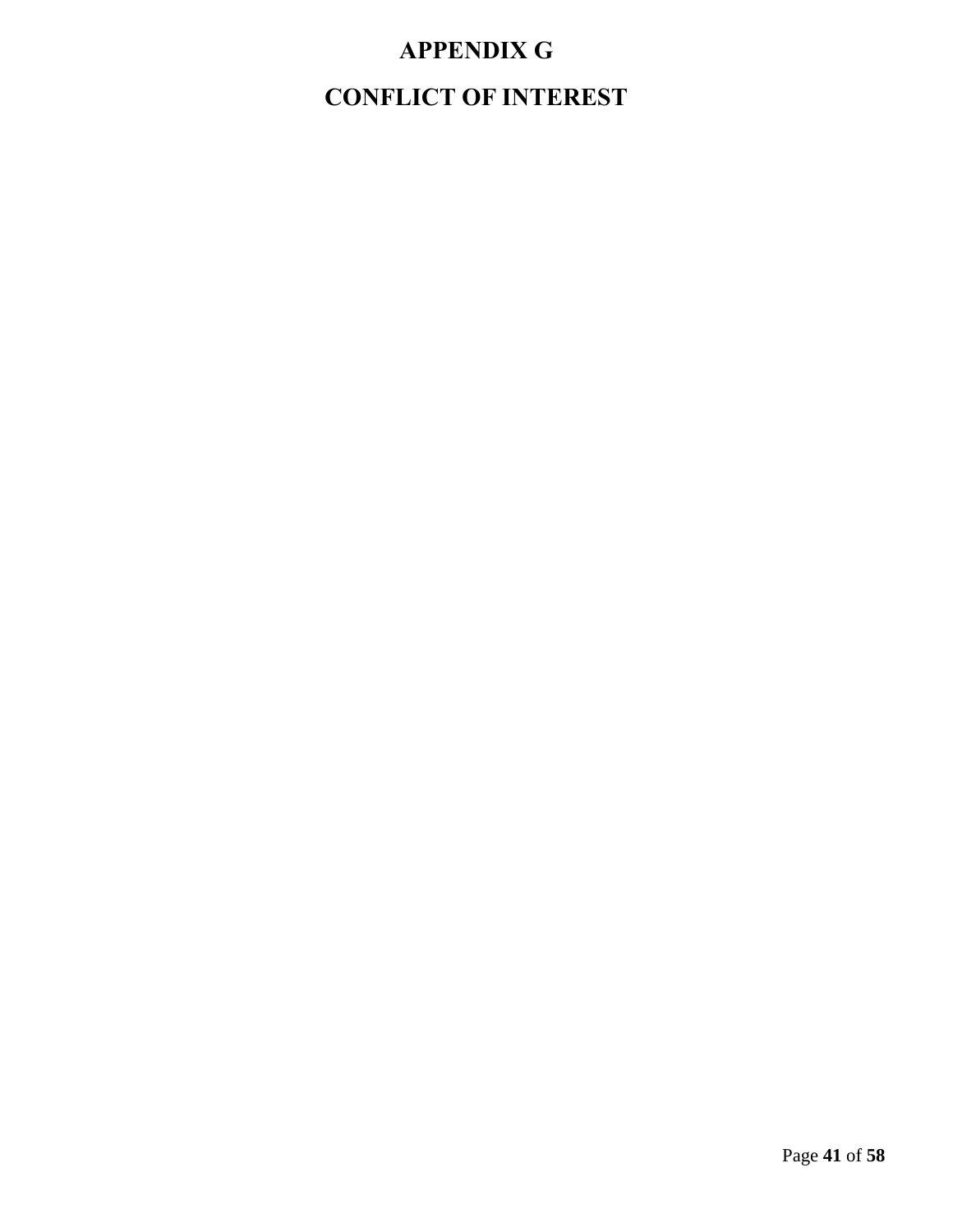# **APPENDIX G**

# <span id="page-44-1"></span><span id="page-44-0"></span>**CONFLICT OF INTEREST**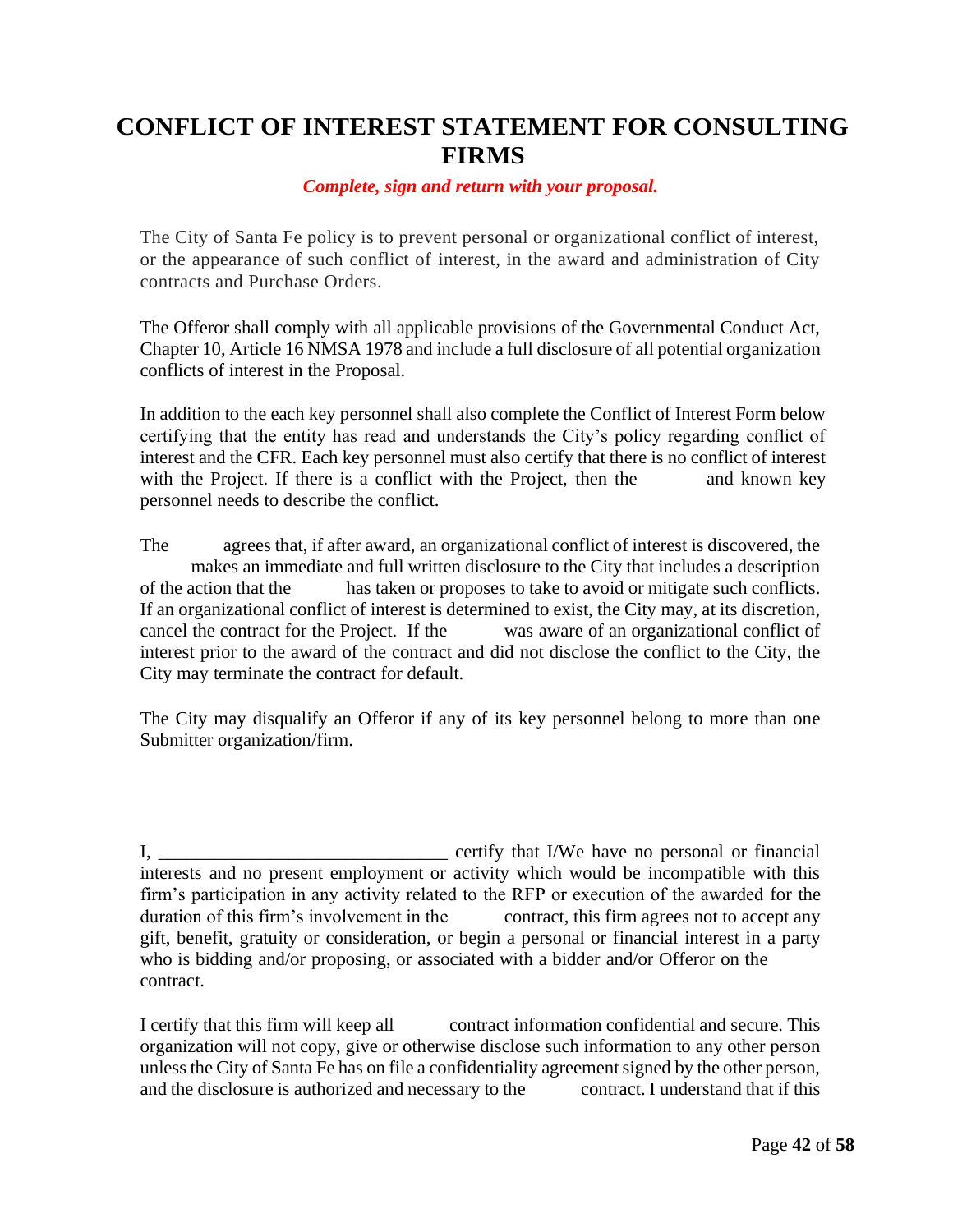# **CONFLICT OF INTEREST STATEMENT FOR CONSULTING FIRMS**

#### *Complete, sign and return with your proposal.*

The City of Santa Fe policy is to prevent personal or organizational conflict of interest, or the appearance of such conflict of interest, in the award and administration of City contracts and Purchase Orders.

The Offeror shall comply with all applicable provisions of the Governmental Conduct Act, Chapter 10, Article 16 NMSA 1978 and include a full disclosure of all potential organization conflicts of interest in the Proposal.

In addition to the each key personnel shall also complete the Conflict of Interest Form below certifying that the entity has read and understands the City's policy regarding conflict of interest and the CFR. Each key personnel must also certify that there is no conflict of interest with the Project. If there is a conflict with the Project, then the and known key personnel needs to describe the conflict.

The agrees that, if after award, an organizational conflict of interest is discovered, the makes an immediate and full written disclosure to the City that includes a description of the action that the has taken or proposes to take to avoid or mitigate such conflicts. If an organizational conflict of interest is determined to exist, the City may, at its discretion, cancel the contract for the Project. If the was aware of an organizational conflict of interest prior to the award of the contract and did not disclose the conflict to the City, the City may terminate the contract for default.

The City may disqualify an Offeror if any of its key personnel belong to more than one Submitter organization/firm.

I, \_\_\_\_\_\_\_\_\_\_\_\_\_\_\_\_\_\_\_\_\_\_\_\_\_\_\_\_\_\_\_ certify that I/We have no personal or financial interests and no present employment or activity which would be incompatible with this firm's participation in any activity related to the RFP or execution of the awarded for the duration of this firm's involvement in the contract, this firm agrees not to accept any gift, benefit, gratuity or consideration, or begin a personal or financial interest in a party who is bidding and/or proposing, or associated with a bidder and/or Offeror on the contract.

I certify that this firm will keep all contract information confidential and secure. This organization will not copy, give or otherwise disclose such information to any other person unless the City of Santa Fe has on file a confidentiality agreement signed by the other person, and the disclosure is authorized and necessary to the contract. I understand that if this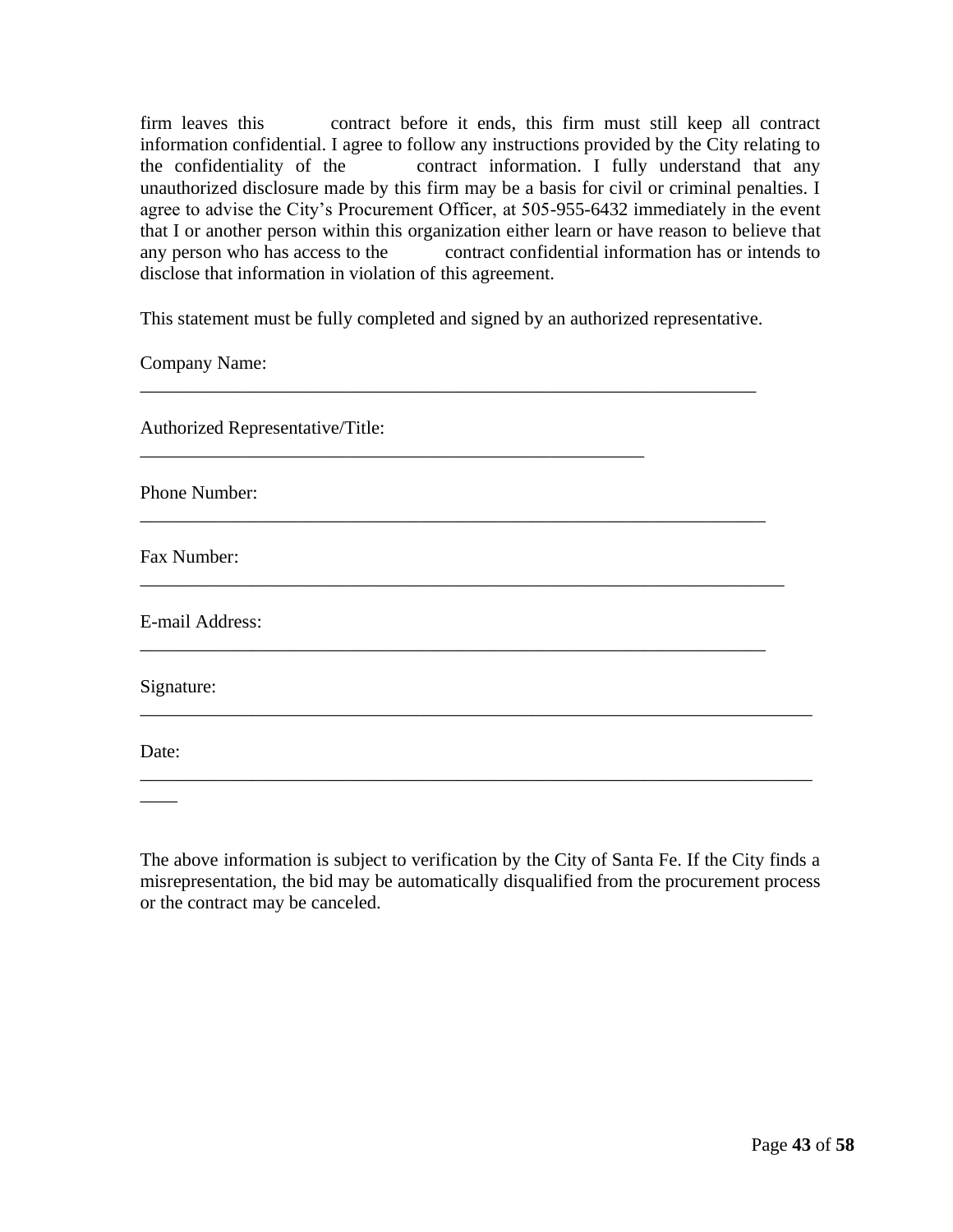firm leaves this contract before it ends, this firm must still keep all contract information confidential. I agree to follow any instructions provided by the City relating to the confidentiality of the contract information. I fully understand that any unauthorized disclosure made by this firm may be a basis for civil or criminal penalties. I agree to advise the City's Procurement Officer, at 505-955-6432 immediately in the event that I or another person within this organization either learn or have reason to believe that any person who has access to the contract confidential information has or intends to disclose that information in violation of this agreement.

This statement must be fully completed and signed by an authorized representative.

\_\_\_\_\_\_\_\_\_\_\_\_\_\_\_\_\_\_\_\_\_\_\_\_\_\_\_\_\_\_\_\_\_\_\_\_\_\_\_\_\_\_\_\_\_\_\_\_\_\_\_\_\_\_\_\_\_\_\_\_\_\_\_\_\_\_

\_\_\_\_\_\_\_\_\_\_\_\_\_\_\_\_\_\_\_\_\_\_\_\_\_\_\_\_\_\_\_\_\_\_\_\_\_\_\_\_\_\_\_\_\_\_\_\_\_\_\_\_\_\_\_\_\_\_\_\_\_\_\_\_\_\_\_

\_\_\_\_\_\_\_\_\_\_\_\_\_\_\_\_\_\_\_\_\_\_\_\_\_\_\_\_\_\_\_\_\_\_\_\_\_\_\_\_\_\_\_\_\_\_\_\_\_\_\_\_\_\_\_\_\_\_\_\_\_\_\_\_\_\_\_\_\_

\_\_\_\_\_\_\_\_\_\_\_\_\_\_\_\_\_\_\_\_\_\_\_\_\_\_\_\_\_\_\_\_\_\_\_\_\_\_\_\_\_\_\_\_\_\_\_\_\_\_\_\_\_\_\_\_\_\_\_\_\_\_\_\_\_\_\_

\_\_\_\_\_\_\_\_\_\_\_\_\_\_\_\_\_\_\_\_\_\_\_\_\_\_\_\_\_\_\_\_\_\_\_\_\_\_\_\_\_\_\_\_\_\_\_\_\_\_\_\_\_\_\_\_\_\_\_\_\_\_\_\_\_\_\_\_\_\_\_\_

\_\_\_\_\_\_\_\_\_\_\_\_\_\_\_\_\_\_\_\_\_\_\_\_\_\_\_\_\_\_\_\_\_\_\_\_\_\_\_\_\_\_\_\_\_\_\_\_\_\_\_\_\_\_\_\_\_\_\_\_\_\_\_\_\_\_\_\_\_\_\_\_

\_\_\_\_\_\_\_\_\_\_\_\_\_\_\_\_\_\_\_\_\_\_\_\_\_\_\_\_\_\_\_\_\_\_\_\_\_\_\_\_\_\_\_\_\_\_\_\_\_\_\_\_\_\_

Company Name:

Authorized Representative/Title:

Phone Number:

Fax Number:

E-mail Address:

Signature:

Date:

 $\overline{\phantom{a}}$ 

The above information is subject to verification by the City of Santa Fe. If the City finds a misrepresentation, the bid may be automatically disqualified from the procurement process or the contract may be canceled.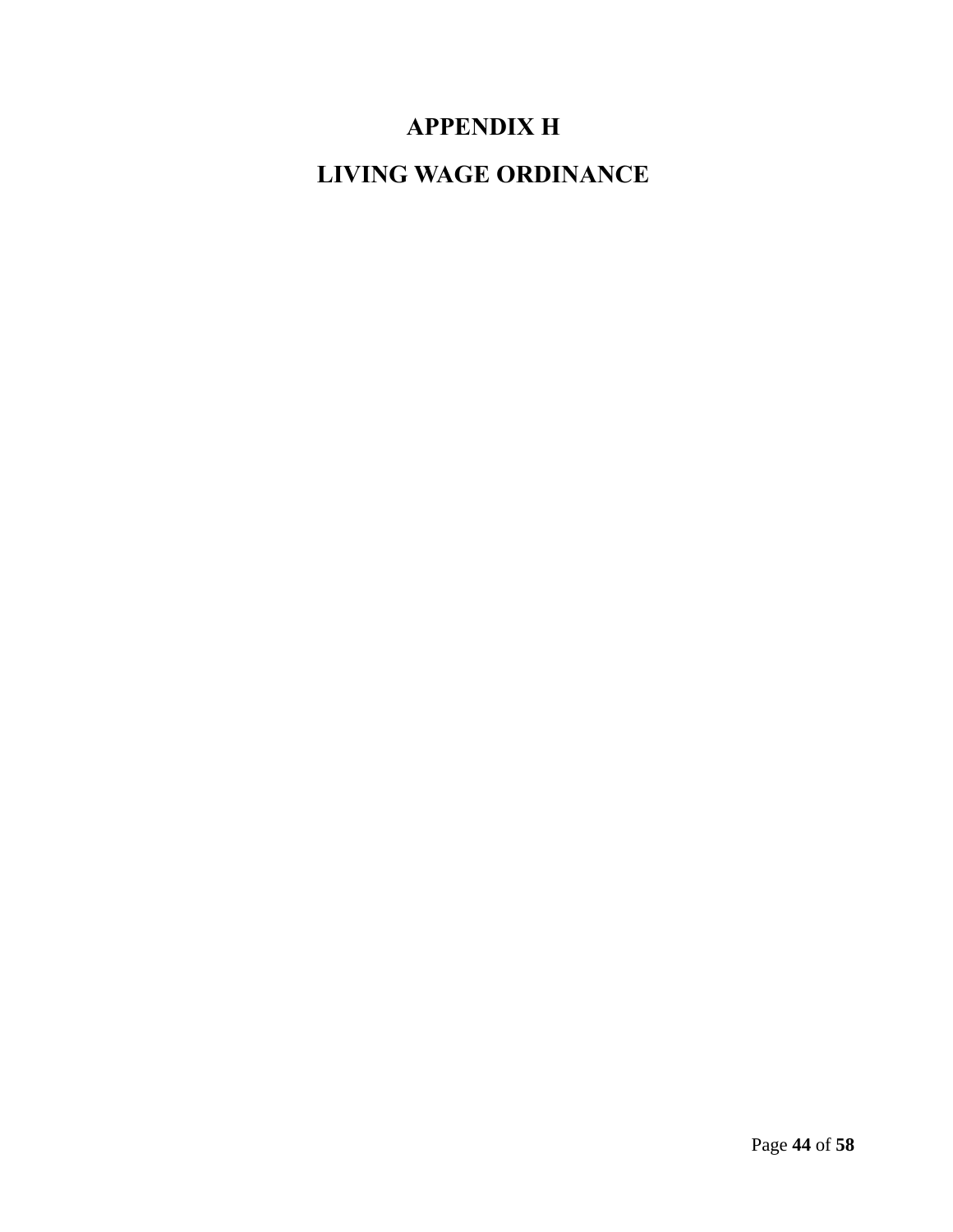# **APPENDIX H**

<span id="page-47-1"></span><span id="page-47-0"></span>**LIVING WAGE ORDINANCE**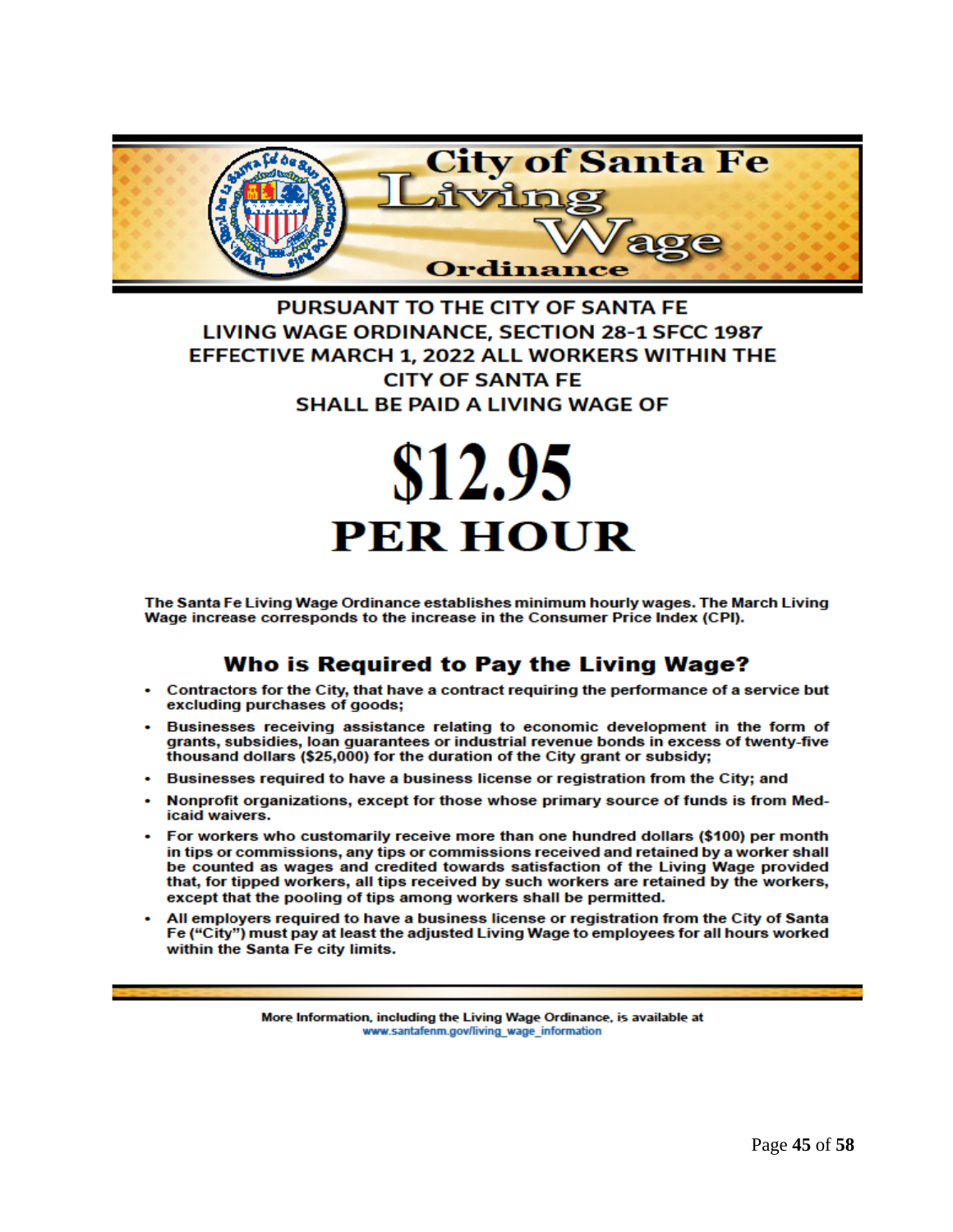

# PURSUANT TO THE CITY OF SANTA FE LIVING WAGE ORDINANCE, SECTION 28-1 SFCC 1987 EFFECTIVE MARCH 1, 2022 ALL WORKERS WITHIN THE **CITY OF SANTA FE SHALL BE PAID A LIVING WAGE OF**

# \$12.95 **PER HOUR**

The Santa Fe Living Wage Ordinance establishes minimum hourly wages. The March Living Wage increase corresponds to the increase in the Consumer Price Index (CPI).

# Who is Required to Pay the Living Wage?

- Contractors for the City, that have a contract requiring the performance of a service but excluding purchases of goods;
- Businesses receiving assistance relating to economic development in the form of grants, subsidies, loan guarantees or industrial revenue bonds in excess of twenty-five thousand dollars (\$25,000) for the duration of the City grant or subsidy;
- Businesses required to have a business license or registration from the City; and
- Nonprofit organizations, except for those whose primary source of funds is from Medicaid waivers.
- For workers who customarily receive more than one hundred dollars (\$100) per month in tips or commissions, any tips or commissions received and retained by a worker shall be counted as wages and credited towards satisfaction of the Living Wage provided that, for tipped workers, all tips received by such workers are retained by the workers, except that the pooling of tips among workers shall be permitted.
- All employers required to have a business license or registration from the City of Santa Fe ("City") must pay at least the adjusted Living Wage to employees for all hours worked within the Santa Fe city limits.

More Information, including the Living Wage Ordinance, is available at www.santafenm.gov/living\_wage\_information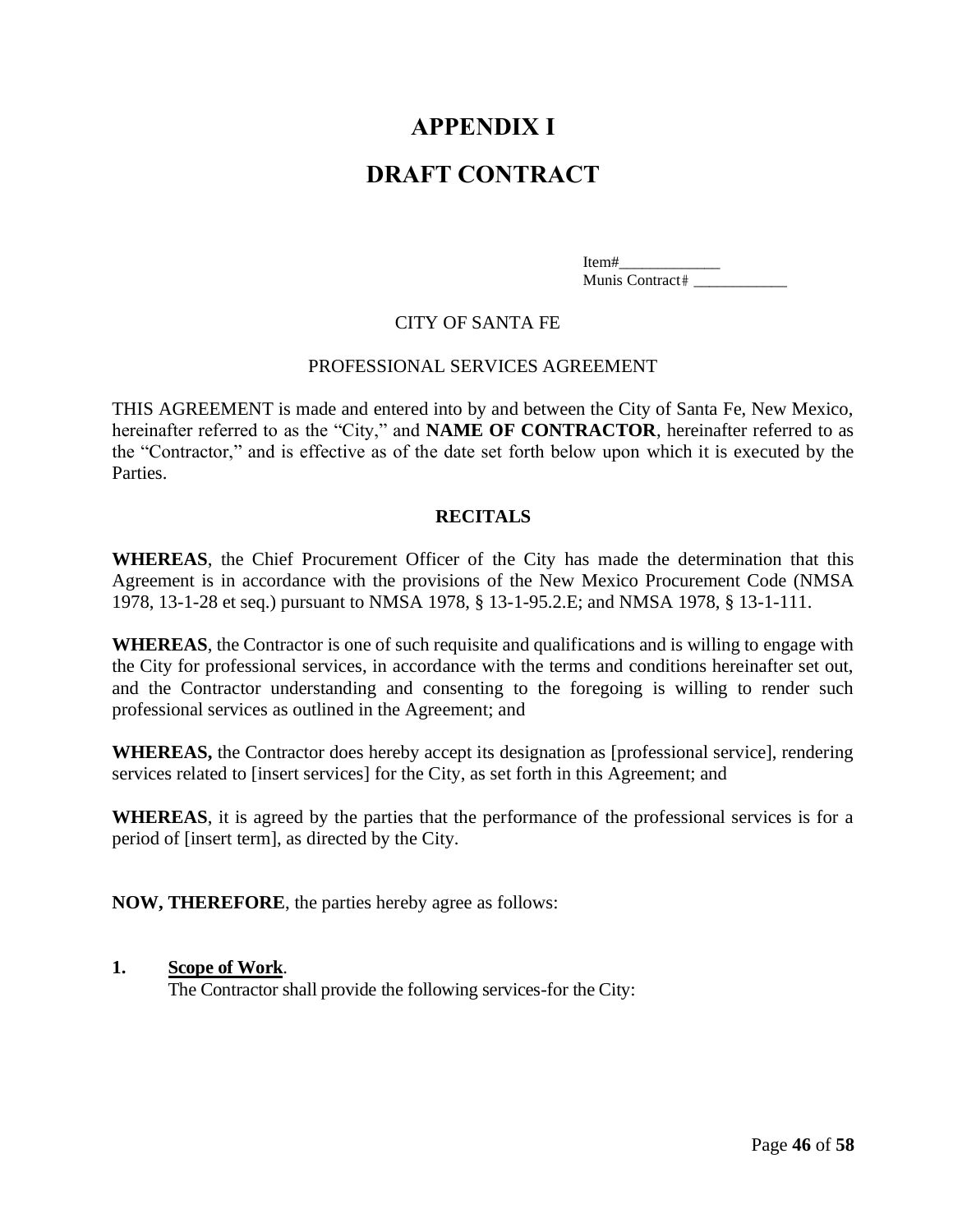# **APPENDIX I**

# <span id="page-49-0"></span>**DRAFT CONTRACT**

Item#\_\_\_\_\_\_\_\_\_\_\_\_\_ Munis Contract #

#### CITY OF SANTA FE

#### PROFESSIONAL SERVICES AGREEMENT

<span id="page-49-2"></span><span id="page-49-1"></span>THIS AGREEMENT is made and entered into by and between the City of Santa Fe, New Mexico, hereinafter referred to as the "City," and **NAME OF CONTRACTOR**, hereinafter referred to as the "Contractor," and is effective as of the date set forth below upon which it is executed by the Parties.

#### **RECITALS**

**WHEREAS**, the Chief Procurement Officer of the City has made the determination that this Agreement is in accordance with the provisions of the New Mexico Procurement Code (NMSA 1978, 13-1-28 et seq.) pursuant to NMSA 1978, § 13-1-95.2.E; and NMSA 1978, § 13-1-111.

**WHEREAS**, the Contractor is one of such requisite and qualifications and is willing to engage with the City for professional services, in accordance with the terms and conditions hereinafter set out, and the Contractor understanding and consenting to the foregoing is willing to render such professional services as outlined in the Agreement; and

**WHEREAS,** the Contractor does hereby accept its designation as [professional service], rendering services related to [insert services] for the City, as set forth in this Agreement; and

**WHEREAS**, it is agreed by the parties that the performance of the professional services is for a period of [insert term], as directed by the City.

**NOW, THEREFORE**, the parties hereby agree as follows:

#### **1. Scope of Work**.

The Contractor shall provide the following services-for the City: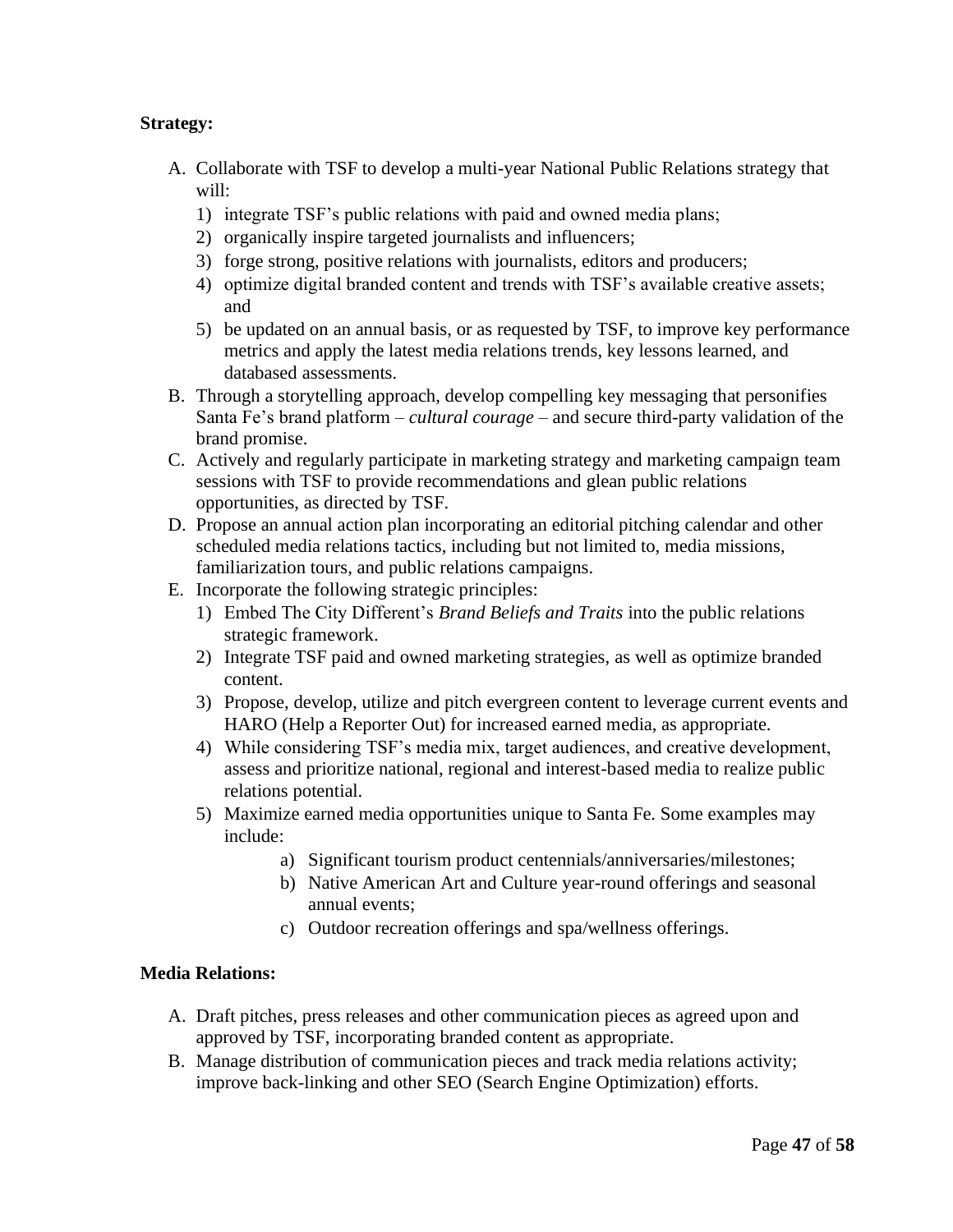# **Strategy:**

- A. Collaborate with TSF to develop a multi-year National Public Relations strategy that will:
	- 1) integrate TSF's public relations with paid and owned media plans;
	- 2) organically inspire targeted journalists and influencers;
	- 3) forge strong, positive relations with journalists, editors and producers;
	- 4) optimize digital branded content and trends with TSF's available creative assets; and
	- 5) be updated on an annual basis, or as requested by TSF, to improve key performance metrics and apply the latest media relations trends, key lessons learned, and databased assessments.
- B. Through a storytelling approach, develop compelling key messaging that personifies Santa Fe's brand platform – *cultural courage* – and secure third-party validation of the brand promise.
- C. Actively and regularly participate in marketing strategy and marketing campaign team sessions with TSF to provide recommendations and glean public relations opportunities, as directed by TSF.
- D. Propose an annual action plan incorporating an editorial pitching calendar and other scheduled media relations tactics, including but not limited to, media missions, familiarization tours, and public relations campaigns.
- E. Incorporate the following strategic principles:
	- 1) Embed The City Different's *Brand Beliefs and Traits* into the public relations strategic framework.
	- 2) Integrate TSF paid and owned marketing strategies, as well as optimize branded content.
	- 3) Propose, develop, utilize and pitch evergreen content to leverage current events and HARO (Help a Reporter Out) for increased earned media, as appropriate.
	- 4) While considering TSF's media mix, target audiences, and creative development, assess and prioritize national, regional and interest-based media to realize public relations potential.
	- 5) Maximize earned media opportunities unique to Santa Fe. Some examples may include:
		- a) Significant tourism product centennials/anniversaries/milestones;
		- b) Native American Art and Culture year-round offerings and seasonal annual events;
		- c) Outdoor recreation offerings and spa/wellness offerings.

#### **Media Relations:**

- A. Draft pitches, press releases and other communication pieces as agreed upon and approved by TSF, incorporating branded content as appropriate.
- B. Manage distribution of communication pieces and track media relations activity; improve back-linking and other SEO (Search Engine Optimization) efforts.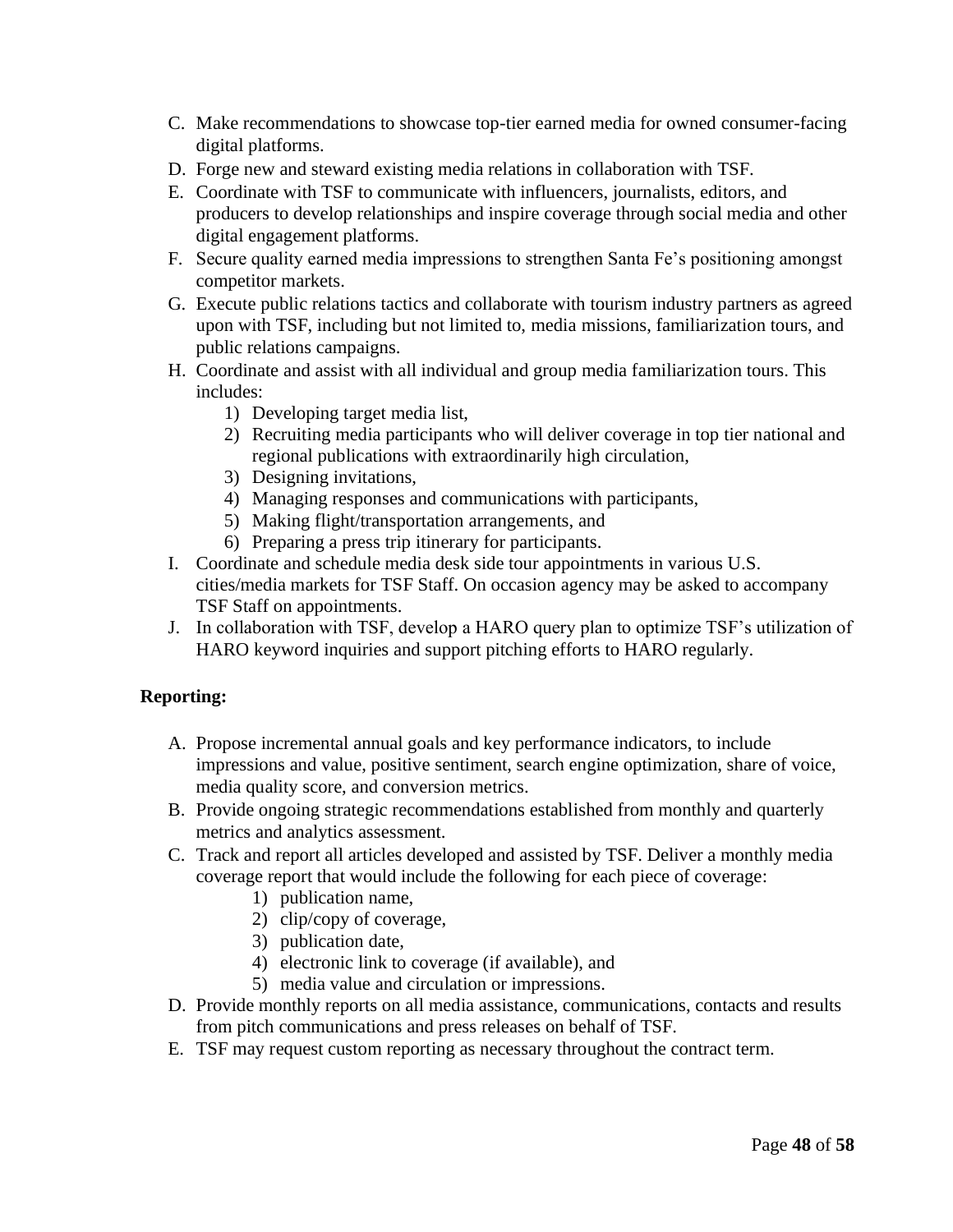- C. Make recommendations to showcase top-tier earned media for owned consumer-facing digital platforms.
- D. Forge new and steward existing media relations in collaboration with TSF.
- E. Coordinate with TSF to communicate with influencers, journalists, editors, and producers to develop relationships and inspire coverage through social media and other digital engagement platforms.
- F. Secure quality earned media impressions to strengthen Santa Fe's positioning amongst competitor markets.
- G. Execute public relations tactics and collaborate with tourism industry partners as agreed upon with TSF, including but not limited to, media missions, familiarization tours, and public relations campaigns.
- H. Coordinate and assist with all individual and group media familiarization tours. This includes:
	- 1) Developing target media list,
	- 2) Recruiting media participants who will deliver coverage in top tier national and regional publications with extraordinarily high circulation,
	- 3) Designing invitations,
	- 4) Managing responses and communications with participants,
	- 5) Making flight/transportation arrangements, and
	- 6) Preparing a press trip itinerary for participants.
- I. Coordinate and schedule media desk side tour appointments in various U.S. cities/media markets for TSF Staff. On occasion agency may be asked to accompany TSF Staff on appointments.
- J. In collaboration with TSF, develop a HARO query plan to optimize TSF's utilization of HARO keyword inquiries and support pitching efforts to HARO regularly.

# **Reporting:**

- A. Propose incremental annual goals and key performance indicators, to include impressions and value, positive sentiment, search engine optimization, share of voice, media quality score, and conversion metrics.
- B. Provide ongoing strategic recommendations established from monthly and quarterly metrics and analytics assessment.
- C. Track and report all articles developed and assisted by TSF. Deliver a monthly media coverage report that would include the following for each piece of coverage:
	- 1) publication name,
	- 2) clip/copy of coverage,
	- 3) publication date,
	- 4) electronic link to coverage (if available), and
	- 5) media value and circulation or impressions.
- D. Provide monthly reports on all media assistance, communications, contacts and results from pitch communications and press releases on behalf of TSF.
- E. TSF may request custom reporting as necessary throughout the contract term.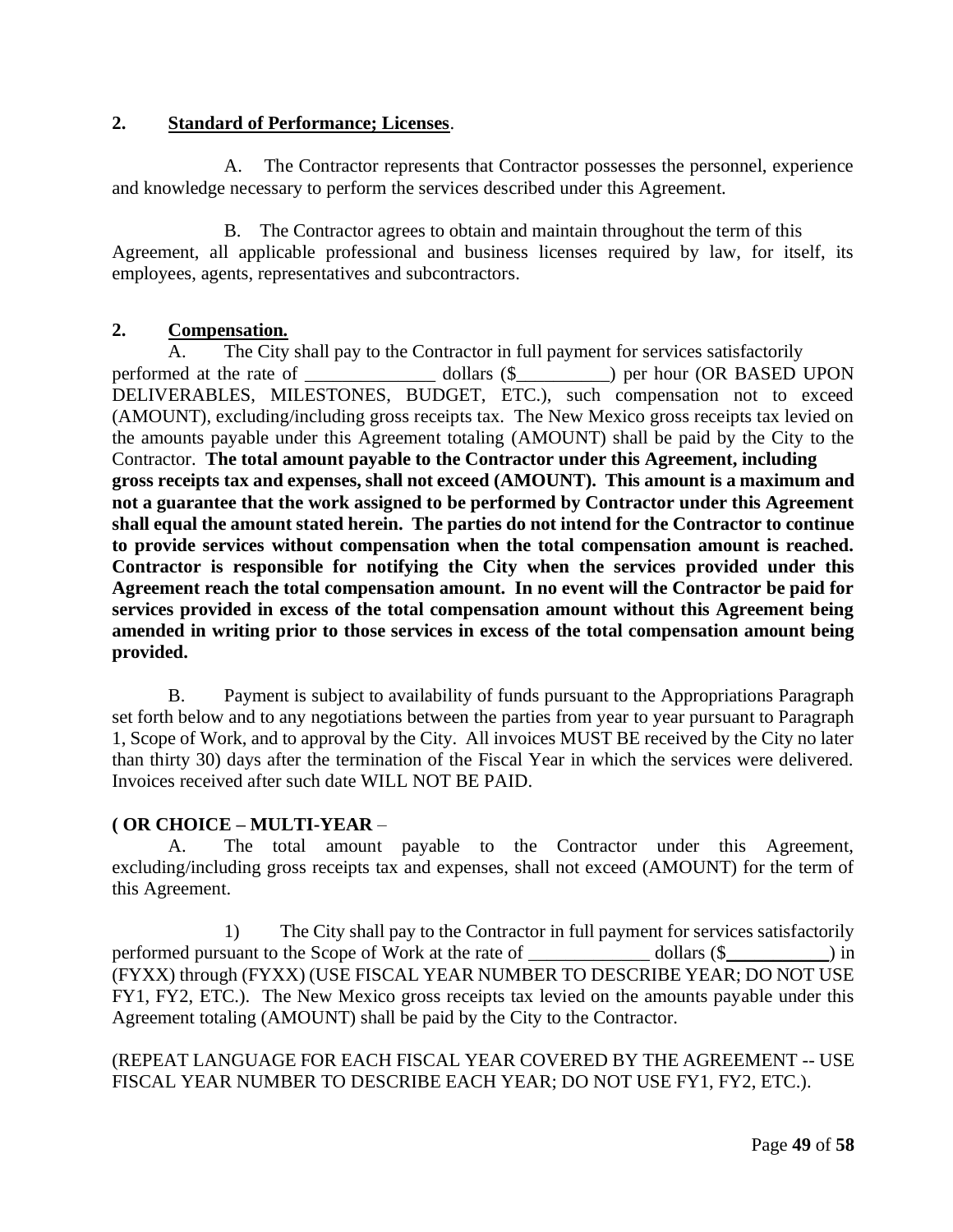# **2. Standard of Performance; Licenses**.

A. The Contractor represents that Contractor possesses the personnel, experience and knowledge necessary to perform the services described under this Agreement.

B. The Contractor agrees to obtain and maintain throughout the term of this Agreement, all applicable professional and business licenses required by law, for itself, its employees, agents, representatives and subcontractors.

# **2. Compensation***.*

A. The City shall pay to the Contractor in full payment for services satisfactorily performed at the rate of \_\_\_\_\_\_\_\_\_\_\_\_\_\_\_\_\_ dollars (\$\_\_\_\_\_\_\_\_\_\_) per hour (OR BASED UPON DELIVERABLES, MILESTONES, BUDGET, ETC.), such compensation not to exceed (AMOUNT), excluding/including gross receipts tax. The New Mexico gross receipts tax levied on the amounts payable under this Agreement totaling (AMOUNT) shall be paid by the City to the Contractor. **The total amount payable to the Contractor under this Agreement, including gross receipts tax and expenses, shall not exceed (AMOUNT). This amount is a maximum and not a guarantee that the work assigned to be performed by Contractor under this Agreement shall equal the amount stated herein. The parties do not intend for the Contractor to continue to provide services without compensation when the total compensation amount is reached. Contractor is responsible for notifying the City when the services provided under this Agreement reach the total compensation amount. In no event will the Contractor be paid for services provided in excess of the total compensation amount without this Agreement being amended in writing prior to those services in excess of the total compensation amount being provided.**

B. Payment is subject to availability of funds pursuant to the Appropriations Paragraph set forth below and to any negotiations between the parties from year to year pursuant to Paragraph 1, Scope of Work, and to approval by the City. All invoices MUST BE received by the City no later than thirty 30) days after the termination of the Fiscal Year in which the services were delivered. Invoices received after such date WILL NOT BE PAID.

# **( OR CHOICE – MULTI-YEAR** –

A. The total amount payable to the Contractor under this Agreement, excluding/including gross receipts tax and expenses, shall not exceed (AMOUNT) for the term of this Agreement.

1) The City shall pay to the Contractor in full payment for services satisfactorily performed pursuant to the Scope of Work at the rate of \_\_\_\_\_\_\_\_\_\_\_\_\_\_\_\_\_\_\_ dollars (\$\_\_\_\_\_\_\_\_\_\_\_\_\_\_\_) in (FYXX) through (FYXX) (USE FISCAL YEAR NUMBER TO DESCRIBE YEAR; DO NOT USE FY1, FY2, ETC.). The New Mexico gross receipts tax levied on the amounts payable under this Agreement totaling (AMOUNT) shall be paid by the City to the Contractor.

# (REPEAT LANGUAGE FOR EACH FISCAL YEAR COVERED BY THE AGREEMENT -- USE FISCAL YEAR NUMBER TO DESCRIBE EACH YEAR; DO NOT USE FY1, FY2, ETC.).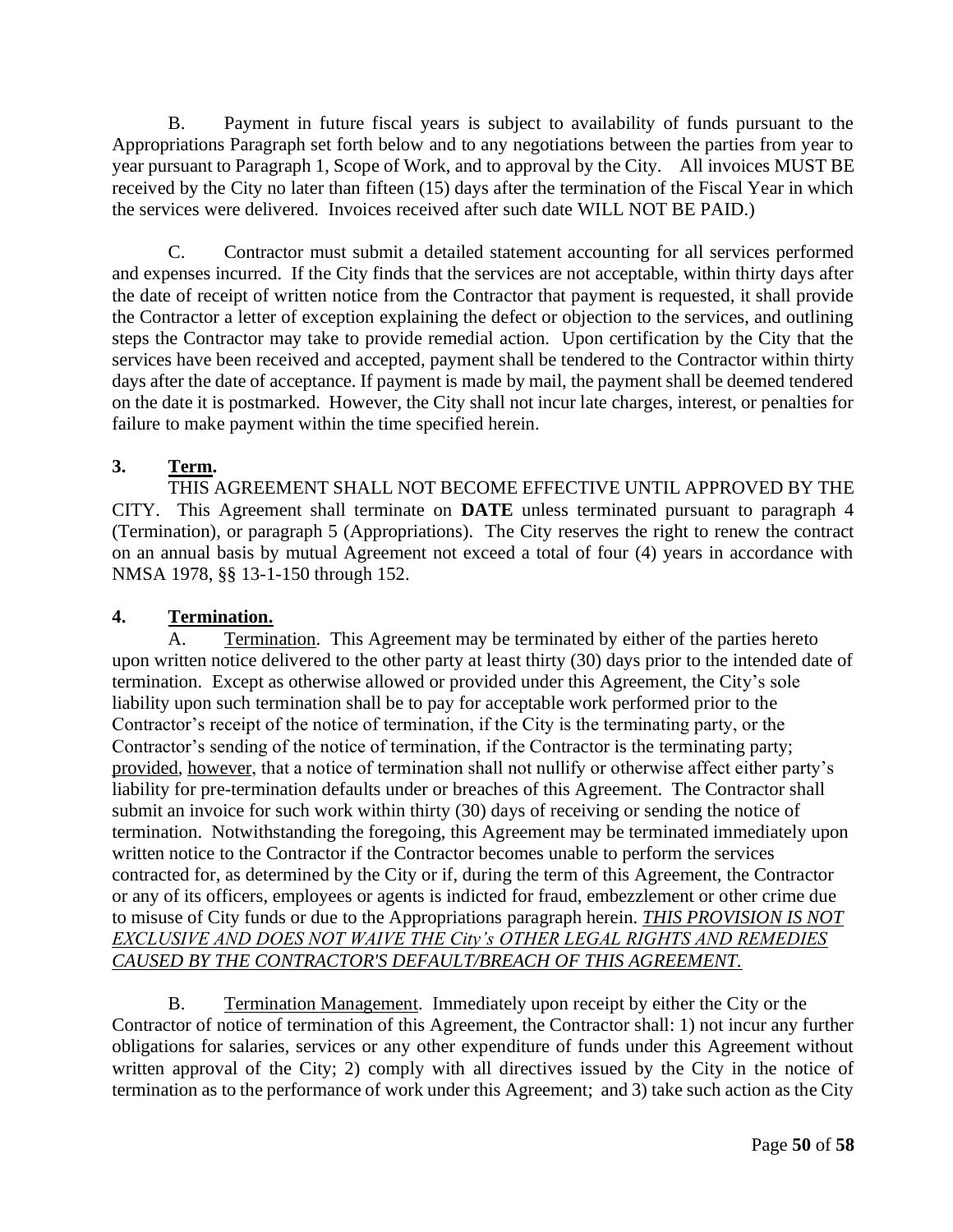B. Payment in future fiscal years is subject to availability of funds pursuant to the Appropriations Paragraph set forth below and to any negotiations between the parties from year to year pursuant to Paragraph 1, Scope of Work, and to approval by the City. All invoices MUST BE received by the City no later than fifteen (15) days after the termination of the Fiscal Year in which the services were delivered. Invoices received after such date WILL NOT BE PAID.)

C. Contractor must submit a detailed statement accounting for all services performed and expenses incurred. If the City finds that the services are not acceptable, within thirty days after the date of receipt of written notice from the Contractor that payment is requested, it shall provide the Contractor a letter of exception explaining the defect or objection to the services, and outlining steps the Contractor may take to provide remedial action. Upon certification by the City that the services have been received and accepted, payment shall be tendered to the Contractor within thirty days after the date of acceptance. If payment is made by mail, the payment shall be deemed tendered on the date it is postmarked. However, the City shall not incur late charges, interest, or penalties for failure to make payment within the time specified herein.

# **3. Term.**

THIS AGREEMENT SHALL NOT BECOME EFFECTIVE UNTIL APPROVED BY THE CITY. This Agreement shall terminate on **DATE** unless terminated pursuant to paragraph 4 (Termination), or paragraph 5 (Appropriations). The City reserves the right to renew the contract on an annual basis by mutual Agreement not exceed a total of four (4) years in accordance with NMSA 1978, §§ 13-1-150 through 152.

# **4. Termination.**

A. Termination. This Agreement may be terminated by either of the parties hereto upon written notice delivered to the other party at least thirty (30) days prior to the intended date of termination. Except as otherwise allowed or provided under this Agreement, the City's sole liability upon such termination shall be to pay for acceptable work performed prior to the Contractor's receipt of the notice of termination, if the City is the terminating party, or the Contractor's sending of the notice of termination, if the Contractor is the terminating party; provided, however, that a notice of termination shall not nullify or otherwise affect either party's liability for pre-termination defaults under or breaches of this Agreement. The Contractor shall submit an invoice for such work within thirty (30) days of receiving or sending the notice of termination. Notwithstanding the foregoing, this Agreement may be terminated immediately upon written notice to the Contractor if the Contractor becomes unable to perform the services contracted for, as determined by the City or if, during the term of this Agreement, the Contractor or any of its officers, employees or agents is indicted for fraud, embezzlement or other crime due to misuse of City funds or due to the Appropriations paragraph herein. *THIS PROVISION IS NOT EXCLUSIVE AND DOES NOT WAIVE THE City's OTHER LEGAL RIGHTS AND REMEDIES CAUSED BY THE CONTRACTOR'S DEFAULT/BREACH OF THIS AGREEMENT.*

B. Termination Management. Immediately upon receipt by either the City or the Contractor of notice of termination of this Agreement, the Contractor shall: 1) not incur any further obligations for salaries, services or any other expenditure of funds under this Agreement without written approval of the City; 2) comply with all directives issued by the City in the notice of termination as to the performance of work under this Agreement; and 3) take such action as the City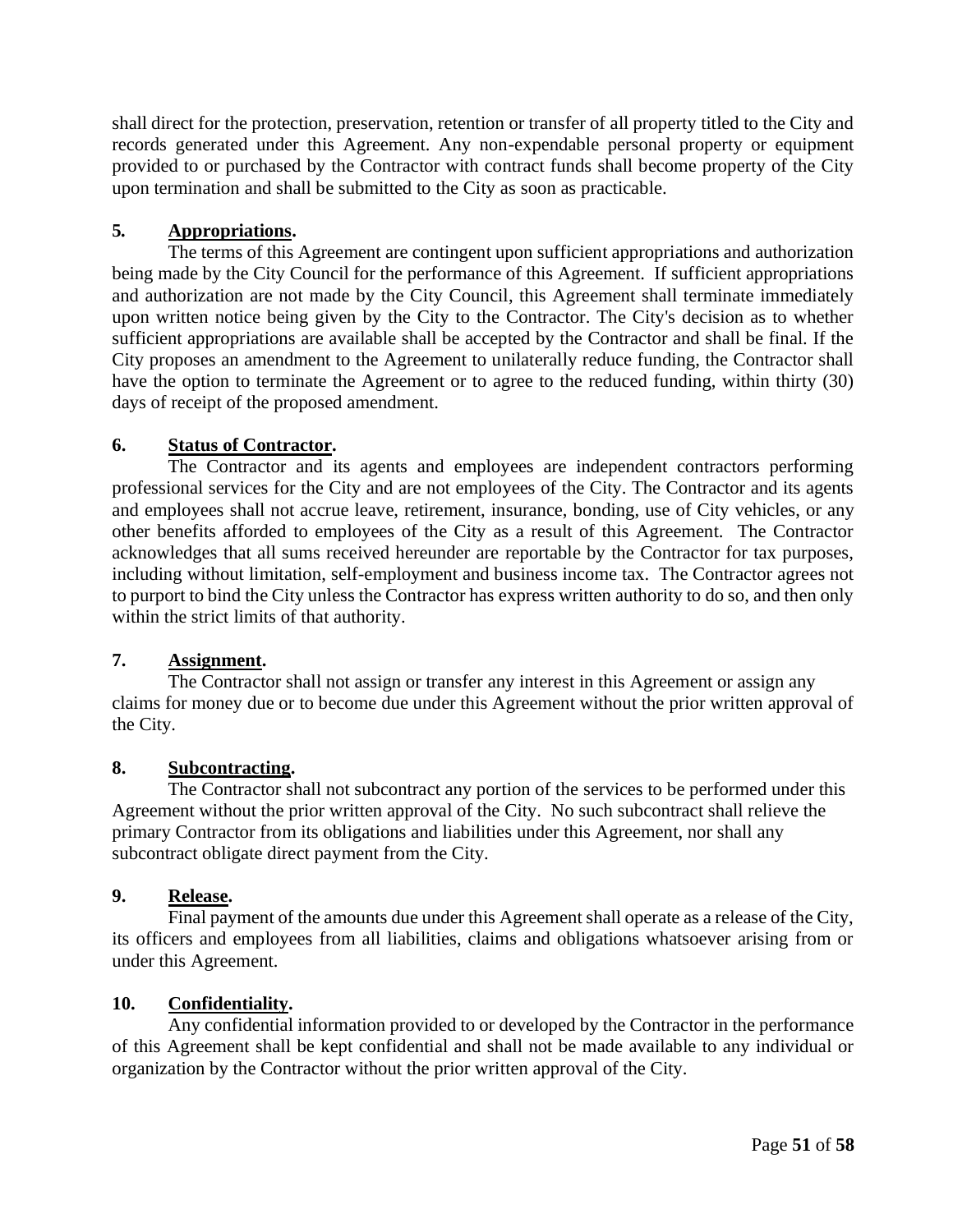shall direct for the protection, preservation, retention or transfer of all property titled to the City and records generated under this Agreement. Any non-expendable personal property or equipment provided to or purchased by the Contractor with contract funds shall become property of the City upon termination and shall be submitted to the City as soon as practicable.

# **5***.* **Appropriations.**

The terms of this Agreement are contingent upon sufficient appropriations and authorization being made by the City Council for the performance of this Agreement. If sufficient appropriations and authorization are not made by the City Council, this Agreement shall terminate immediately upon written notice being given by the City to the Contractor. The City's decision as to whether sufficient appropriations are available shall be accepted by the Contractor and shall be final. If the City proposes an amendment to the Agreement to unilaterally reduce funding, the Contractor shall have the option to terminate the Agreement or to agree to the reduced funding, within thirty (30) days of receipt of the proposed amendment.

# **6. Status of Contractor.**

The Contractor and its agents and employees are independent contractors performing professional services for the City and are not employees of the City. The Contractor and its agents and employees shall not accrue leave, retirement, insurance, bonding, use of City vehicles, or any other benefits afforded to employees of the City as a result of this Agreement. The Contractor acknowledges that all sums received hereunder are reportable by the Contractor for tax purposes, including without limitation, self-employment and business income tax. The Contractor agrees not to purport to bind the City unless the Contractor has express written authority to do so, and then only within the strict limits of that authority.

#### **7. Assignment.**

The Contractor shall not assign or transfer any interest in this Agreement or assign any claims for money due or to become due under this Agreement without the prior written approval of the City.

#### **8. Subcontracting.**

The Contractor shall not subcontract any portion of the services to be performed under this Agreement without the prior written approval of the City. No such subcontract shall relieve the primary Contractor from its obligations and liabilities under this Agreement, nor shall any subcontract obligate direct payment from the City.

#### **9. Release.**

Final payment of the amounts due under this Agreement shall operate as a release of the City, its officers and employees from all liabilities, claims and obligations whatsoever arising from or under this Agreement.

#### **10. Confidentiality.**

Any confidential information provided to or developed by the Contractor in the performance of this Agreement shall be kept confidential and shall not be made available to any individual or organization by the Contractor without the prior written approval of the City.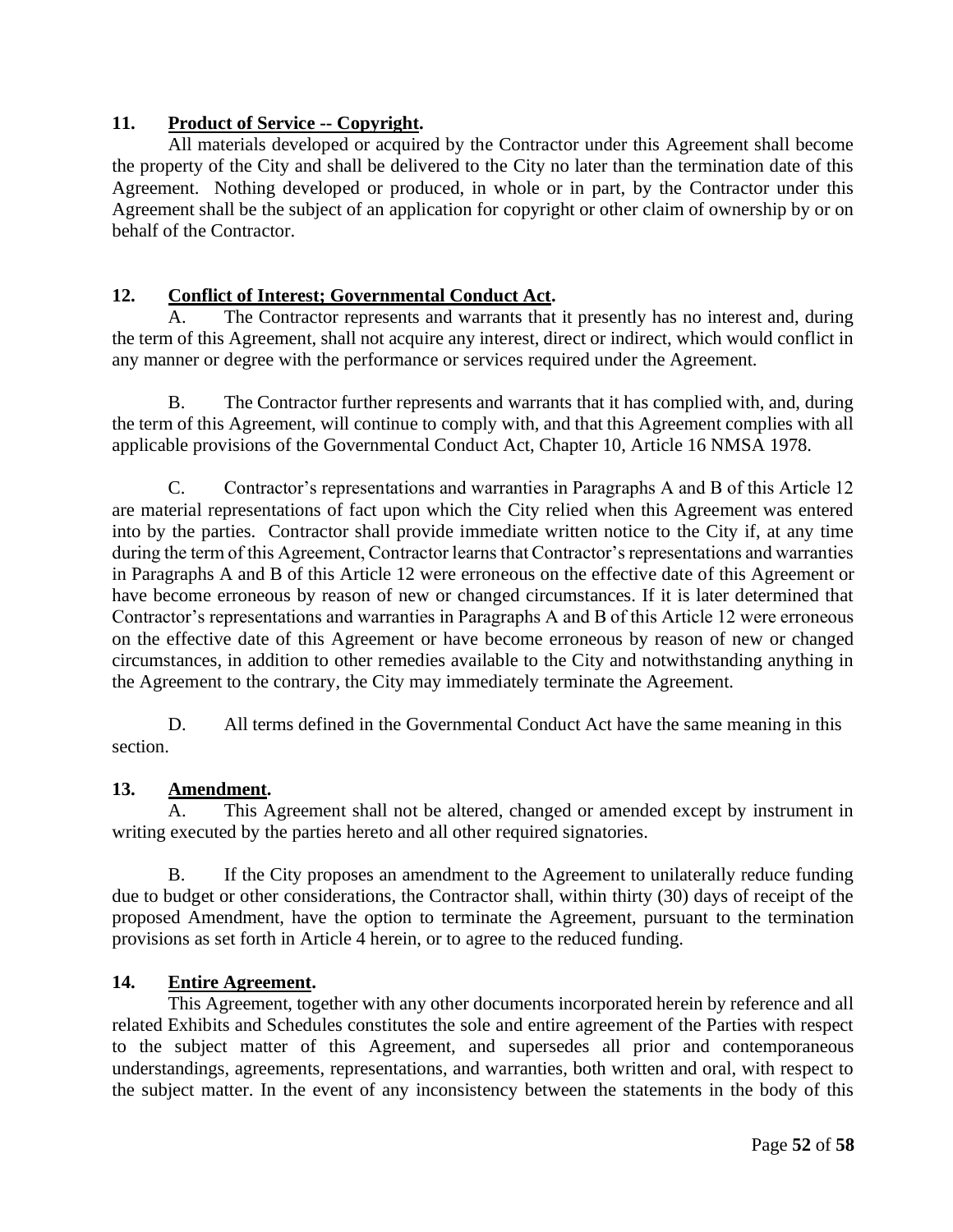# **11. Product of Service -- Copyright.**

All materials developed or acquired by the Contractor under this Agreement shall become the property of the City and shall be delivered to the City no later than the termination date of this Agreement. Nothing developed or produced, in whole or in part, by the Contractor under this Agreement shall be the subject of an application for copyright or other claim of ownership by or on behalf of the Contractor.

# **12. Conflict of Interest; Governmental Conduct Act.**

The Contractor represents and warrants that it presently has no interest and, during the term of this Agreement, shall not acquire any interest, direct or indirect, which would conflict in any manner or degree with the performance or services required under the Agreement.

B. The Contractor further represents and warrants that it has complied with, and, during the term of this Agreement, will continue to comply with, and that this Agreement complies with all applicable provisions of the Governmental Conduct Act, Chapter 10, Article 16 NMSA 1978.

C. Contractor's representations and warranties in Paragraphs A and B of this Article 12 are material representations of fact upon which the City relied when this Agreement was entered into by the parties. Contractor shall provide immediate written notice to the City if, at any time during the term of this Agreement, Contractor learns that Contractor's representations and warranties in Paragraphs A and B of this Article 12 were erroneous on the effective date of this Agreement or have become erroneous by reason of new or changed circumstances. If it is later determined that Contractor's representations and warranties in Paragraphs A and B of this Article 12 were erroneous on the effective date of this Agreement or have become erroneous by reason of new or changed circumstances, in addition to other remedies available to the City and notwithstanding anything in the Agreement to the contrary, the City may immediately terminate the Agreement.

D. All terms defined in the Governmental Conduct Act have the same meaning in this section.

#### **13. Amendment.**

This Agreement shall not be altered, changed or amended except by instrument in writing executed by the parties hereto and all other required signatories.

B. If the City proposes an amendment to the Agreement to unilaterally reduce funding due to budget or other considerations, the Contractor shall, within thirty (30) days of receipt of the proposed Amendment, have the option to terminate the Agreement, pursuant to the termination provisions as set forth in Article 4 herein, or to agree to the reduced funding.

#### **14. Entire Agreement.**

This Agreement, together with any other documents incorporated herein by reference and all related Exhibits and Schedules constitutes the sole and entire agreement of the Parties with respect to the subject matter of this Agreement, and supersedes all prior and contemporaneous understandings, agreements, representations, and warranties, both written and oral, with respect to the subject matter. In the event of any inconsistency between the statements in the body of this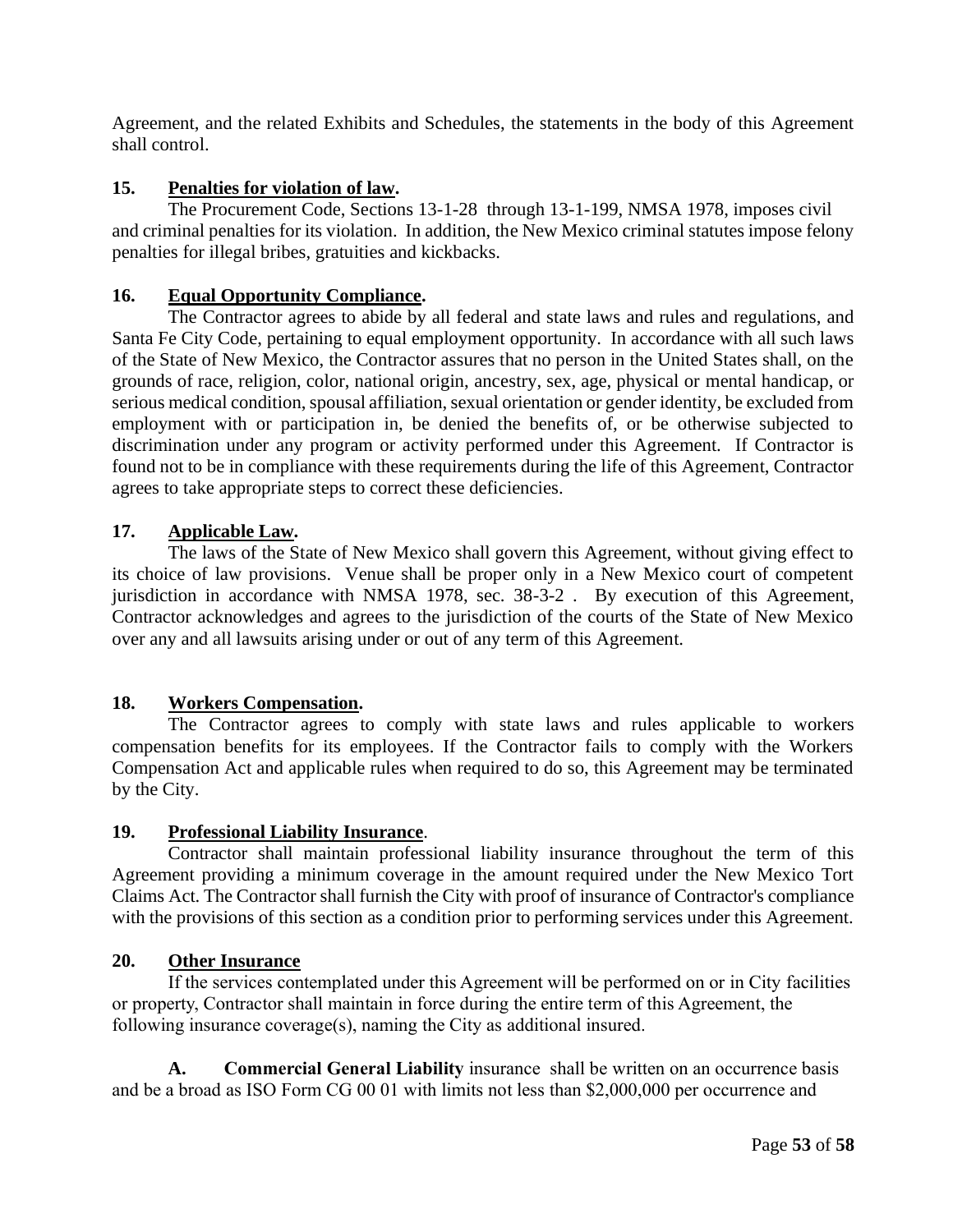Agreement, and the related Exhibits and Schedules, the statements in the body of this Agreement shall control.

# **15. Penalties for violation of law.**

The Procurement Code, Sections 13-1-28 through 13-1-199, NMSA 1978, imposes civil and criminal penalties for its violation. In addition, the New Mexico criminal statutes impose felony penalties for illegal bribes, gratuities and kickbacks.

## **16. Equal Opportunity Compliance.**

The Contractor agrees to abide by all federal and state laws and rules and regulations, and Santa Fe City Code, pertaining to equal employment opportunity. In accordance with all such laws of the State of New Mexico, the Contractor assures that no person in the United States shall, on the grounds of race, religion, color, national origin, ancestry, sex, age, physical or mental handicap, or serious medical condition, spousal affiliation, sexual orientation or gender identity, be excluded from employment with or participation in, be denied the benefits of, or be otherwise subjected to discrimination under any program or activity performed under this Agreement. If Contractor is found not to be in compliance with these requirements during the life of this Agreement, Contractor agrees to take appropriate steps to correct these deficiencies.

## **17. Applicable Law.**

The laws of the State of New Mexico shall govern this Agreement, without giving effect to its choice of law provisions. Venue shall be proper only in a New Mexico court of competent jurisdiction in accordance with NMSA 1978, sec. 38-3-2 . By execution of this Agreement, Contractor acknowledges and agrees to the jurisdiction of the courts of the State of New Mexico over any and all lawsuits arising under or out of any term of this Agreement.

#### **18. Workers Compensation.**

The Contractor agrees to comply with state laws and rules applicable to workers compensation benefits for its employees. If the Contractor fails to comply with the Workers Compensation Act and applicable rules when required to do so, this Agreement may be terminated by the City.

#### **19. Professional Liability Insurance**.

Contractor shall maintain professional liability insurance throughout the term of this Agreement providing a minimum coverage in the amount required under the New Mexico Tort Claims Act. The Contractor shall furnish the City with proof of insurance of Contractor's compliance with the provisions of this section as a condition prior to performing services under this Agreement.

#### **20. Other Insurance**

If the services contemplated under this Agreement will be performed on or in City facilities or property, Contractor shall maintain in force during the entire term of this Agreement, the following insurance coverage(s), naming the City as additional insured.

**A. Commercial General Liability** insurance shall be written on an occurrence basis and be a broad as ISO Form CG 00 01 with limits not less than \$2,000,000 per occurrence and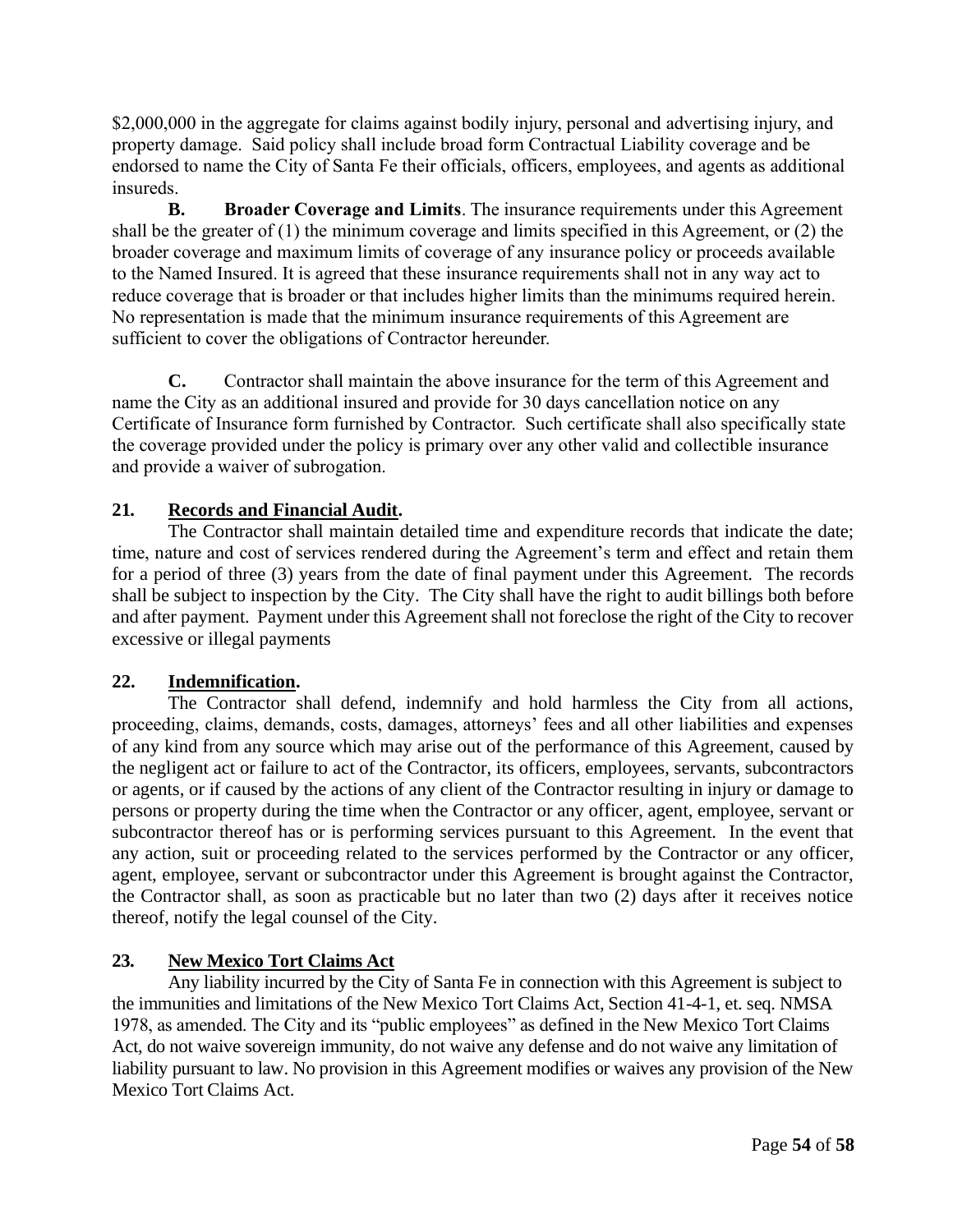\$2,000,000 in the aggregate for claims against bodily injury, personal and advertising injury, and property damage. Said policy shall include broad form Contractual Liability coverage and be endorsed to name the City of Santa Fe their officials, officers, employees, and agents as additional insureds.

**B. Broader Coverage and Limits**. The insurance requirements under this Agreement shall be the greater of (1) the minimum coverage and limits specified in this Agreement, or (2) the broader coverage and maximum limits of coverage of any insurance policy or proceeds available to the Named Insured. It is agreed that these insurance requirements shall not in any way act to reduce coverage that is broader or that includes higher limits than the minimums required herein. No representation is made that the minimum insurance requirements of this Agreement are sufficient to cover the obligations of Contractor hereunder.

**C.** Contractor shall maintain the above insurance for the term of this Agreement and name the City as an additional insured and provide for 30 days cancellation notice on any Certificate of Insurance form furnished by Contractor. Such certificate shall also specifically state the coverage provided under the policy is primary over any other valid and collectible insurance and provide a waiver of subrogation.

# **21***.* **Records and Financial Audit.**

The Contractor shall maintain detailed time and expenditure records that indicate the date; time, nature and cost of services rendered during the Agreement's term and effect and retain them for a period of three (3) years from the date of final payment under this Agreement. The records shall be subject to inspection by the City. The City shall have the right to audit billings both before and after payment. Payment under this Agreement shall not foreclose the right of the City to recover excessive or illegal payments

# **22. Indemnification.**

The Contractor shall defend, indemnify and hold harmless the City from all actions, proceeding, claims, demands, costs, damages, attorneys' fees and all other liabilities and expenses of any kind from any source which may arise out of the performance of this Agreement, caused by the negligent act or failure to act of the Contractor, its officers, employees, servants, subcontractors or agents, or if caused by the actions of any client of the Contractor resulting in injury or damage to persons or property during the time when the Contractor or any officer, agent, employee, servant or subcontractor thereof has or is performing services pursuant to this Agreement. In the event that any action, suit or proceeding related to the services performed by the Contractor or any officer, agent, employee, servant or subcontractor under this Agreement is brought against the Contractor, the Contractor shall, as soon as practicable but no later than two (2) days after it receives notice thereof, notify the legal counsel of the City.

# **23. New Mexico Tort Claims Act**

Any liability incurred by the City of Santa Fe in connection with this Agreement is subject to the immunities and limitations of the New Mexico Tort Claims Act, Section 41-4-1, et. seq. NMSA 1978, as amended. The City and its "public employees" as defined in the New Mexico Tort Claims Act, do not waive sovereign immunity, do not waive any defense and do not waive any limitation of liability pursuant to law. No provision in this Agreement modifies or waives any provision of the New Mexico Tort Claims Act.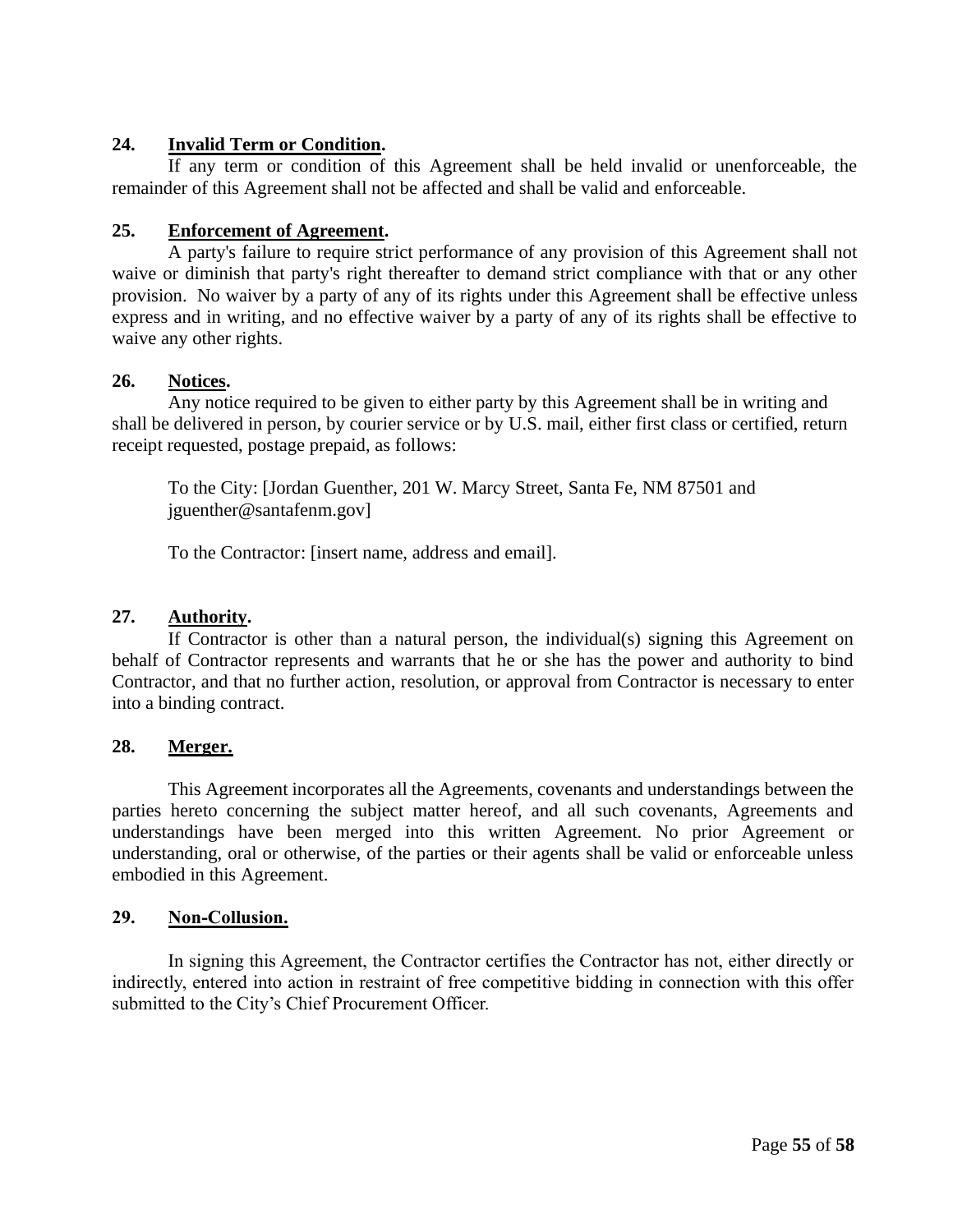# **24. Invalid Term or Condition.**

If any term or condition of this Agreement shall be held invalid or unenforceable, the remainder of this Agreement shall not be affected and shall be valid and enforceable.

# **25. Enforcement of Agreement.**

A party's failure to require strict performance of any provision of this Agreement shall not waive or diminish that party's right thereafter to demand strict compliance with that or any other provision. No waiver by a party of any of its rights under this Agreement shall be effective unless express and in writing, and no effective waiver by a party of any of its rights shall be effective to waive any other rights.

## **26. Notices.**

Any notice required to be given to either party by this Agreement shall be in writing and shall be delivered in person, by courier service or by U.S. mail, either first class or certified, return receipt requested, postage prepaid, as follows:

To the City: [Jordan Guenther, 201 W. Marcy Street, Santa Fe, NM 87501 and jguenther@santafenm.gov]

To the Contractor: [insert name, address and email].

#### **27. Authority.**

If Contractor is other than a natural person, the individual(s) signing this Agreement on behalf of Contractor represents and warrants that he or she has the power and authority to bind Contractor, and that no further action, resolution, or approval from Contractor is necessary to enter into a binding contract.

# **28. Merger.**

This Agreement incorporates all the Agreements, covenants and understandings between the parties hereto concerning the subject matter hereof, and all such covenants, Agreements and understandings have been merged into this written Agreement. No prior Agreement or understanding, oral or otherwise, of the parties or their agents shall be valid or enforceable unless embodied in this Agreement.

# **29. Non-Collusion.**

In signing this Agreement, the Contractor certifies the Contractor has not, either directly or indirectly, entered into action in restraint of free competitive bidding in connection with this offer submitted to the City's Chief Procurement Officer.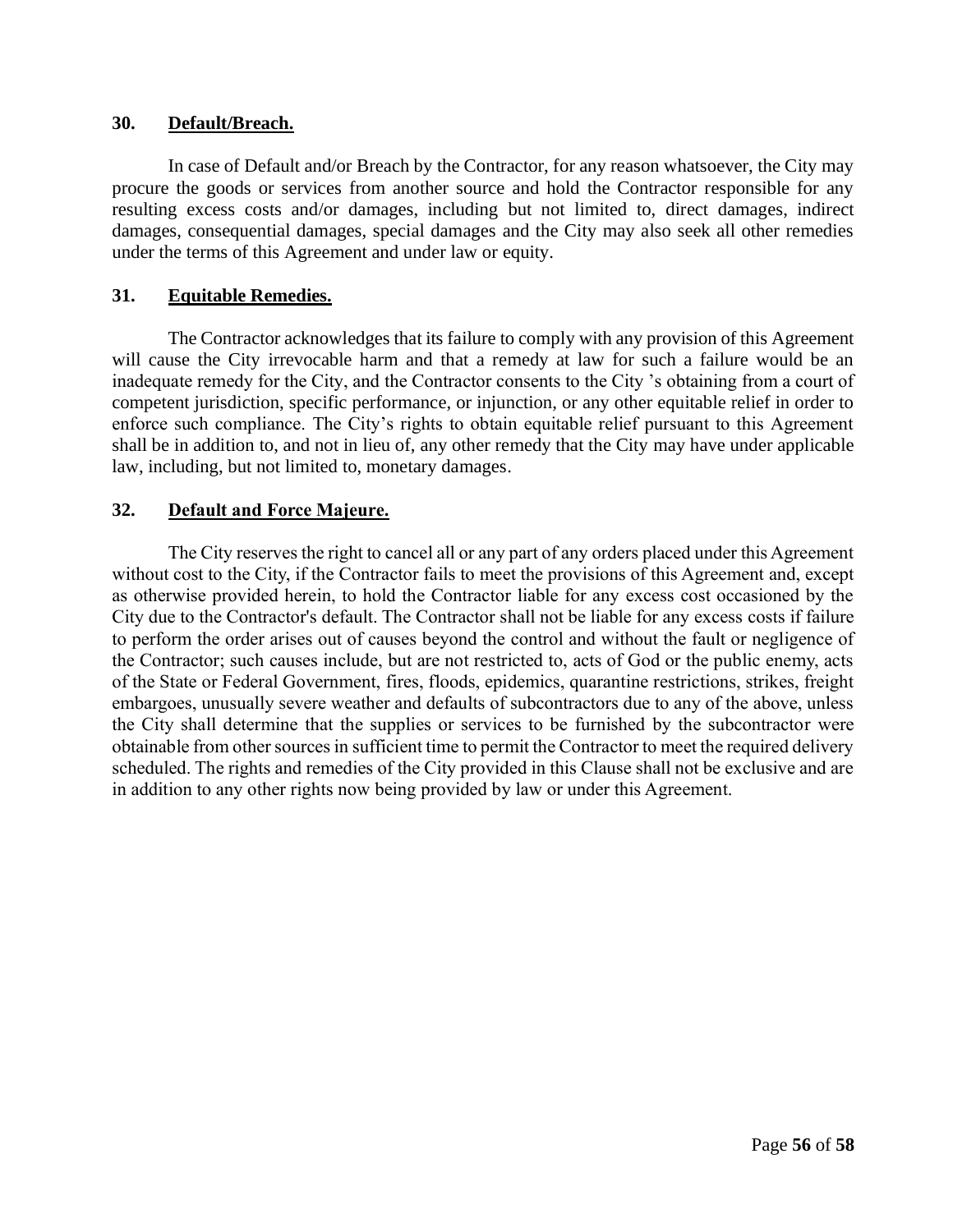#### **30. Default/Breach.**

In case of Default and/or Breach by the Contractor, for any reason whatsoever, the City may procure the goods or services from another source and hold the Contractor responsible for any resulting excess costs and/or damages, including but not limited to, direct damages, indirect damages, consequential damages, special damages and the City may also seek all other remedies under the terms of this Agreement and under law or equity.

#### **31. Equitable Remedies.**

The Contractor acknowledges that its failure to comply with any provision of this Agreement will cause the City irrevocable harm and that a remedy at law for such a failure would be an inadequate remedy for the City, and the Contractor consents to the City 's obtaining from a court of competent jurisdiction, specific performance, or injunction, or any other equitable relief in order to enforce such compliance. The City's rights to obtain equitable relief pursuant to this Agreement shall be in addition to, and not in lieu of, any other remedy that the City may have under applicable law, including, but not limited to, monetary damages.

#### **32. Default and Force Majeure.**

The City reserves the right to cancel all or any part of any orders placed under this Agreement without cost to the City, if the Contractor fails to meet the provisions of this Agreement and, except as otherwise provided herein, to hold the Contractor liable for any excess cost occasioned by the City due to the Contractor's default. The Contractor shall not be liable for any excess costs if failure to perform the order arises out of causes beyond the control and without the fault or negligence of the Contractor; such causes include, but are not restricted to, acts of God or the public enemy, acts of the State or Federal Government, fires, floods, epidemics, quarantine restrictions, strikes, freight embargoes, unusually severe weather and defaults of subcontractors due to any of the above, unless the City shall determine that the supplies or services to be furnished by the subcontractor were obtainable from other sources in sufficient time to permit the Contractor to meet the required delivery scheduled. The rights and remedies of the City provided in this Clause shall not be exclusive and are in addition to any other rights now being provided by law or under this Agreement.